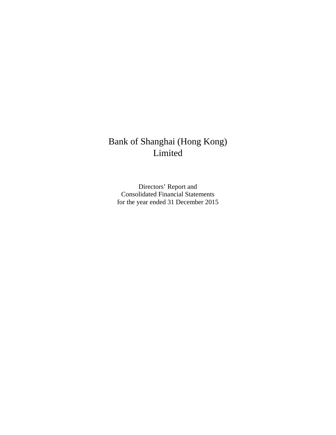## Bank of Shanghai (Hong Kong) Limited

Directors' Report and Consolidated Financial Statements for the year ended 31 December 2015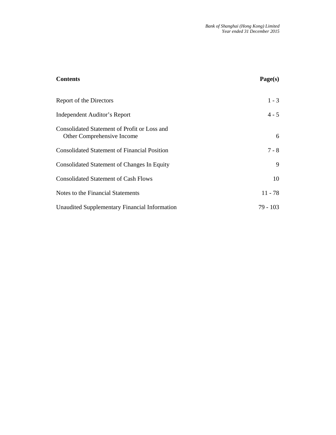| <b>Contents</b>                                                            | Page(s)   |
|----------------------------------------------------------------------------|-----------|
| Report of the Directors                                                    | $1 - 3$   |
| Independent Auditor's Report                                               | $4 - 5$   |
| Consolidated Statement of Profit or Loss and<br>Other Comprehensive Income | 6         |
| <b>Consolidated Statement of Financial Position</b>                        | $7 - 8$   |
| <b>Consolidated Statement of Changes In Equity</b>                         | 9         |
| <b>Consolidated Statement of Cash Flows</b>                                | 10        |
| Notes to the Financial Statements                                          | $11 - 78$ |
| Unaudited Supplementary Financial Information                              | 79 - 103  |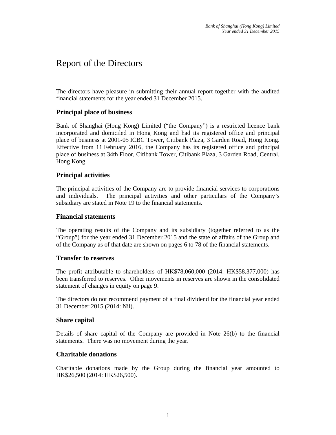## Report of the Directors

The directors have pleasure in submitting their annual report together with the audited financial statements for the year ended 31 December 2015.

#### **Principal place of business**

Bank of Shanghai (Hong Kong) Limited ("the Company") is a restricted licence bank incorporated and domiciled in Hong Kong and had its registered office and principal place of business at 2001-05 ICBC Tower, Citibank Plaza, 3 Garden Road, Hong Kong. Effective from 11 February 2016, the Company has its registered office and principal place of business at 34th Floor, Citibank Tower, Citibank Plaza, 3 Garden Road, Central, Hong Kong.

#### **Principal activities**

The principal activities of the Company are to provide financial services to corporations and individuals. The principal activities and other particulars of the Company's subsidiary are stated in Note 19 to the financial statements.

#### **Financial statements**

The operating results of the Company and its subsidiary (together referred to as the "Group") for the year ended 31 December 2015 and the state of affairs of the Group and of the Company as of that date are shown on pages 6 to 78 of the financial statements.

#### **Transfer to reserves**

The profit attributable to shareholders of HK\$78,060,000 (2014: HK\$58,377,000) has been transferred to reserves. Other movements in reserves are shown in the consolidated statement of changes in equity on page 9.

The directors do not recommend payment of a final dividend for the financial year ended 31 December 2015 (2014: Nil).

#### **Share capital**

Details of share capital of the Company are provided in Note 26(b) to the financial statements. There was no movement during the year.

#### **Charitable donations**

Charitable donations made by the Group during the financial year amounted to HK\$26,500 (2014: HK\$26,500).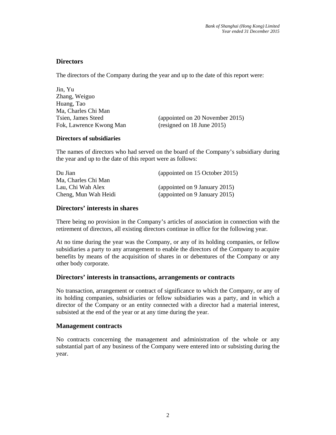#### **Directors**

The directors of the Company during the year and up to the date of this report were:

Jin, Yu Zhang, Weiguo Huang, Tao Ma, Charles Chi Man Tsien, James Steed (appointed on 20 November 2015) Fok, Lawrence Kwong Man (resigned on 18 June 2015)

#### **Directors of subsidiaries**

The names of directors who had served on the board of the Company's subsidiary during the year and up to the date of this report were as follows:

| Du Jian              | (appointed on 15 October 2015) |
|----------------------|--------------------------------|
| Ma, Charles Chi Man  |                                |
| Lau, Chi Wah Alex    | (appointed on 9 January 2015)  |
| Cheng, Mun Wah Heidi | (appointed on 9 January 2015)  |

#### **Directors' interests in shares**

There being no provision in the Company's articles of association in connection with the retirement of directors, all existing directors continue in office for the following year.

At no time during the year was the Company, or any of its holding companies, or fellow subsidiaries a party to any arrangement to enable the directors of the Company to acquire benefits by means of the acquisition of shares in or debentures of the Company or any other body corporate.

#### **Directors' interests in transactions, arrangements or contracts**

No transaction, arrangement or contract of significance to which the Company, or any of its holding companies, subsidiaries or fellow subsidiaries was a party, and in which a director of the Company or an entity connected with a director had a material interest, subsisted at the end of the year or at any time during the year.

#### **Management contracts**

No contracts concerning the management and administration of the whole or any substantial part of any business of the Company were entered into or subsisting during the year.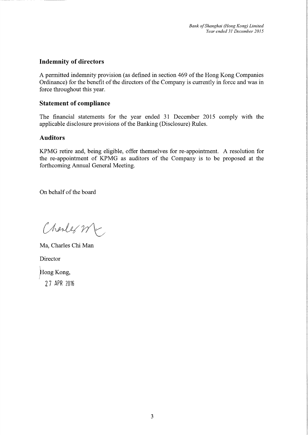### **Indemnity of directors**

A permitted indemnity provision (as defined in section 469 of the Hong Kong Companies Ordinance) for the benefit of the directors of the Company is currently in force and was in force throughout this year.

#### **Statement of compliance**

The financial statements for the year ended 31 December 2015 comply with the applicable disclosure provisions of the Banking (Disclosure) Rules.

#### **Auditors**

KPMG retire and, being eligible, offer themselves for re-appointment. A resolution for the re-appointment of KPMG as auditors of the Company is to be proposed at the forthcoming Annual General Meeting.

On behalf of the board

Charles Mc

Ma, Charles Chi Man

Director

Hong Kong,

27 APR 2016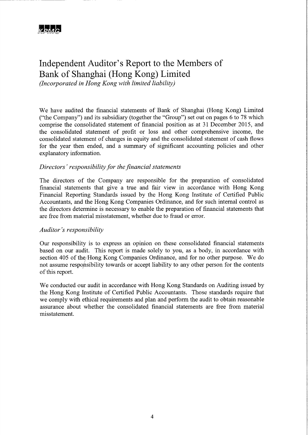## Independent Auditor's Report to the Members of Bank of Shanghai (Hong Kong) Limited

(Incorporated in Hong Kong with limited liability)

We have audited the financial statements of Bank of Shanghai (Hong Kong) Limited ("the Company") and its subsidiary (together the "Group") set out on pages 6 to 78 which comprise the consolidated statement of financial position as at 31 December 2015, and the consolidated statement of profit or loss and other comprehensive income, the consolidated statement of changes in equity and the consolidated statement of cash flows for the year then ended, and a summary of significant accounting policies and other explanatory information.

#### Directors' responsibility for the financial statements

The directors of the Company are responsible for the preparation of consolidated financial statements that give a true and fair view in accordance with Hong Kong Financial Reporting Standards issued by the Hong Kong Institute of Certified Public Accountants, and the Hong Kong Companies Ordinance, and for such internal control as the directors determine is necessary to enable the preparation of financial statements that are free from material misstatement, whether due to fraud or error.

#### Auditor's responsibility

Our responsibility is to express an opinion on these consolidated financial statements based on our audit. This report is made solely to you, as a body, in accordance with section 405 of the/Hong Kong Companies Ordinance, and for no other purpose. We do not assume responsibility towards or accept liability to any other person for the contents of this report.

We conducted our audit in accordance with Hong Kong Standards on Auditing issued by the Hong Kong Institute of Certified Public Accountants. Those standards require that we comply with ethical requirements and plan and perform the audit to obtain reasonable assurance about whether the consolidated financial statements are free from material misstatement.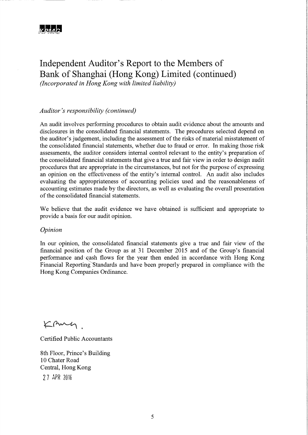### Independent Auditor's Report to the Members of Bank of Shanghai (Hong Kong) Limited (continued) (Incorporated in Hong Kong with limited liability)

### Auditor's responsibility (continued)

An audit involves performing procedures to obtain audit evidence about the amounts and disclosures in the consolidated financial statements. The procedures selected depend on the auditor's judgement, including the assessment of the risks of material misstatement of the consolidated financial statements, whether due to fraud or error. In making those risk assessments, the auditor considers internal control relevant to the entity's preparation of the consolidated financial statements that give a true and fair view in order to design audit procedures that are appropriate in the circumstances, but not for the purpose of expressing an opinion on the effectiveness of the entity's internal control. An audit also includes evaluating the appropriateness of accounting policies used and the reasonableness of accounting estimates made by the directors, as well as evaluating the overall presentation of the consolidated financial statements.

We believe that the audit evidence we have obtained is sufficient and appropriate to provide a basis for our audit opinion.

Opinion

In our opinion, the consolidated financial statements give a true and fair view of the financial position of the Group as at 31 December 2015 and of the Group's financial performance and cash flows for the year then ended in accordance with Hong Kong Financial Reporting Standards and have been properly prepared in compliance with the Hong Kong Companies Ordinance.

KAMY.

**Certified Public Accountants** 

8th Floor, Prince's Building 10 Chater Road Central, Hong Kong 27 APR 2016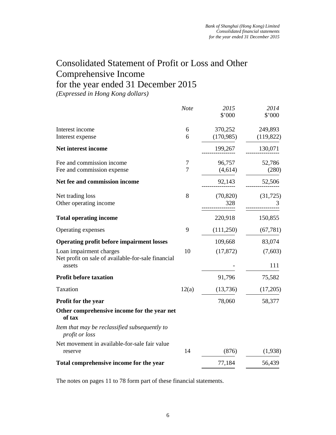## Consolidated Statement of Profit or Loss and Other Comprehensive Income for the year ended 31 December 2015

*(Expressed in Hong Kong dollars)* 

|                                                                 | <b>Note</b> | 2015<br>\$'000   | 2014<br>\$'000 |
|-----------------------------------------------------------------|-------------|------------------|----------------|
| Interest income                                                 | 6           | 370,252          | 249,893        |
| Interest expense                                                | 6           | (170, 985)       | (119,822)      |
| Net interest income                                             |             | 199,267          | 130,071        |
| Fee and commission income                                       | 7           | 96,757           | 52,786         |
| Fee and commission expense                                      | 7           | (4,614)          | (280)          |
| Net fee and commission income                                   |             | 92,143           | 52,506         |
| Net trading loss<br>Other operating income                      | 8           | (70, 820)<br>328 | (31, 725)      |
| <b>Total operating income</b>                                   |             | 220,918          | 150,855        |
| Operating expenses                                              | 9           | (111,250)        | (67, 781)      |
| <b>Operating profit before impairment losses</b>                |             | 109,668          | 83,074         |
| Loan impairment charges                                         | 10          | (17, 872)        | (7,603)        |
| Net profit on sale of available-for-sale financial<br>assets    |             |                  | 111            |
| <b>Profit before taxation</b>                                   |             | 91,796           | 75,582         |
| Taxation                                                        | 12(a)       | (13,736)         | (17,205)       |
| Profit for the year                                             |             | 78,060           | 58,377         |
| Other comprehensive income for the year net<br>of tax           |             |                  |                |
| Item that may be reclassified subsequently to<br>profit or loss |             |                  |                |
| Net movement in available-for-sale fair value<br>reserve        | 14          | (876)            | (1,938)        |
| Total comprehensive income for the year                         |             | 77,184           | 56,439         |
|                                                                 |             |                  |                |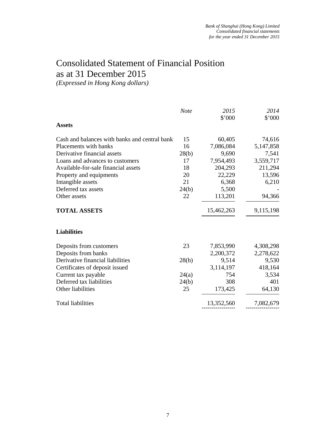## Consolidated Statement of Financial Position as at 31 December 2015

*(Expressed in Hong Kong dollars)* 

|                                               | <b>Note</b> | 2015<br>\$'000 | 2014<br>\$'000 |
|-----------------------------------------------|-------------|----------------|----------------|
| <b>Assets</b>                                 |             |                |                |
| Cash and balances with banks and central bank | 15          | 60,405         | 74,616         |
| Placements with banks                         | 16          | 7,086,084      | 5,147,858      |
| Derivative financial assets                   | 28(b)       | 9,690          | 7,541          |
| Loans and advances to customers               | 17          | 7,954,493      | 3,559,717      |
| Available-for-sale financial assets           | 18          | 204,293        | 211,294        |
| Property and equipments                       | 20          | 22,229         | 13,596         |
| Intangible assets                             | 21          | 6,368          | 6,210          |
| Deferred tax assets                           | 24(b)       | 5,500          |                |
| Other assets                                  | 22          | 113,201        | 94,366         |
| <b>TOTAL ASSETS</b>                           |             | 15,462,263     | 9,115,198      |
| <b>Liabilities</b>                            |             |                |                |
| Deposits from customers                       | 23          | 7,853,990      | 4,308,298      |
| Deposits from banks                           |             | 2,200,372      | 2,278,622      |
| Derivative financial liabilities              | 28(b)       | 9,514          | 9,530          |
| Certificates of deposit issued                |             | 3,114,197      | 418,164        |
| Current tax payable                           | 24(a)       | 754            | 3,534          |
| Deferred tax liabilities                      | 24(b)       | 308            | 401            |
| Other liabilities                             | 25          | 173,425        | 64,130         |
| <b>Total liabilities</b>                      |             | 13,352,560     | 7,082,679      |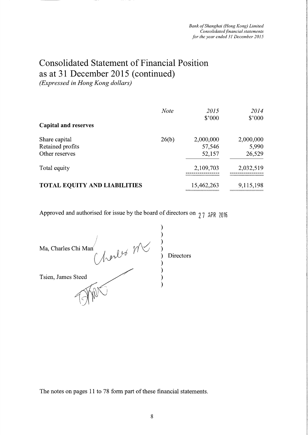# **Consolidated Statement of Financial Position** as at 31 December 2015 (continued)

(Expressed in Hong Kong dollars)

|                                     | <b>Note</b> | 2015<br>\$'000 | 2014<br>\$'000 |
|-------------------------------------|-------------|----------------|----------------|
| <b>Capital and reserves</b>         |             |                |                |
| Share capital                       | 26(b)       | 2,000,000      | 2,000,000      |
| Retained profits                    |             | 57,546         | 5,990          |
| Other reserves                      |             | 52,157         | 26,529         |
| Total equity                        |             | 2,109,703      | 2,032,519      |
| <b>TOTAL EQUITY AND LIABILITIES</b> |             | 15,462,263     | 9,115,198      |

Approved and authorised for issue by the board of directors on  $27$  APR 2016

| Ma, Charles Chi Man<br>herles M | Directors |
|---------------------------------|-----------|
| Tsien, James Steed              |           |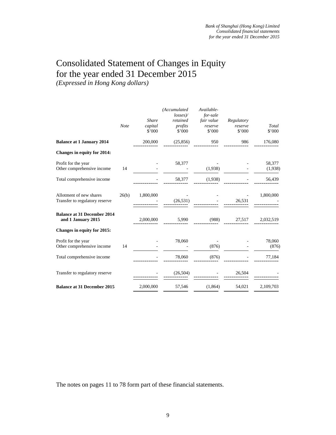## Consolidated Statement of Changes in Equity for the year ended 31 December 2015

*(Expressed in Hong Kong dollars)* 

|                                                           | <b>Note</b> | <b>Share</b><br>capital<br>$$^{\circ}000$ | (Accumulated<br>losses<br>retained<br>profits<br>\$'000 | Available-<br>for-sale<br>fair value<br>reserve<br>\$'000 | Regulatory<br>reserve<br>\$'000 | Total<br>\$'000   |
|-----------------------------------------------------------|-------------|-------------------------------------------|---------------------------------------------------------|-----------------------------------------------------------|---------------------------------|-------------------|
| <b>Balance at 1 January 2014</b>                          |             | 200,000                                   | (25, 856)                                               | 950                                                       | 986                             | 176,080           |
| <b>Changes in equity for 2014:</b>                        |             |                                           |                                                         |                                                           |                                 |                   |
| Profit for the year<br>Other comprehensive income         | 14          |                                           | 58,377                                                  | (1,938)                                                   |                                 | 58,377<br>(1,938) |
| Total comprehensive income                                |             |                                           | 58,377                                                  | (1,938)                                                   |                                 | 56,439            |
| Allotment of new shares<br>Transfer to regulatory reserve | 26(b)       | 1,800,000                                 | (26, 531)                                               |                                                           | 26,531                          | 1,800,000         |
| <b>Balance at 31 December 2014</b><br>and 1 January 2015  |             | 2,000,000                                 | 5,990                                                   | (988)                                                     | 27,517                          | 2,032,519         |
| Changes in equity for 2015:                               |             |                                           |                                                         |                                                           |                                 |                   |
| Profit for the year<br>Other comprehensive income         | 14          |                                           | 78,060                                                  | (876)                                                     |                                 | 78,060<br>(876)   |
| Total comprehensive income                                |             |                                           | 78,060                                                  | (876)                                                     |                                 | 77,184            |
| Transfer to regulatory reserve                            |             |                                           | (26, 504)                                               |                                                           | 26,504                          |                   |
| <b>Balance at 31 December 2015</b>                        |             | 2,000,000                                 | 57,546                                                  | (1,864)                                                   | 54,021                          | 2,109,703         |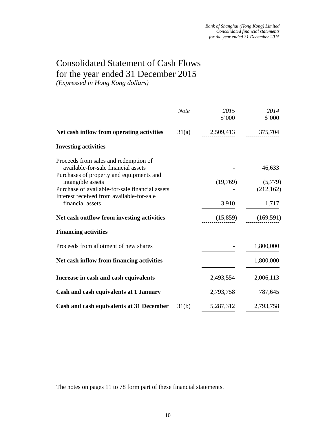### Consolidated Statement of Cash Flows for the year ended 31 December 2015 *(Expressed in Hong Kong dollars)*

*Note 2015 2014*  \$'000 \$'000 **Net cash inflow from operating activities** 31(a) 2,509,413 375,704  $-2(4)$   $-2(9)$ **Investing activities**  Proceeds from sales and redemption of available-for-sale financial assets - 46,633 Purchases of property and equipments and intangible assets (19,769) (5,779) Purchase of available-for-sale financial assets (212,162) Interest received from available-for-sale financial assets 3,910 1,717 **Net cash outflow from investing activities** (15,859) (169,591) **Financing activities**  Proceeds from allotment of new shares  $1,800,000$ Net cash inflow from financing activities **1,800,000**  ----------------- ----------------- **Increase in cash and cash equivalents** 2,493,554 2,006,113 **Cash and cash equivalents at 1 January 2,793,758** 787,645 **Cash and cash equivalents at 31 December** 31(b) 5,287,312 2,793,758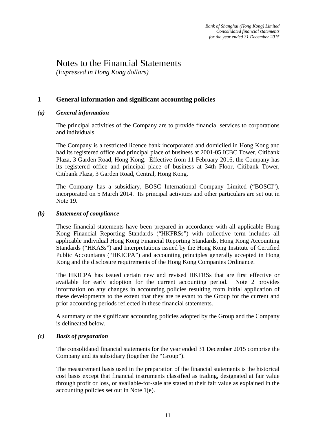### Notes to the Financial Statements

*(Expressed in Hong Kong dollars)* 

### **1 General information and significant accounting policies**

#### *(a) General information*

The principal activities of the Company are to provide financial services to corporations and individuals.

The Company is a restricted licence bank incorporated and domiciled in Hong Kong and had its registered office and principal place of business at 2001-05 ICBC Tower, Citibank Plaza, 3 Garden Road, Hong Kong. Effective from 11 February 2016, the Company has its registered office and principal place of business at 34th Floor, Citibank Tower, Citibank Plaza, 3 Garden Road, Central, Hong Kong.

The Company has a subsidiary, BOSC International Company Limited ("BOSCI"), incorporated on 5 March 2014. Its principal activities and other particulars are set out in Note 19.

#### *(b) Statement of compliance*

These financial statements have been prepared in accordance with all applicable Hong Kong Financial Reporting Standards ("HKFRSs") with collective term includes all applicable individual Hong Kong Financial Reporting Standards, Hong Kong Accounting Standards ("HKASs") and Interpretations issued by the Hong Kong Institute of Certified Public Accountants ("HKICPA") and accounting principles generally accepted in Hong Kong and the disclosure requirements of the Hong Kong Companies Ordinance.

The HKICPA has issued certain new and revised HKFRSs that are first effective or available for early adoption for the current accounting period. Note 2 provides information on any changes in accounting policies resulting from initial application of these developments to the extent that they are relevant to the Group for the current and prior accounting periods reflected in these financial statements.

A summary of the significant accounting policies adopted by the Group and the Company is delineated below.

#### *(c) Basis of preparation*

The consolidated financial statements for the year ended 31 December 2015 comprise the Company and its subsidiary (together the "Group").

The measurement basis used in the preparation of the financial statements is the historical cost basis except that financial instruments classified as trading, designated at fair value through profit or loss, or available-for-sale are stated at their fair value as explained in the accounting policies set out in Note 1(e).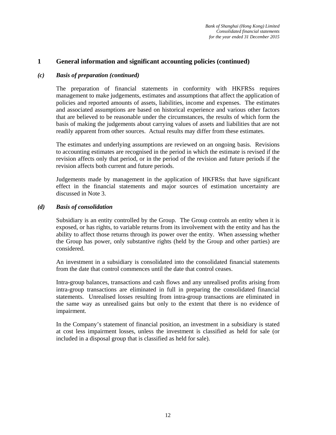#### *(c) Basis of preparation (continued)*

The preparation of financial statements in conformity with HKFRSs requires management to make judgements, estimates and assumptions that affect the application of policies and reported amounts of assets, liabilities, income and expenses. The estimates and associated assumptions are based on historical experience and various other factors that are believed to be reasonable under the circumstances, the results of which form the basis of making the judgements about carrying values of assets and liabilities that are not readily apparent from other sources. Actual results may differ from these estimates.

The estimates and underlying assumptions are reviewed on an ongoing basis. Revisions to accounting estimates are recognised in the period in which the estimate is revised if the revision affects only that period, or in the period of the revision and future periods if the revision affects both current and future periods.

Judgements made by management in the application of HKFRSs that have significant effect in the financial statements and major sources of estimation uncertainty are discussed in Note 3.

#### *(d) Basis of consolidation*

Subsidiary is an entity controlled by the Group. The Group controls an entity when it is exposed, or has rights, to variable returns from its involvement with the entity and has the ability to affect those returns through its power over the entity. When assessing whether the Group has power, only substantive rights (held by the Group and other parties) are considered.

An investment in a subsidiary is consolidated into the consolidated financial statements from the date that control commences until the date that control ceases.

Intra-group balances, transactions and cash flows and any unrealised profits arising from intra-group transactions are eliminated in full in preparing the consolidated financial statements. Unrealised losses resulting from intra-group transactions are eliminated in the same way as unrealised gains but only to the extent that there is no evidence of impairment.

In the Company's statement of financial position, an investment in a subsidiary is stated at cost less impairment losses, unless the investment is classified as held for sale (or included in a disposal group that is classified as held for sale).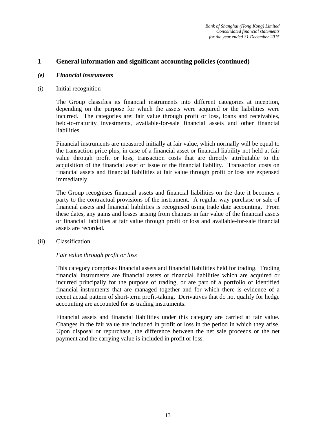#### *(e) Financial instruments*

#### (i) Initial recognition

The Group classifies its financial instruments into different categories at inception, depending on the purpose for which the assets were acquired or the liabilities were incurred. The categories are: fair value through profit or loss, loans and receivables, held-to-maturity investments, available-for-sale financial assets and other financial liabilities.

Financial instruments are measured initially at fair value, which normally will be equal to the transaction price plus, in case of a financial asset or financial liability not held at fair value through profit or loss, transaction costs that are directly attributable to the acquisition of the financial asset or issue of the financial liability. Transaction costs on financial assets and financial liabilities at fair value through profit or loss are expensed immediately.

The Group recognises financial assets and financial liabilities on the date it becomes a party to the contractual provisions of the instrument. A regular way purchase or sale of financial assets and financial liabilities is recognised using trade date accounting. From these dates, any gains and losses arising from changes in fair value of the financial assets or financial liabilities at fair value through profit or loss and available-for-sale financial assets are recorded.

#### (ii) Classification

#### *Fair value through profit or loss*

This category comprises financial assets and financial liabilities held for trading. Trading financial instruments are financial assets or financial liabilities which are acquired or incurred principally for the purpose of trading, or are part of a portfolio of identified financial instruments that are managed together and for which there is evidence of a recent actual pattern of short-term profit-taking. Derivatives that do not qualify for hedge accounting are accounted for as trading instruments.

Financial assets and financial liabilities under this category are carried at fair value. Changes in the fair value are included in profit or loss in the period in which they arise. Upon disposal or repurchase, the difference between the net sale proceeds or the net payment and the carrying value is included in profit or loss.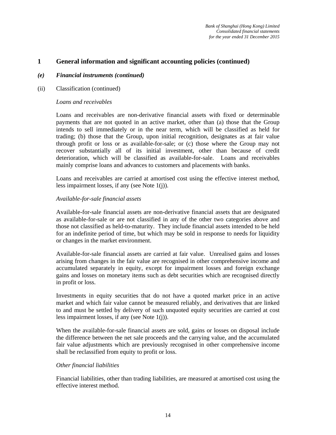#### *(e) Financial instruments (continued)*

(ii) Classification (continued)

#### *Loans and receivables*

Loans and receivables are non-derivative financial assets with fixed or determinable payments that are not quoted in an active market, other than (a) those that the Group intends to sell immediately or in the near term, which will be classified as held for trading; (b) those that the Group, upon initial recognition, designates as at fair value through profit or loss or as available-for-sale; or (c) those where the Group may not recover substantially all of its initial investment, other than because of credit deterioration, which will be classified as available-for-sale. Loans and receivables mainly comprise loans and advances to customers and placements with banks.

Loans and receivables are carried at amortised cost using the effective interest method, less impairment losses, if any (see Note 1(j)).

#### *Available-for-sale financial assets*

Available-for-sale financial assets are non-derivative financial assets that are designated as available-for-sale or are not classified in any of the other two categories above and those not classified as held-to-maturity. They include financial assets intended to be held for an indefinite period of time, but which may be sold in response to needs for liquidity or changes in the market environment.

Available-for-sale financial assets are carried at fair value. Unrealised gains and losses arising from changes in the fair value are recognised in other comprehensive income and accumulated separately in equity, except for impairment losses and foreign exchange gains and losses on monetary items such as debt securities which are recognised directly in profit or loss.

Investments in equity securities that do not have a quoted market price in an active market and which fair value cannot be measured reliably, and derivatives that are linked to and must be settled by delivery of such unquoted equity securities are carried at cost less impairment losses, if any (see Note 1(j)).

When the available-for-sale financial assets are sold, gains or losses on disposal include the difference between the net sale proceeds and the carrying value, and the accumulated fair value adjustments which are previously recognised in other comprehensive income shall be reclassified from equity to profit or loss.

#### *Other financial liabilities*

Financial liabilities, other than trading liabilities, are measured at amortised cost using the effective interest method.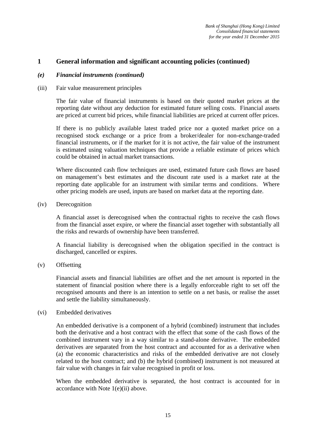#### *(e) Financial instruments (continued)*

#### (iii) Fair value measurement principles

The fair value of financial instruments is based on their quoted market prices at the reporting date without any deduction for estimated future selling costs. Financial assets are priced at current bid prices, while financial liabilities are priced at current offer prices.

If there is no publicly available latest traded price nor a quoted market price on a recognised stock exchange or a price from a broker/dealer for non-exchange-traded financial instruments, or if the market for it is not active, the fair value of the instrument is estimated using valuation techniques that provide a reliable estimate of prices which could be obtained in actual market transactions.

Where discounted cash flow techniques are used, estimated future cash flows are based on management's best estimates and the discount rate used is a market rate at the reporting date applicable for an instrument with similar terms and conditions. Where other pricing models are used, inputs are based on market data at the reporting date.

(iv) Derecognition

A financial asset is derecognised when the contractual rights to receive the cash flows from the financial asset expire, or where the financial asset together with substantially all the risks and rewards of ownership have been transferred.

A financial liability is derecognised when the obligation specified in the contract is discharged, cancelled or expires.

(v) Offsetting

Financial assets and financial liabilities are offset and the net amount is reported in the statement of financial position where there is a legally enforceable right to set off the recognised amounts and there is an intention to settle on a net basis, or realise the asset and settle the liability simultaneously.

#### (vi) Embedded derivatives

An embedded derivative is a component of a hybrid (combined) instrument that includes both the derivative and a host contract with the effect that some of the cash flows of the combined instrument vary in a way similar to a stand-alone derivative. The embedded derivatives are separated from the host contract and accounted for as a derivative when (a) the economic characteristics and risks of the embedded derivative are not closely related to the host contract; and (b) the hybrid (combined) instrument is not measured at fair value with changes in fair value recognised in profit or loss.

When the embedded derivative is separated, the host contract is accounted for in accordance with Note 1(e)(ii) above.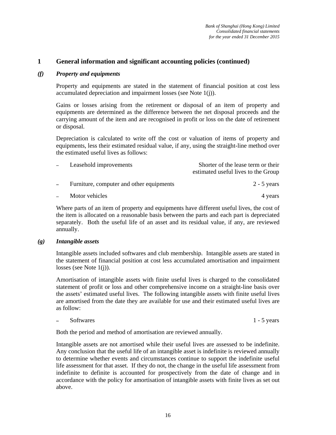#### *(f) Property and equipments*

Property and equipments are stated in the statement of financial position at cost less accumulated depreciation and impairment losses (see Note 1(j)).

Gains or losses arising from the retirement or disposal of an item of property and equipments are determined as the difference between the net disposal proceeds and the carrying amount of the item and are recognised in profit or loss on the date of retirement or disposal.

Depreciation is calculated to write off the cost or valuation of items of property and equipments, less their estimated residual value, if any, using the straight-line method over the estimated useful lives as follows:

| $\overline{\phantom{0}}$ | Leasehold improvements                   | Shorter of the lease term or their<br>estimated useful lives to the Group |
|--------------------------|------------------------------------------|---------------------------------------------------------------------------|
|                          | Furniture, computer and other equipments | $2 - 5$ years                                                             |
|                          | Motor vehicles                           | 4 years                                                                   |

Where parts of an item of property and equipments have different useful lives, the cost of the item is allocated on a reasonable basis between the parts and each part is depreciated separately. Both the useful life of an asset and its residual value, if any, are reviewed annually.

#### *(g) Intangible assets*

Intangible assets included softwares and club membership. Intangible assets are stated in the statement of financial position at cost less accumulated amortisation and impairment losses (see Note 1(j)).

Amortisation of intangible assets with finite useful lives is charged to the consolidated statement of profit or loss and other comprehensive income on a straight-line basis over the assets' estimated useful lives. The following intangible assets with finite useful lives are amortised from the date they are available for use and their estimated useful lives are as follow:

#### Softwares 1 - 5 years 1 - 5 years 1 - 5 years 1 - 5 years 1 - 5 years 1 - 5 years 1 - 5 years 1 - 5 years 1 - 5 years 1 - 5 years 1 - 5 years 1 - 5 years 1 - 5 years 1 - 5 years 1 - 5 years 1 - 5 years 1 - 5 years 1 - 1 -

Both the period and method of amortisation are reviewed annually.

Intangible assets are not amortised while their useful lives are assessed to be indefinite. Any conclusion that the useful life of an intangible asset is indefinite is reviewed annually to determine whether events and circumstances continue to support the indefinite useful life assessment for that asset. If they do not, the change in the useful life assessment from indefinite to definite is accounted for prospectively from the date of change and in accordance with the policy for amortisation of intangible assets with finite lives as set out above.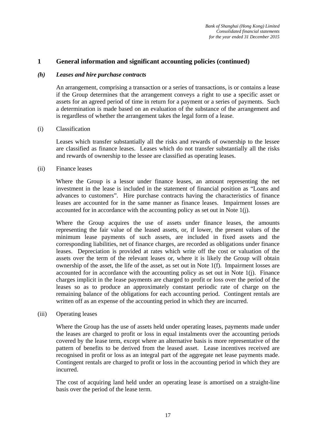#### *(h) Leases and hire purchase contracts*

An arrangement, comprising a transaction or a series of transactions, is or contains a lease if the Group determines that the arrangement conveys a right to use a specific asset or assets for an agreed period of time in return for a payment or a series of payments. Such a determination is made based on an evaluation of the substance of the arrangement and is regardless of whether the arrangement takes the legal form of a lease.

#### (i) Classification

Leases which transfer substantially all the risks and rewards of ownership to the lessee are classified as finance leases. Leases which do not transfer substantially all the risks and rewards of ownership to the lessee are classified as operating leases.

#### (ii) Finance leases

Where the Group is a lessor under finance leases, an amount representing the net investment in the lease is included in the statement of financial position as "Loans and advances to customers". Hire purchase contracts having the characteristics of finance leases are accounted for in the same manner as finance leases. Impairment losses are accounted for in accordance with the accounting policy as set out in Note 1(j).

Where the Group acquires the use of assets under finance leases, the amounts representing the fair value of the leased assets, or, if lower, the present values of the minimum lease payments of such assets, are included in fixed assets and the corresponding liabilities, net of finance charges, are recorded as obligations under finance leases. Depreciation is provided at rates which write off the cost or valuation of the assets over the term of the relevant leases or, where it is likely the Group will obtain ownership of the asset, the life of the asset, as set out in Note 1(f). Impairment losses are accounted for in accordance with the accounting policy as set out in Note  $1(i)$ . Finance charges implicit in the lease payments are charged to profit or loss over the period of the leases so as to produce an approximately constant periodic rate of charge on the remaining balance of the obligations for each accounting period. Contingent rentals are written off as an expense of the accounting period in which they are incurred.

#### (iii) Operating leases

Where the Group has the use of assets held under operating leases, payments made under the leases are charged to profit or loss in equal instalments over the accounting periods covered by the lease term, except where an alternative basis is more representative of the pattern of benefits to be derived from the leased asset. Lease incentives received are recognised in profit or loss as an integral part of the aggregate net lease payments made. Contingent rentals are charged to profit or loss in the accounting period in which they are incurred.

The cost of acquiring land held under an operating lease is amortised on a straight-line basis over the period of the lease term.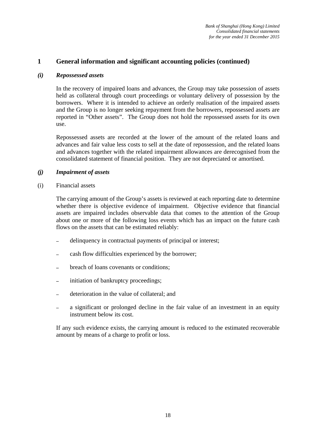#### *(i) Repossessed assets*

In the recovery of impaired loans and advances, the Group may take possession of assets held as collateral through court proceedings or voluntary delivery of possession by the borrowers. Where it is intended to achieve an orderly realisation of the impaired assets and the Group is no longer seeking repayment from the borrowers, repossessed assets are reported in "Other assets". The Group does not hold the repossessed assets for its own use.

Repossessed assets are recorded at the lower of the amount of the related loans and advances and fair value less costs to sell at the date of repossession, and the related loans and advances together with the related impairment allowances are derecognised from the consolidated statement of financial position. They are not depreciated or amortised.

#### *(j) Impairment of assets*

(i) Financial assets

The carrying amount of the Group's assets is reviewed at each reporting date to determine whether there is objective evidence of impairment. Objective evidence that financial assets are impaired includes observable data that comes to the attention of the Group about one or more of the following loss events which has an impact on the future cash flows on the assets that can be estimated reliably:

- delinquency in contractual payments of principal or interest;
- cash flow difficulties experienced by the borrower;
- breach of loans covenants or conditions;
- initiation of bankruptcy proceedings;
- deterioration in the value of collateral; and
- a significant or prolonged decline in the fair value of an investment in an equity instrument below its cost.

If any such evidence exists, the carrying amount is reduced to the estimated recoverable amount by means of a charge to profit or loss.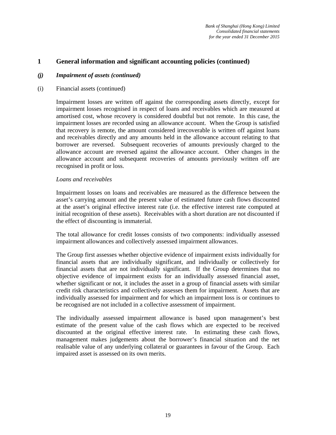#### *(j) Impairment of assets (continued)*

#### (i) Financial assets (continued)

Impairment losses are written off against the corresponding assets directly, except for impairment losses recognised in respect of loans and receivables which are measured at amortised cost, whose recovery is considered doubtful but not remote. In this case, the impairment losses are recorded using an allowance account. When the Group is satisfied that recovery is remote, the amount considered irrecoverable is written off against loans and receivables directly and any amounts held in the allowance account relating to that borrower are reversed. Subsequent recoveries of amounts previously charged to the allowance account are reversed against the allowance account. Other changes in the allowance account and subsequent recoveries of amounts previously written off are recognised in profit or loss.

#### *Loans and receivables*

Impairment losses on loans and receivables are measured as the difference between the asset's carrying amount and the present value of estimated future cash flows discounted at the asset's original effective interest rate (i.e. the effective interest rate computed at initial recognition of these assets). Receivables with a short duration are not discounted if the effect of discounting is immaterial.

The total allowance for credit losses consists of two components: individually assessed impairment allowances and collectively assessed impairment allowances.

The Group first assesses whether objective evidence of impairment exists individually for financial assets that are individually significant, and individually or collectively for financial assets that are not individually significant. If the Group determines that no objective evidence of impairment exists for an individually assessed financial asset, whether significant or not, it includes the asset in a group of financial assets with similar credit risk characteristics and collectively assesses them for impairment. Assets that are individually assessed for impairment and for which an impairment loss is or continues to be recognised are not included in a collective assessment of impairment.

The individually assessed impairment allowance is based upon management's best estimate of the present value of the cash flows which are expected to be received discounted at the original effective interest rate. In estimating these cash flows, management makes judgements about the borrower's financial situation and the net realisable value of any underlying collateral or guarantees in favour of the Group. Each impaired asset is assessed on its own merits.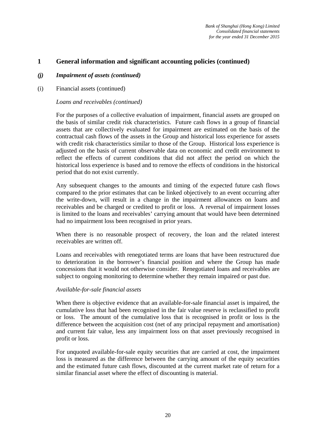#### *(j) Impairment of assets (continued)*

(i) Financial assets (continued)

#### *Loans and receivables (continued)*

For the purposes of a collective evaluation of impairment, financial assets are grouped on the basis of similar credit risk characteristics. Future cash flows in a group of financial assets that are collectively evaluated for impairment are estimated on the basis of the contractual cash flows of the assets in the Group and historical loss experience for assets with credit risk characteristics similar to those of the Group. Historical loss experience is adjusted on the basis of current observable data on economic and credit environment to reflect the effects of current conditions that did not affect the period on which the historical loss experience is based and to remove the effects of conditions in the historical period that do not exist currently.

Any subsequent changes to the amounts and timing of the expected future cash flows compared to the prior estimates that can be linked objectively to an event occurring after the write-down, will result in a change in the impairment allowances on loans and receivables and be charged or credited to profit or loss. A reversal of impairment losses is limited to the loans and receivables' carrying amount that would have been determined had no impairment loss been recognised in prior years.

When there is no reasonable prospect of recovery, the loan and the related interest receivables are written off.

Loans and receivables with renegotiated terms are loans that have been restructured due to deterioration in the borrower's financial position and where the Group has made concessions that it would not otherwise consider. Renegotiated loans and receivables are subject to ongoing monitoring to determine whether they remain impaired or past due.

#### *Available-for-sale financial assets*

When there is objective evidence that an available-for-sale financial asset is impaired, the cumulative loss that had been recognised in the fair value reserve is reclassified to profit or loss. The amount of the cumulative loss that is recognised in profit or loss is the difference between the acquisition cost (net of any principal repayment and amortisation) and current fair value, less any impairment loss on that asset previously recognised in profit or loss.

For unquoted available-for-sale equity securities that are carried at cost, the impairment loss is measured as the difference between the carrying amount of the equity securities and the estimated future cash flows, discounted at the current market rate of return for a similar financial asset where the effect of discounting is material.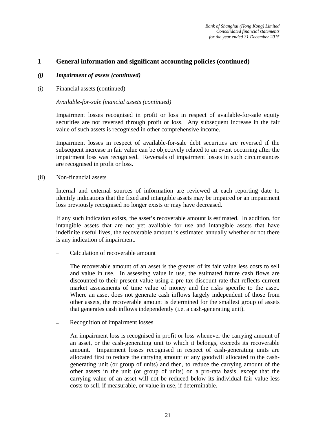#### *(j) Impairment of assets (continued)*

(i) Financial assets (continued)

#### *Available-for-sale financial assets (continued)*

Impairment losses recognised in profit or loss in respect of available-for-sale equity securities are not reversed through profit or loss. Any subsequent increase in the fair value of such assets is recognised in other comprehensive income.

Impairment losses in respect of available-for-sale debt securities are reversed if the subsequent increase in fair value can be objectively related to an event occurring after the impairment loss was recognised. Reversals of impairment losses in such circumstances are recognised in profit or loss.

(ii) Non-financial assets

Internal and external sources of information are reviewed at each reporting date to identify indications that the fixed and intangible assets may be impaired or an impairment loss previously recognised no longer exists or may have decreased.

If any such indication exists, the asset's recoverable amount is estimated. In addition, for intangible assets that are not yet available for use and intangible assets that have indefinite useful lives, the recoverable amount is estimated annually whether or not there is any indication of impairment.

Calculation of recoverable amount

The recoverable amount of an asset is the greater of its fair value less costs to sell and value in use. In assessing value in use, the estimated future cash flows are discounted to their present value using a pre-tax discount rate that reflects current market assessments of time value of money and the risks specific to the asset. Where an asset does not generate cash inflows largely independent of those from other assets, the recoverable amount is determined for the smallest group of assets that generates cash inflows independently (i.e. a cash-generating unit).

Recognition of impairment losses

An impairment loss is recognised in profit or loss whenever the carrying amount of an asset, or the cash-generating unit to which it belongs, exceeds its recoverable amount. Impairment losses recognised in respect of cash-generating units are allocated first to reduce the carrying amount of any goodwill allocated to the cashgenerating unit (or group of units) and then, to reduce the carrying amount of the other assets in the unit (or group of units) on a pro-rata basis, except that the carrying value of an asset will not be reduced below its individual fair value less costs to sell, if measurable, or value in use, if determinable.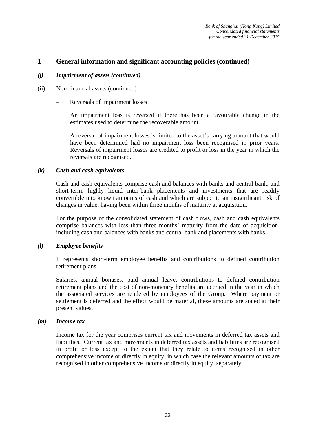#### *(j) Impairment of assets (continued)*

- (ii) Non-financial assets (continued)
	- Reversals of impairment losses

An impairment loss is reversed if there has been a favourable change in the estimates used to determine the recoverable amount.

A reversal of impairment losses is limited to the asset's carrying amount that would have been determined had no impairment loss been recognised in prior years. Reversals of impairment losses are credited to profit or loss in the year in which the reversals are recognised.

#### *(k) Cash and cash equivalents*

Cash and cash equivalents comprise cash and balances with banks and central bank, and short-term, highly liquid inter-bank placements and investments that are readily convertible into known amounts of cash and which are subject to an insignificant risk of changes in value, having been within three months of maturity at acquisition.

For the purpose of the consolidated statement of cash flows, cash and cash equivalents comprise balances with less than three months' maturity from the date of acquisition, including cash and balances with banks and central bank and placements with banks.

#### *(l) Employee benefits*

It represents short-term employee benefits and contributions to defined contribution retirement plans.

Salaries, annual bonuses, paid annual leave, contributions to defined contribution retirement plans and the cost of non-monetary benefits are accrued in the year in which the associated services are rendered by employees of the Group. Where payment or settlement is deferred and the effect would be material, these amounts are stated at their present values.

#### *(m) Income tax*

Income tax for the year comprises current tax and movements in deferred tax assets and liabilities. Current tax and movements in deferred tax assets and liabilities are recognised in profit or loss except to the extent that they relate to items recognised in other comprehensive income or directly in equity, in which case the relevant amounts of tax are recognised in other comprehensive income or directly in equity, separately.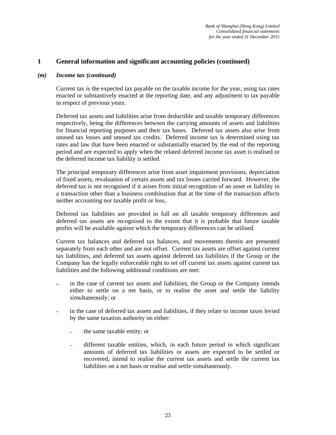#### *(m) Income tax (continued)*

Current tax is the expected tax payable on the taxable income for the year, using tax rates enacted or substantively enacted at the reporting date, and any adjustment to tax payable in respect of previous years.

Deferred tax assets and liabilities arise from deductible and taxable temporary differences respectively, being the differences between the carrying amounts of assets and liabilities for financial reporting purposes and their tax bases. Deferred tax assets also arise from unused tax losses and unused tax credits. Deferred income tax is determined using tax rates and law that have been enacted or substantially enacted by the end of the reporting period and are expected to apply when the related deferred income tax asset is realised or the deferred income tax liability is settled.

The principal temporary differences arise from asset impairment provisions, depreciation of fixed assets, revaluation of certain assets and tax losses carried forward. However, the deferred tax is not recognised if it arises from initial recognition of an asset or liability in a transaction other than a business combination that at the time of the transaction affects neither accounting nor taxable profit or loss.

Deferred tax liabilities are provided in full on all taxable temporary differences and deferred tax assets are recognised to the extent that it is probable that future taxable profits will be available against which the temporary differences can be utilised.

Current tax balances and deferred tax balances, and movements therein are presented separately from each other and are not offset. Current tax assets are offset against current tax liabilities, and deferred tax assets against deferred tax liabilities if the Group or the Company has the legally enforceable right to set off current tax assets against current tax liabilities and the following additional conditions are met:

- in the case of current tax assets and liabilities, the Group or the Company intends either to settle on a net basis, or to realise the asset and settle the liability simultaneously; or
- in the case of deferred tax assets and liabilities, if they relate to income taxes levied by the same taxation authority on either:
	- the same taxable entity; or
	- different taxable entities, which, in each future period in which significant amounts of deferred tax liabilities or assets are expected to be settled or recovered, intend to realise the current tax assets and settle the current tax liabilities on a net basis or realise and settle simultaneously.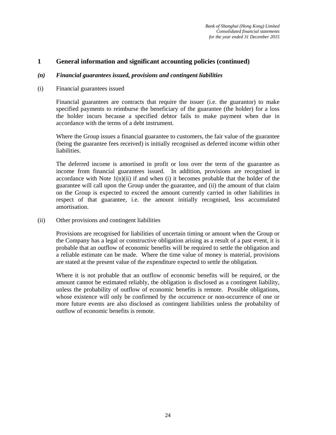#### *(n) Financial guarantees issued, provisions and contingent liabilities*

#### (i) Financial guarantees issued

Financial guarantees are contracts that require the issuer (i.e. the guarantor) to make specified payments to reimburse the beneficiary of the guarantee (the holder) for a loss the holder incurs because a specified debtor fails to make payment when due in accordance with the terms of a debt instrument.

Where the Group issues a financial guarantee to customers, the fair value of the guarantee (being the guarantee fees received) is initially recognised as deferred income within other liabilities.

The deferred income is amortised in profit or loss over the term of the guarantee as income from financial guarantees issued. In addition, provisions are recognised in accordance with Note  $1(n)(ii)$  if and when (i) it becomes probable that the holder of the guarantee will call upon the Group under the guarantee, and (ii) the amount of that claim on the Group is expected to exceed the amount currently carried in other liabilities in respect of that guarantee, i.e. the amount initially recognised, less accumulated amortisation.

(ii) Other provisions and contingent liabilities

Provisions are recognised for liabilities of uncertain timing or amount when the Group or the Company has a legal or constructive obligation arising as a result of a past event, it is probable that an outflow of economic benefits will be required to settle the obligation and a reliable estimate can be made. Where the time value of money is material, provisions are stated at the present value of the expenditure expected to settle the obligation.

Where it is not probable that an outflow of economic benefits will be required, or the amount cannot be estimated reliably, the obligation is disclosed as a contingent liability, unless the probability of outflow of economic benefits is remote. Possible obligations, whose existence will only be confirmed by the occurrence or non-occurrence of one or more future events are also disclosed as contingent liabilities unless the probability of outflow of economic benefits is remote.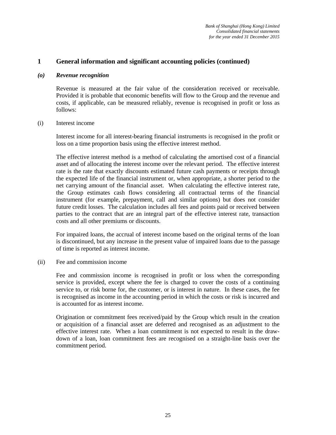#### *(o) Revenue recognition*

Revenue is measured at the fair value of the consideration received or receivable. Provided it is probable that economic benefits will flow to the Group and the revenue and costs, if applicable, can be measured reliably, revenue is recognised in profit or loss as follows:

#### (i) Interest income

Interest income for all interest-bearing financial instruments is recognised in the profit or loss on a time proportion basis using the effective interest method.

The effective interest method is a method of calculating the amortised cost of a financial asset and of allocating the interest income over the relevant period. The effective interest rate is the rate that exactly discounts estimated future cash payments or receipts through the expected life of the financial instrument or, when appropriate, a shorter period to the net carrying amount of the financial asset. When calculating the effective interest rate, the Group estimates cash flows considering all contractual terms of the financial instrument (for example, prepayment, call and similar options) but does not consider future credit losses. The calculation includes all fees and points paid or received between parties to the contract that are an integral part of the effective interest rate, transaction costs and all other premiums or discounts.

For impaired loans, the accrual of interest income based on the original terms of the loan is discontinued, but any increase in the present value of impaired loans due to the passage of time is reported as interest income.

#### (ii) Fee and commission income

Fee and commission income is recognised in profit or loss when the corresponding service is provided, except where the fee is charged to cover the costs of a continuing service to, or risk borne for, the customer, or is interest in nature. In these cases, the fee is recognised as income in the accounting period in which the costs or risk is incurred and is accounted for as interest income.

Origination or commitment fees received/paid by the Group which result in the creation or acquisition of a financial asset are deferred and recognised as an adjustment to the effective interest rate. When a loan commitment is not expected to result in the drawdown of a loan, loan commitment fees are recognised on a straight-line basis over the commitment period.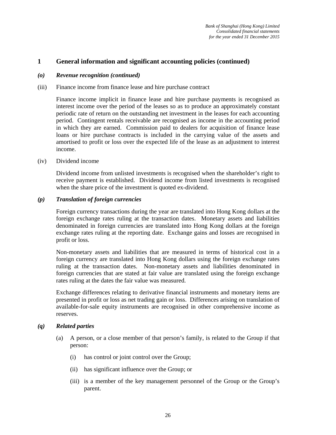#### *(o) Revenue recognition (continued)*

#### (iii) Finance income from finance lease and hire purchase contract

Finance income implicit in finance lease and hire purchase payments is recognised as interest income over the period of the leases so as to produce an approximately constant periodic rate of return on the outstanding net investment in the leases for each accounting period. Contingent rentals receivable are recognised as income in the accounting period in which they are earned. Commission paid to dealers for acquisition of finance lease loans or hire purchase contracts is included in the carrying value of the assets and amortised to profit or loss over the expected life of the lease as an adjustment to interest income.

#### (iv) Dividend income

Dividend income from unlisted investments is recognised when the shareholder's right to receive payment is established. Dividend income from listed investments is recognised when the share price of the investment is quoted ex-dividend.

#### *(p) Translation of foreign currencies*

Foreign currency transactions during the year are translated into Hong Kong dollars at the foreign exchange rates ruling at the transaction dates. Monetary assets and liabilities denominated in foreign currencies are translated into Hong Kong dollars at the foreign exchange rates ruling at the reporting date. Exchange gains and losses are recognised in profit or loss.

Non-monetary assets and liabilities that are measured in terms of historical cost in a foreign currency are translated into Hong Kong dollars using the foreign exchange rates ruling at the transaction dates. Non-monetary assets and liabilities denominated in foreign currencies that are stated at fair value are translated using the foreign exchange rates ruling at the dates the fair value was measured.

Exchange differences relating to derivative financial instruments and monetary items are presented in profit or loss as net trading gain or loss. Differences arising on translation of available-for-sale equity instruments are recognised in other comprehensive income as reserves.

#### *(q) Related parties*

- (a) A person, or a close member of that person's family, is related to the Group if that person:
	- (i) has control or joint control over the Group;
	- (ii) has significant influence over the Group; or
	- (iii) is a member of the key management personnel of the Group or the Group's parent.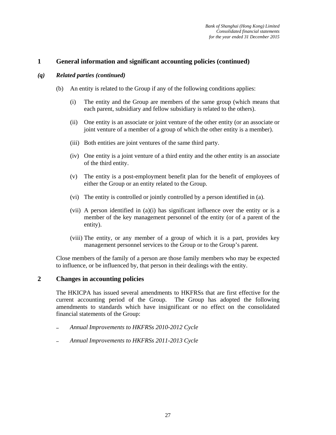#### *(q) Related parties (continued)*

- (b) An entity is related to the Group if any of the following conditions applies:
	- (i) The entity and the Group are members of the same group (which means that each parent, subsidiary and fellow subsidiary is related to the others).
	- (ii) One entity is an associate or joint venture of the other entity (or an associate or joint venture of a member of a group of which the other entity is a member).
	- (iii) Both entities are joint ventures of the same third party.
	- (iv) One entity is a joint venture of a third entity and the other entity is an associate of the third entity.
	- (v) The entity is a post-employment benefit plan for the benefit of employees of either the Group or an entity related to the Group.
	- (vi) The entity is controlled or jointly controlled by a person identified in (a).
	- (vii) A person identified in (a)(i) has significant influence over the entity or is a member of the key management personnel of the entity (or of a parent of the entity).
	- (viii) The entity, or any member of a group of which it is a part, provides key management personnel services to the Group or to the Group's parent.

Close members of the family of a person are those family members who may be expected to influence, or be influenced by, that person in their dealings with the entity.

#### **2 Changes in accounting policies**

The HKICPA has issued several amendments to HKFRSs that are first effective for the current accounting period of the Group. The Group has adopted the following amendments to standards which have insignificant or no effect on the consolidated financial statements of the Group:

- *Annual Improvements to HKFRSs 2010-2012 Cycle*
- *Annual Improvements to HKFRSs 2011-2013 Cycle*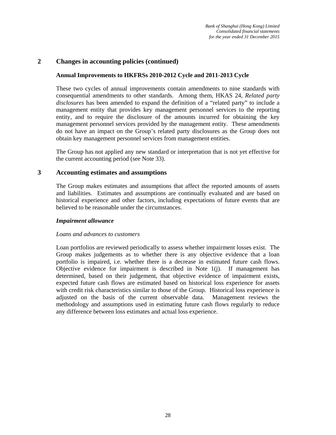#### **2 Changes in accounting policies (continued)**

#### **Annual Improvements to HKFRSs 2010-2012 Cycle and 2011-2013 Cycle**

These two cycles of annual improvements contain amendments to nine standards with consequential amendments to other standards. Among them, HKAS 24, *Related party disclosures* has been amended to expand the definition of a "related party" to include a management entity that provides key management personnel services to the reporting entity, and to require the disclosure of the amounts incurred for obtaining the key management personnel services provided by the management entity. These amendments do not have an impact on the Group's related party disclosures as the Group does not obtain key management personnel services from management entities.

The Group has not applied any new standard or interpretation that is not yet effective for the current accounting period (see Note 33).

#### **3 Accounting estimates and assumptions**

The Group makes estimates and assumptions that affect the reported amounts of assets and liabilities. Estimates and assumptions are continually evaluated and are based on historical experience and other factors, including expectations of future events that are believed to be reasonable under the circumstances.

#### *Impairment allowance*

#### *Loans and advances to customers*

Loan portfolios are reviewed periodically to assess whether impairment losses exist. The Group makes judgements as to whether there is any objective evidence that a loan portfolio is impaired, i.e. whether there is a decrease in estimated future cash flows. Objective evidence for impairment is described in Note 1(j). If management has determined, based on their judgement, that objective evidence of impairment exists, expected future cash flows are estimated based on historical loss experience for assets with credit risk characteristics similar to those of the Group. Historical loss experience is adjusted on the basis of the current observable data. Management reviews the methodology and assumptions used in estimating future cash flows regularly to reduce any difference between loss estimates and actual loss experience.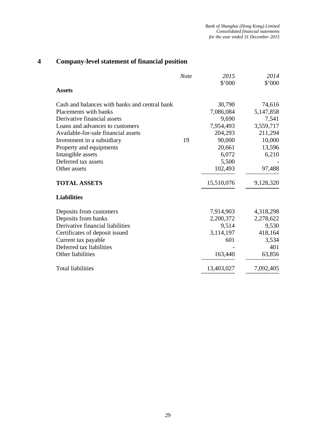### **4 Company-level statement of financial position**

|                                               | <b>Note</b> | 2015        | 2014      |
|-----------------------------------------------|-------------|-------------|-----------|
|                                               |             | \$'000      | \$'000    |
| <b>Assets</b>                                 |             |             |           |
| Cash and balances with banks and central bank |             | 30,790      | 74,616    |
| Placements with banks                         |             | 7,086,084   | 5,147,858 |
| Derivative financial assets                   |             | 9,690       | 7,541     |
| Loans and advances to customers               |             | 7,954,493   | 3,559,717 |
| Available-for-sale financial assets           |             | 204,293     | 211,294   |
| Investment in a subsidiary                    | 19          | 90,000      | 10,000    |
| Property and equipments                       |             | 20,661      | 13,596    |
| Intangible assets                             |             | 6,072       | 6,210     |
| Deferred tax assets                           |             | 5,500       |           |
| Other assets                                  |             | 102,493     | 97,488    |
| <b>TOTAL ASSETS</b>                           |             | 15,510,076  | 9,128,320 |
| <b>Liabilities</b>                            |             |             |           |
| Deposits from customers                       |             | 7,914,903   | 4,318,298 |
| Deposits from banks                           |             | 2,200,372   | 2,278,622 |
| Derivative financial liabilities              |             | 9,514       | 9,530     |
| Certificates of deposit issued                |             | 3, 114, 197 | 418,164   |
| Current tax payable                           |             | 601         | 3,534     |
| Deferred tax liabilities                      |             |             | 401       |
| Other liabilities                             |             | 163,440     | 63,856    |
| <b>Total liabilities</b>                      |             | 13,403,027  | 7,092,405 |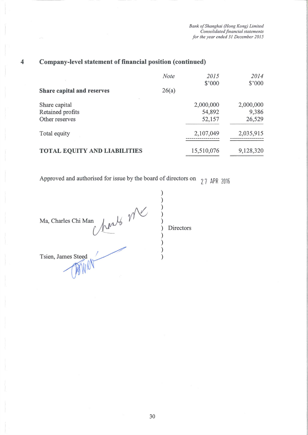#### Company-level statement of financial position (continued)  $\overline{\mathbf{4}}$

|                                                     | Note  | 2015<br>\$'000                | 2014<br>\$'000               |
|-----------------------------------------------------|-------|-------------------------------|------------------------------|
| Share capital and reserves                          | 26(a) |                               |                              |
| Share capital<br>Retained profits<br>Other reserves |       | 2,000,000<br>54,892<br>52,157 | 2,000,000<br>9,386<br>26,529 |
| Total equity                                        |       | 2,107,049                     | 2,035,915                    |
| <b>TOTAL EQUITY AND LIABILITIES</b>                 |       | 15,510,076                    | 9,128,320                    |

Approved and authorised for issue by the board of directors on  $27$  APR 2016

Marts Mr Ma, Charles Chi Man  $\mathcal{E}$  $\mathcal{E}$ Tsien, James Steed  $\mathcal{E}$ 

Directors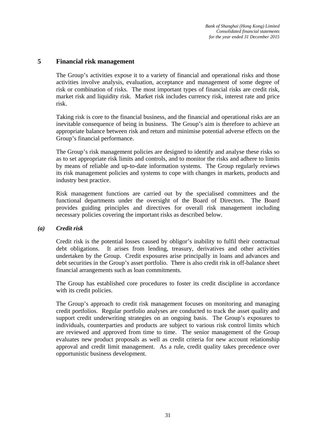#### **5 Financial risk management**

The Group's activities expose it to a variety of financial and operational risks and those activities involve analysis, evaluation, acceptance and management of some degree of risk or combination of risks. The most important types of financial risks are credit risk, market risk and liquidity risk. Market risk includes currency risk, interest rate and price risk.

Taking risk is core to the financial business, and the financial and operational risks are an inevitable consequence of being in business. The Group's aim is therefore to achieve an appropriate balance between risk and return and minimise potential adverse effects on the Group's financial performance.

The Group's risk management policies are designed to identify and analyse these risks so as to set appropriate risk limits and controls, and to monitor the risks and adhere to limits by means of reliable and up-to-date information systems. The Group regularly reviews its risk management policies and systems to cope with changes in markets, products and industry best practice.

Risk management functions are carried out by the specialised committees and the functional departments under the oversight of the Board of Directors. The Board provides guiding principles and directives for overall risk management including necessary policies covering the important risks as described below.

#### *(a) Credit risk*

Credit risk is the potential losses caused by obligor's inability to fulfil their contractual debt obligations. It arises from lending, treasury, derivatives and other activities undertaken by the Group. Credit exposures arise principally in loans and advances and debt securities in the Group's asset portfolio. There is also credit risk in off-balance sheet financial arrangements such as loan commitments.

The Group has established core procedures to foster its credit discipline in accordance with its credit policies.

The Group's approach to credit risk management focuses on monitoring and managing credit portfolios. Regular portfolio analyses are conducted to track the asset quality and support credit underwriting strategies on an ongoing basis. The Group's exposures to individuals, counterparties and products are subject to various risk control limits which are reviewed and approved from time to time. The senior management of the Group evaluates new product proposals as well as credit criteria for new account relationship approval and credit limit management. As a rule, credit quality takes precedence over opportunistic business development.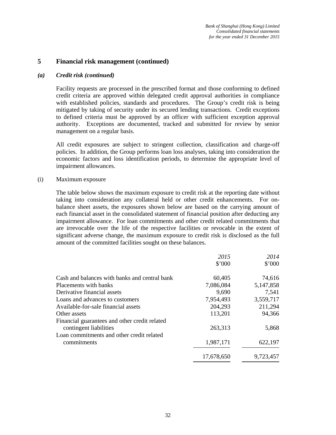#### **5 Financial risk management (continued)**

#### *(a) Credit risk (continued)*

Facility requests are processed in the prescribed format and those conforming to defined credit criteria are approved within delegated credit approval authorities in compliance with established policies, standards and procedures. The Group's credit risk is being mitigated by taking of security under its secured lending transactions. Credit exceptions to defined criteria must be approved by an officer with sufficient exception approval authority. Exceptions are documented, tracked and submitted for review by senior management on a regular basis.

All credit exposures are subject to stringent collection, classification and charge-off policies. In addition, the Group performs loan loss analyses, taking into consideration the economic factors and loss identification periods, to determine the appropriate level of impairment allowances.

#### (i) Maximum exposure

The table below shows the maximum exposure to credit risk at the reporting date without taking into consideration any collateral held or other credit enhancements. For onbalance sheet assets, the exposures shown below are based on the carrying amount of each financial asset in the consolidated statement of financial position after deducting any impairment allowance. For loan commitments and other credit related commitments that are irrevocable over the life of the respective facilities or revocable in the extent of significant adverse change, the maximum exposure to credit risk is disclosed as the full amount of the committed facilities sought on these balances.

|                                                                         | 2015       | 2014      |
|-------------------------------------------------------------------------|------------|-----------|
|                                                                         | \$'000     | \$'000    |
| Cash and balances with banks and central bank                           | 60,405     | 74,616    |
| Placements with banks                                                   | 7,086,084  | 5,147,858 |
| Derivative financial assets                                             | 9,690      | 7,541     |
| Loans and advances to customers                                         | 7,954,493  | 3,559,717 |
| Available-for-sale financial assets                                     | 204,293    | 211,294   |
| Other assets                                                            | 113,201    | 94,366    |
| Financial guarantees and other credit related<br>contingent liabilities | 263,313    | 5,868     |
| Loan commitments and other credit related                               |            |           |
| commitments                                                             | 1,987,171  | 622,197   |
|                                                                         | 17.678.650 | 9,723,457 |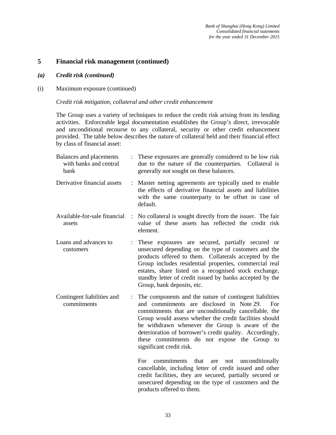#### **5 Financial risk management (continued)**

- *(a) Credit risk (continued)*
- (i) Maximum exposure (continued)

#### *Credit risk mitigation, collateral and other credit enhancement*

The Group uses a variety of techniques to reduce the credit risk arising from its lending activities. Enforceable legal documentation establishes the Group's direct, irrevocable and unconditional recourse to any collateral, security or other credit enhancement provided. The table below describes the nature of collateral held and their financial effect by class of financial asset:

| Balances and placements<br>with banks and central<br>bank |                | These exposures are generally considered to be low risk<br>due to the nature of the counterparties. Collateral is<br>generally not sought on these balances.                                                                                                                                                                                                                                                               |
|-----------------------------------------------------------|----------------|----------------------------------------------------------------------------------------------------------------------------------------------------------------------------------------------------------------------------------------------------------------------------------------------------------------------------------------------------------------------------------------------------------------------------|
| Derivative financial assets                               | $\ddot{\cdot}$ | Master netting agreements are typically used to enable<br>the effects of derivative financial assets and liabilities<br>with the same counterparty to be offset in case of<br>default.                                                                                                                                                                                                                                     |
| Available-for-sale financial<br>assets                    | $\ddot{\cdot}$ | No collateral is sought directly from the issuer. The fair<br>value of these assets has reflected the credit risk<br>element.                                                                                                                                                                                                                                                                                              |
| Loans and advances to<br>customers                        |                | These exposures are secured, partially secured or<br>unsecured depending on the type of customers and the<br>products offered to them. Collaterals accepted by the<br>Group includes residential properties, commercial real<br>estates, share listed on a recognised stock exchange,<br>standby letter of credit issued by banks accepted by the<br>Group, bank deposits, etc.                                            |
| Contingent liabilities and<br>commitments                 | $\ddot{\cdot}$ | The components and the nature of contingent liabilities<br>and commitments are disclosed in Note 29.<br>For<br>commitments that are unconditionally cancellable, the<br>Group would assess whether the credit facilities should<br>be withdrawn whenever the Group is aware of the<br>deterioration of borrower's credit quality. Accordingly,<br>these commitments do not expose the Group to<br>significant credit risk. |
|                                                           |                | For.<br>that<br>commitments<br>unconditionally<br>are<br>not<br>cancellable, including letter of credit issued and other<br>credit facilities, they are secured, partially secured or<br>unsecured depending on the type of customers and the<br>products offered to them.                                                                                                                                                 |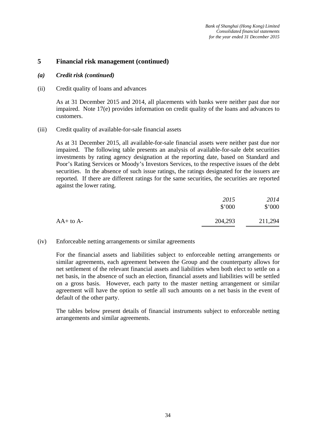#### **5 Financial risk management (continued)**

#### *(a) Credit risk (continued)*

#### (ii) Credit quality of loans and advances

As at 31 December 2015 and 2014, all placements with banks were neither past due nor impaired. Note 17(e) provides information on credit quality of the loans and advances to customers.

#### (iii) Credit quality of available-for-sale financial assets

As at 31 December 2015, all available-for-sale financial assets were neither past due nor impaired. The following table presents an analysis of available-for-sale debt securities investments by rating agency designation at the reporting date, based on Standard and Poor's Rating Services or Moody's Investors Services, to the respective issues of the debt securities. In the absence of such issue ratings, the ratings designated for the issuers are reported. If there are different ratings for the same securities, the securities are reported against the lower rating.

|               | 2015<br>\$'000 | 2014<br>\$'000 |
|---------------|----------------|----------------|
| $AA+$ to $A-$ | 204,293        | 211,294        |

#### (iv) Enforceable netting arrangements or similar agreements

For the financial assets and liabilities subject to enforceable netting arrangements or similar agreements, each agreement between the Group and the counterparty allows for net settlement of the relevant financial assets and liabilities when both elect to settle on a net basis, in the absence of such an election, financial assets and liabilities will be settled on a gross basis. However, each party to the master netting arrangement or similar agreement will have the option to settle all such amounts on a net basis in the event of default of the other party.

The tables below present details of financial instruments subject to enforceable netting arrangements and similar agreements.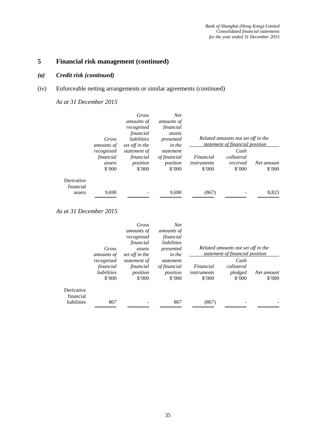## *(a) Credit risk (continued)*

## (iv) Enforceable netting arrangements or similar agreements (continued)

*As at 31 December 2015* 

|                         |                   | Gross             | <b>Net</b>        |                |                                    |                |
|-------------------------|-------------------|-------------------|-------------------|----------------|------------------------------------|----------------|
|                         |                   | <i>amounts of</i> | <i>amounts of</i> |                |                                    |                |
|                         |                   | recognised        | financial         |                |                                    |                |
|                         |                   | financial         | assets            |                |                                    |                |
|                         | Gross             | liabilities       | presented         |                | Related amounts not set off in the |                |
|                         | <i>amounts of</i> | set off in the    | in the            |                | statement of financial position    |                |
|                         | recognised        | statement of      | statement         |                | Cash                               |                |
|                         | financial         | financial         | of financial      | Financial      | collateral                         |                |
|                         | assets            | position          | position          | instruments    | received                           | Net amount     |
|                         | \$7000            | \$'000            | $$^{\circ}000$    | $$^{\circ}000$ | $$^{\circ}000$                     | $$^{\circ}000$ |
| Derivative<br>financial |                   |                   |                   |                |                                    |                |
| assets                  | 9.690             |                   | 9.690             | (867)          |                                    | 8.823          |

|                         |                                    | Gross                           | <b>Net</b>                                 |                                            |                                                                       |                              |
|-------------------------|------------------------------------|---------------------------------|--------------------------------------------|--------------------------------------------|-----------------------------------------------------------------------|------------------------------|
|                         |                                    | <i>amounts of</i>               | <i>amounts of</i>                          |                                            |                                                                       |                              |
|                         |                                    | recognised                      | financial                                  |                                            |                                                                       |                              |
|                         |                                    | financial                       | liabilities                                |                                            |                                                                       |                              |
|                         | Gross<br><i>amounts of</i>         | assets<br>set off in the        | presented<br>in the                        |                                            | Related amounts not set off in the<br>statement of financial position |                              |
|                         | recognised                         | statement of                    | statement                                  |                                            | Cash                                                                  |                              |
|                         | financial<br>liabilities<br>\$'000 | financial<br>position<br>\$'000 | of financial<br>position<br>$$^{\circ}000$ | Financial<br>instruments<br>$$^{\circ}000$ | collateral<br>pledged<br>$$^{\circ}000$                               | Net amount<br>$$^{\circ}000$ |
| Derivative<br>financial |                                    |                                 |                                            |                                            |                                                                       |                              |
| liabilities             | 867                                |                                 | 867                                        | (867)                                      |                                                                       |                              |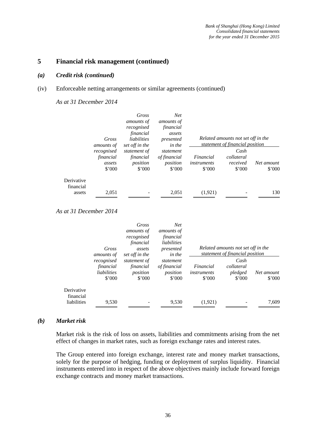#### *(a) Credit risk (continued)*

#### (iv) Enforceable netting arrangements or similar agreements (continued)

*As at 31 December 2014* 

|                         |                   | Gross             | <b>Net</b>     |             |                                    |                |
|-------------------------|-------------------|-------------------|----------------|-------------|------------------------------------|----------------|
|                         |                   | <i>amounts of</i> | amounts of     |             |                                    |                |
|                         |                   | recognised        | financial      |             |                                    |                |
|                         |                   | financial         | assets         |             |                                    |                |
|                         | Gross             | liabilities       | presented      |             | Related amounts not set off in the |                |
|                         | <i>amounts of</i> | set off in the    | in the         |             | statement of financial position    |                |
|                         | recognised        | statement of      | statement      |             | Cash                               |                |
|                         | financial         | financial         | of financial   | Financial   | collateral                         |                |
|                         | assets            | position          | position       | instruments | received                           | Net amount     |
|                         | $$^{\circ}000$    | $$^{\circ}000$    | $$^{\circ}000$ | \$'000      | $$^{\circ}000$                     | $$^{\circ}000$ |
| Derivative<br>financial |                   |                   |                |             |                                    |                |
| assets                  | 2,051             |                   | 2.051          | (1.921)     |                                    | 130            |

### *As at 31 December 2014*

|                                        | Gross<br>amounts of                                      | Gross<br>amounts of<br>recognised<br>financial<br>assets<br>set off in the | <b>Net</b><br><i>amounts of</i><br>financial<br>liabilities<br>presented<br>in the |                                            | Related amounts not set off in the<br>statement of financial position |                              |
|----------------------------------------|----------------------------------------------------------|----------------------------------------------------------------------------|------------------------------------------------------------------------------------|--------------------------------------------|-----------------------------------------------------------------------|------------------------------|
|                                        | recognised<br>financial<br>liabilities<br>$$^{\circ}000$ | statement of<br>financial<br>position<br>\$'000                            | statement<br>of financial<br>position<br>\$'000                                    | Financial<br>instruments<br>$$^{\circ}000$ | Cash<br>collateral<br>pledged<br>$$^{\circ}000$                       | Net amount<br>$$^{\circ}000$ |
| Derivative<br>financial<br>liabilities | 9,530                                                    |                                                                            | 9,530                                                                              | (1,921)                                    |                                                                       | 7,609                        |

#### *(b) Market risk*

Market risk is the risk of loss on assets, liabilities and commitments arising from the net effect of changes in market rates, such as foreign exchange rates and interest rates.

The Group entered into foreign exchange, interest rate and money market transactions, solely for the purpose of hedging, funding or deployment of surplus liquidity. Financial instruments entered into in respect of the above objectives mainly include forward foreign exchange contracts and money market transactions.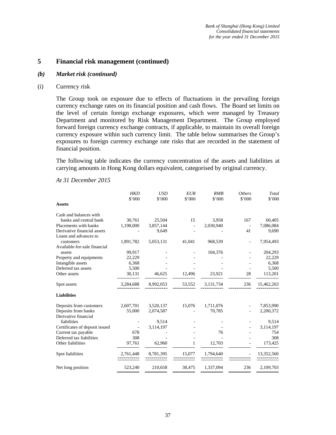#### *(b) Market risk (continued)*

#### (i) Currency risk

The Group took on exposure due to effects of fluctuations in the prevailing foreign currency exchange rates on its financial position and cash flows. The Board set limits on the level of certain foreign exchange exposures, which were managed by Treasury Department and monitored by Risk Management Department. The Group employed forward foreign currency exchange contracts, if applicable, to maintain its overall foreign currency exposure within such currency limit. The table below summarises the Group's exposures to foreign currency exchange rate risks that are recorded in the statement of financial position.

The following table indicates the currency concentration of the assets and liabilities at carrying amounts in Hong Kong dollars equivalent, categorised by original currency.

|                                | <b>HKD</b><br>\$'000 | <b>USD</b><br>\$'000 | <b>EUR</b><br>\$'000 | RMB<br>\$'000 | <b>Others</b><br>\$'000  | Total<br>\$'000 |
|--------------------------------|----------------------|----------------------|----------------------|---------------|--------------------------|-----------------|
| <b>Assets</b>                  |                      |                      |                      |               |                          |                 |
| Cash and balances with         |                      |                      |                      |               |                          |                 |
| banks and central bank         | 30,761               | 25,504               | 15                   | 3,958         | 167                      | 60,405          |
| Placements with banks          | 1,198,000            | 3,857,144            |                      | 2,030,940     | $\overline{\phantom{a}}$ | 7,086,084       |
| Derivative financial assets    |                      | 9,649                |                      |               | 41                       | 9,690           |
| Loans and advances to          |                      |                      |                      |               |                          |                 |
| customers                      | 1,891,782            | 5,053,131            | 41,041               | 968,539       |                          | 7,954,493       |
| Available-for-sale financial   |                      |                      |                      |               |                          |                 |
| assets                         | 99,917               |                      |                      | 104,376       |                          | 204,293         |
| Property and equipments        | 22,229               |                      |                      |               |                          | 22,229          |
| Intangible assets              | 6,368                |                      |                      |               |                          | 6,368           |
| Deferred tax assets            | 5,500                |                      |                      |               |                          | 5,500           |
| Other assets                   | 30,131               | 46,625               | 12,496               | 23,921        | 28                       | 113,201         |
| Spot assets                    | 3,284,688            | 8,992,053            | 53,552               | 3,131,734     | 236                      | 15,462,263      |
| <b>Liabilities</b>             |                      |                      |                      |               |                          |                 |
| Deposits from customers        | 2,607,701            | 3,520,137            | 15,076               | 1,711,076     |                          | 7,853,990       |
| Deposits from banks            | 55,000               | 2,074,587            |                      | 70,785        |                          | 2,200,372       |
| Derivative financial           |                      |                      |                      |               |                          |                 |
| liabilities                    |                      | 9,514                |                      |               |                          | 9,514           |
| Certificates of deposit issued |                      | 3,114,197            |                      |               |                          | 3,114,197       |
| Current tax payable            | 678                  |                      |                      | 76            |                          | 754             |
| Deferred tax liabilities       | 308                  |                      |                      |               |                          | 308             |
| Other liabilities              | 97,761               | 62,960               | 1                    | 12,703        |                          | 173,425         |
| Spot liabilities               | 2,761,448            | 8,781,395            | 15,077               | 1,794,640     |                          | 13,352,560      |
| Net long position              | 523,240              | 210,658              | 38,475               | 1,337,094     | 236                      | 2,109,703       |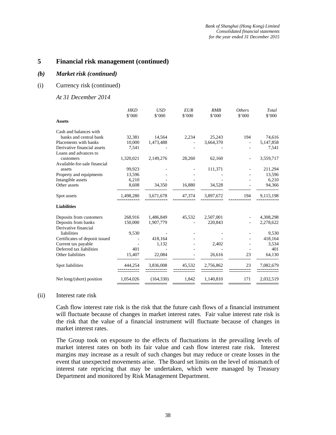#### *(b) Market risk (continued)*

#### (i) Currency risk (continued)

#### *At 31 December 2014*

| <b>Assets</b>                  | <b>HKD</b><br>\$'000 | <b>USD</b><br>\$'000 | <b>EUR</b><br>\$'000 | RMB<br>\$'000 | <b>Others</b><br>\$'000 | Total<br>\$'000 |
|--------------------------------|----------------------|----------------------|----------------------|---------------|-------------------------|-----------------|
| Cash and balances with         |                      |                      |                      |               |                         |                 |
| banks and central bank         | 32,381               | 14,564               | 2,234                | 25,243        | 194                     | 74,616          |
| Placements with banks          | 10,000               | 1,473,488            |                      | 3,664,370     |                         | 5,147,858       |
| Derivative financial assets    | 7,541                |                      |                      |               |                         | 7,541           |
| Loans and advances to          |                      |                      |                      |               |                         |                 |
| customers                      | 1,320,021            | 2,149,276            | 28,260               | 62,160        |                         | 3,559,717       |
| Available-for-sale financial   |                      |                      |                      |               |                         |                 |
| assets                         | 99,923               |                      |                      | 111,371       |                         | 211,294         |
| Property and equipments        | 13,596               |                      |                      |               |                         | 13,596          |
| Intangible assets              | 6,210                |                      |                      |               |                         | 6,210           |
| Other assets                   | 8,608                | 34,350               | 16.880               | 34,528        |                         | 94,366          |
| Spot assets                    | 1,498,280            | 3,671,678            | 47,374               | 3,897,672     | 194                     | 9,115,198       |
| <b>Liabilities</b>             |                      |                      |                      |               |                         |                 |
| Deposits from customers        | 268,916              | 1,486,849            | 45,532               | 2,507,001     |                         | 4,308,298       |
| Deposits from banks            | 150,000              | 1,907,779            |                      | 220,843       |                         | 2,278,622       |
| Derivative financial           |                      |                      |                      |               |                         |                 |
| liabilities                    | 9,530                |                      |                      |               |                         | 9,530           |
| Certificates of deposit issued |                      | 418,164              |                      |               |                         | 418,164         |
| Current tax payable            |                      | 1,132                |                      | 2,402         |                         | 3,534           |
| Deferred tax liabilities       | 401                  |                      |                      |               |                         | 401             |
| Other liabilities              | 15,407               | 22,084               |                      | 26,616        | 23                      | 64,130          |
| Spot liabilities               | 444,254              | 3,836,008            | 45,532               | 2,756,862     | 23                      | 7,082,679       |
| Net long/(short) position      | 1,054,026            | (164, 330)           | 1,842                | 1,140,810     | 171                     | 2,032,519       |

#### (ii) Interest rate risk

Cash flow interest rate risk is the risk that the future cash flows of a financial instrument will fluctuate because of changes in market interest rates. Fair value interest rate risk is the risk that the value of a financial instrument will fluctuate because of changes in market interest rates.

The Group took on exposure to the effects of fluctuations in the prevailing levels of market interest rates on both its fair value and cash flow interest rate risk. Interest margins may increase as a result of such changes but may reduce or create losses in the event that unexpected movements arise. The Board set limits on the level of mismatch of interest rate repricing that may be undertaken, which were managed by Treasury Department and monitored by Risk Management Department.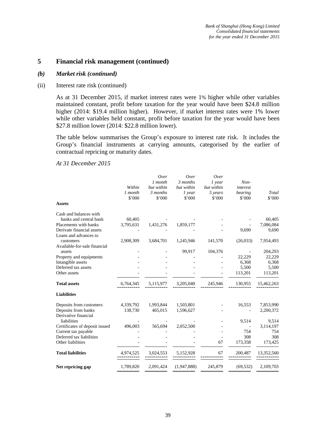#### *(b) Market risk (continued)*

#### (ii) Interest rate risk (continued)

As at 31 December 2015, if market interest rates were 1% higher while other variables maintained constant, profit before taxation for the year would have been \$24.8 million higher (2014: \$19.4 million higher). However, if market interest rates were 1% lower while other variables held constant, profit before taxation for the year would have been \$27.8 million lower (2014: \$22.8 million lower).

The table below summarises the Group's exposure to interest rate risk. It includes the Group's financial instruments at carrying amounts, categorised by the earlier of contractual repricing or maturity dates.

| <b>Assets</b>                  | Within<br>1 month<br>\$'000 | Over<br>1 month<br>but within<br>3 months<br>\$'000 | Over<br>3 months<br>but within<br>$1$ year<br>\$'000 | Over<br>1 year<br>but within<br>5 years<br>\$'000 | $Non-$<br>interest<br>bearing<br>\$'000 | Total<br>\$'000 |
|--------------------------------|-----------------------------|-----------------------------------------------------|------------------------------------------------------|---------------------------------------------------|-----------------------------------------|-----------------|
| Cash and balances with         |                             |                                                     |                                                      |                                                   |                                         |                 |
| banks and central bank         | 60,405                      |                                                     |                                                      |                                                   |                                         | 60,405          |
| Placements with banks          | 3,795,631                   | 1,431,276                                           | 1,859,177                                            |                                                   |                                         | 7,086,084       |
| Derivate financial assets      |                             |                                                     |                                                      |                                                   | 9,690                                   | 9,690           |
| Loans and advances to          |                             |                                                     |                                                      |                                                   |                                         |                 |
| customers                      | 2,908,309                   | 3,684,701                                           | 1,245,946                                            | 141,570                                           | (26,033)                                | 7,954,493       |
| Available-for-sale financial   |                             |                                                     |                                                      |                                                   |                                         |                 |
| assets                         |                             |                                                     | 99,917                                               | 104,376                                           |                                         | 204,293         |
| Property and equipments        |                             |                                                     |                                                      |                                                   | 22,229                                  | 22,229          |
| Intangible assets              |                             |                                                     |                                                      |                                                   | 6,368                                   | 6,368           |
| Deferred tax assets            |                             |                                                     |                                                      |                                                   | 5,500                                   | 5,500           |
| Other assets                   |                             |                                                     |                                                      |                                                   | 113,201                                 | 113,201         |
| <b>Total assets</b>            | 6,764,345                   | 5,115,977                                           | 3,205,040                                            | 245,946                                           | 130,955                                 | 15,462,263      |
| <b>Liabilities</b>             |                             |                                                     |                                                      |                                                   |                                         |                 |
| Deposits from customers        | 4,339,792                   | 1,993,844                                           | 1,503,801                                            |                                                   | 16,553                                  | 7,853,990       |
| Deposits from banks            | 138,730                     | 465,015                                             | 1,596,627                                            |                                                   |                                         | 2,200,372       |
| Derivative financial           |                             |                                                     |                                                      |                                                   |                                         |                 |
| liabilities                    |                             |                                                     |                                                      |                                                   | 9,514                                   | 9,514           |
| Certificates of deposit issued | 496,003                     | 565,694                                             | 2,052,500                                            |                                                   | $\overline{\phantom{a}}$                | 3,114,197       |
| Current tax payable            |                             |                                                     |                                                      |                                                   | 754                                     | 754             |
| Deferred tax liabilities       |                             |                                                     |                                                      |                                                   | 308                                     | 308             |
| Other liabilities              |                             |                                                     |                                                      | 67                                                | 173,358                                 | 173,425         |
| <b>Total liabilities</b>       | 4,974,525                   | 3,024,553                                           | 5,152,928                                            | 67                                                | 200,487                                 | 13,352,560      |
| Net repricing gap              | 1,789,820                   | 2,091,424                                           | (1,947,888)                                          | 245,879                                           | (69, 532)                               | 2,109,703       |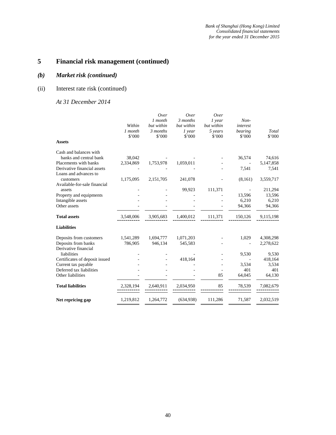## *(b) Market risk (continued)*

## (ii) Interest rate risk (continued)

| <b>Assets</b>                                        | Within<br>1 month<br>\$'000 | Over<br>1 month<br>but within<br>3 months<br>\$'000 | Over<br>3 months<br>but within<br>$1$ year<br>\$'000 | Over<br>$1$ year<br>but within<br>5 years<br>\$'000 | Non-<br>interest<br>bearing<br>\$'000 | Total<br>\$'000 |
|------------------------------------------------------|-----------------------------|-----------------------------------------------------|------------------------------------------------------|-----------------------------------------------------|---------------------------------------|-----------------|
| Cash and balances with                               |                             |                                                     |                                                      |                                                     |                                       |                 |
| banks and central bank                               | 38,042                      |                                                     |                                                      |                                                     | 36,574                                | 74,616          |
| Placements with banks                                | 2,334,869                   | 1,753,978                                           | 1,059,011                                            |                                                     |                                       | 5,147,858       |
| Derivative financial assets<br>Loans and advances to |                             |                                                     |                                                      |                                                     | 7,541                                 | 7,541           |
| customers<br>Available-for-sale financial            | 1,175,095                   | 2,151,705                                           | 241,078                                              |                                                     | (8,161)                               | 3,559,717       |
| assets                                               |                             |                                                     | 99,923                                               | 111,371                                             |                                       | 211,294         |
| Property and equipments                              |                             |                                                     |                                                      |                                                     | 13,596                                | 13,596          |
| Intangible assets                                    |                             |                                                     |                                                      |                                                     | 6,210                                 | 6,210           |
| Other assets                                         |                             |                                                     |                                                      |                                                     | 94,366                                | 94,366          |
| <b>Total assets</b>                                  | 3,548,006                   | 3,905,683                                           | 1,400,012                                            | 111,371                                             | 150,126                               | 9,115,198       |
| <b>Liabilities</b>                                   |                             |                                                     |                                                      |                                                     |                                       |                 |
| Deposits from customers                              | 1,541,289                   | 1,694,777                                           | 1,071,203                                            |                                                     | 1,029                                 | 4,308,298       |
| Deposits from banks                                  | 786,905                     | 946,134                                             | 545,583                                              |                                                     |                                       | 2,278,622       |
| Derivative financial                                 |                             |                                                     |                                                      |                                                     |                                       |                 |
| liabilities                                          |                             |                                                     |                                                      |                                                     | 9,530                                 | 9,530           |
| Certificates of deposit issued                       |                             |                                                     | 418,164                                              |                                                     |                                       | 418,164         |
| Current tax payable                                  |                             |                                                     |                                                      |                                                     | 3,534                                 | 3,534           |
| Deferred tax liabilities                             |                             |                                                     |                                                      |                                                     | 401                                   | 401             |
| Other liabilities                                    |                             |                                                     |                                                      | 85                                                  | 64,045                                | 64,130          |
| <b>Total liabilities</b>                             | 2,328,194                   | 2,640,911                                           | 2,034,950                                            | 85                                                  | 78,539                                | 7,082,679       |
| Net repricing gap                                    | 1,219,812                   | 1,264,772                                           | (634,938)                                            | 111,286                                             | 71,587                                | 2,032,519       |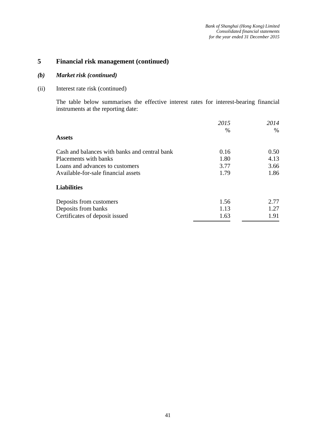## *(b) Market risk (continued)*

(ii) Interest rate risk (continued)

The table below summarises the effective interest rates for interest-bearing financial instruments at the reporting date:

|                                               | 2015 | 2014 |
|-----------------------------------------------|------|------|
|                                               | $\%$ | $\%$ |
| <b>Assets</b>                                 |      |      |
| Cash and balances with banks and central bank | 0.16 | 0.50 |
| Placements with banks                         | 1.80 | 4.13 |
| Loans and advances to customers               | 3.77 | 3.66 |
| Available-for-sale financial assets           | 1.79 | 1.86 |
| <b>Liabilities</b>                            |      |      |
| Deposits from customers                       | 1.56 | 2.77 |
| Deposits from banks                           | 1.13 | 1.27 |
| Certificates of deposit issued                | 1.63 | 1.91 |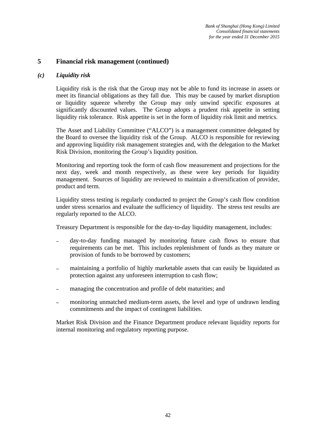#### *(c) Liquidity risk*

Liquidity risk is the risk that the Group may not be able to fund its increase in assets or meet its financial obligations as they fall due. This may be caused by market disruption or liquidity squeeze whereby the Group may only unwind specific exposures at significantly discounted values. The Group adopts a prudent risk appetite in setting liquidity risk tolerance. Risk appetite is set in the form of liquidity risk limit and metrics.

The Asset and Liability Committee ("ALCO") is a management committee delegated by the Board to oversee the liquidity risk of the Group. ALCO is responsible for reviewing and approving liquidity risk management strategies and, with the delegation to the Market Risk Division, monitoring the Group's liquidity position.

Monitoring and reporting took the form of cash flow measurement and projections for the next day, week and month respectively, as these were key periods for liquidity management. Sources of liquidity are reviewed to maintain a diversification of provider, product and term.

Liquidity stress testing is regularly conducted to project the Group's cash flow condition under stress scenarios and evaluate the sufficiency of liquidity. The stress test results are regularly reported to the ALCO.

Treasury Department is responsible for the day-to-day liquidity management, includes:

- day-to-day funding managed by monitoring future cash flows to ensure that requirements can be met. This includes replenishment of funds as they mature or provision of funds to be borrowed by customers;
- maintaining a portfolio of highly marketable assets that can easily be liquidated as protection against any unforeseen interruption to cash flow;
- managing the concentration and profile of debt maturities; and
- monitoring unmatched medium-term assets, the level and type of undrawn lending commitments and the impact of contingent liabilities.

Market Risk Division and the Finance Department produce relevant liquidity reports for internal monitoring and regulatory reporting purpose.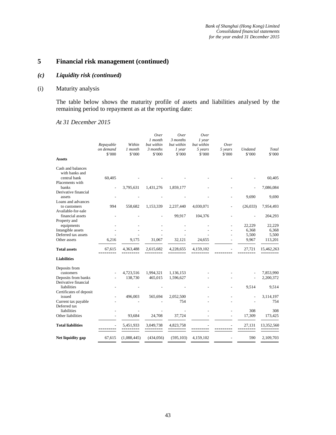### *(c) Liquidity risk (continued)*

## (i) Maturity analysis

The table below shows the maturity profile of assets and liabilities analysed by the remaining period to repayment as at the reporting date:

| <b>Assets</b>                                     | Repayable<br>on demand<br>\$'000 | Within<br>1 month<br>\$'000 | Over<br>1 month<br>but within<br>3 months<br>\$'000 | Over<br>3 months<br>but within<br>$1$ year<br>\$'000 | Over<br>$1$ year<br>but within<br>5 years<br>\$'000 | Over<br>5 years<br>\$'000 | <b>Undated</b><br>\$'000 | Total<br>\$'000        |
|---------------------------------------------------|----------------------------------|-----------------------------|-----------------------------------------------------|------------------------------------------------------|-----------------------------------------------------|---------------------------|--------------------------|------------------------|
| Cash and balances                                 |                                  |                             |                                                     |                                                      |                                                     |                           |                          |                        |
| with banks and<br>central bank<br>Placements with | 60,405                           |                             |                                                     |                                                      |                                                     |                           |                          | 60,405                 |
| banks                                             |                                  | 3,795,631                   | 1,431,276                                           | 1,859,177                                            |                                                     |                           |                          | 7,086,084              |
| Derivative financial<br>assets                    |                                  |                             |                                                     |                                                      |                                                     |                           | 9,690                    | 9,690                  |
| Loans and advances<br>to customers                | 994                              | 558,682                     | 1,153,339                                           | 2,237,440                                            | 4,030,071                                           |                           | (26,033)                 | 7,954,493              |
| Available-for-sale<br>financial assets            |                                  |                             |                                                     | 99,917                                               | 104,376                                             |                           |                          | 204,293                |
| Property and<br>equipments                        |                                  |                             |                                                     |                                                      |                                                     |                           | 22,229                   | 22,229                 |
| Intangible assets<br>Deferred tax assets          |                                  |                             |                                                     |                                                      |                                                     |                           | 6,368<br>5,500           | 6,368<br>5,500         |
| Other assets                                      | 6,216                            | 9,175                       | 31,067                                              | 32,121                                               | 24,655                                              |                           | 9,967                    | 113,201                |
| <b>Total assets</b>                               | 67,615                           | 4,363,488                   | 2,615,682                                           | 4,228,655                                            | 4,159,102                                           |                           | 27,721                   | 15,462,263             |
| <b>Liabilities</b>                                |                                  |                             |                                                     |                                                      |                                                     |                           |                          |                        |
| Deposits from                                     |                                  |                             |                                                     |                                                      |                                                     |                           |                          |                        |
| customers<br>Deposits from banks                  |                                  | 4,723,516<br>138,730        | 1,994,321<br>465,015                                | 1,136,153<br>1,596,627                               |                                                     |                           |                          | 7,853,990<br>2,200,372 |
| Derivative financial<br>liabilities               |                                  |                             |                                                     |                                                      |                                                     |                           | 9,514                    | 9,514                  |
| Certificates of deposit<br>issued                 |                                  | 496,003                     | 565,694                                             | 2,052,500                                            |                                                     |                           |                          | 3,114,197              |
| Current tax payable                               |                                  |                             |                                                     | 754                                                  |                                                     |                           |                          | 754                    |
| Deferred tax<br>liabilities<br>Other liabilities  |                                  | 93,684                      | 24,708                                              | 37,724                                               |                                                     |                           | 308<br>17,309            | 308<br>173,425         |
| <b>Total liabilities</b>                          |                                  | 5,451,933                   | 3,049,738                                           | 4,823,758                                            |                                                     |                           | 27,131                   | 13,352,560             |
|                                                   |                                  |                             |                                                     |                                                      |                                                     |                           |                          |                        |
| Net liquidity gap                                 | 67,615                           | (1,088,445)                 | (434, 056)                                          | (595, 103)                                           | 4,159,102                                           |                           | 590                      | 2,109,703              |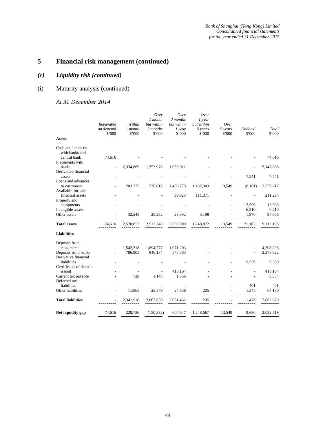## *(c) Liquidity risk (continued)*

## (i) Maturity analysis (continued)

| <b>Assets</b>                                       | Repayable<br>on demand<br>\$'000 | Within<br>1 month<br>\$'000 | Over<br>1 month<br>but within<br>3 months<br>\$'000 | Over<br>3 months<br>but within<br>$1$ year<br>\$'000 | Over<br>$1$ year<br>but within<br>5 years<br>\$'000 | Over<br>5 years<br>\$'000 | Undated<br>\$'000 | Total<br>\$'000 |
|-----------------------------------------------------|----------------------------------|-----------------------------|-----------------------------------------------------|------------------------------------------------------|-----------------------------------------------------|---------------------------|-------------------|-----------------|
|                                                     |                                  |                             |                                                     |                                                      |                                                     |                           |                   |                 |
| Cash and balances<br>with banks and<br>central bank | 74,616                           |                             |                                                     |                                                      |                                                     |                           |                   | 74,616          |
| Placements with<br>banks                            |                                  | 2,334,869                   | 1,753,978                                           | 1,059,011                                            |                                                     |                           |                   | 5,147,858       |
| Derivative financial<br>assets                      |                                  |                             |                                                     |                                                      |                                                     |                           | 7,541             | 7,541           |
| Loans and advances<br>to customers                  |                                  | 203,235                     | 738,018                                             | 1,480,773                                            | 1,132,303                                           | 13,549                    | (8,161)           | 3,559,717       |
| Available-for-sale                                  |                                  |                             |                                                     |                                                      |                                                     |                           |                   |                 |
| financial assets<br>Property and                    |                                  |                             |                                                     | 99,923                                               | 111,371                                             |                           |                   | 211,294         |
| equipments                                          |                                  |                             |                                                     |                                                      |                                                     |                           | 13,596            | 13,596          |
| Intangible assets<br>Other assets                   |                                  | 32,548                      | 25,252                                              | 29,392                                               | 5,198                                               |                           | 6,210<br>1,976    | 6,210<br>94,366 |
| <b>Total assets</b>                                 | 74,616                           | 2,570,652                   | 2,517,248                                           | 2,669,099                                            | 1,248,872                                           | 13,549                    | 21,162            | 9,115,198       |
| <b>Liabilities</b>                                  |                                  |                             |                                                     |                                                      |                                                     |                           |                   |                 |
| Deposits from                                       |                                  |                             |                                                     |                                                      |                                                     |                           |                   |                 |
| customers                                           |                                  | 1,542,318                   | 1,694,777                                           | 1,071,203                                            |                                                     |                           |                   | 4,308,298       |
| Deposits from banks<br>Derivative financial         |                                  | 786,905                     | 946,134                                             | 545,583                                              |                                                     |                           |                   | 2,278,622       |
| liabilities<br>Certificates of deposit              |                                  |                             |                                                     |                                                      |                                                     |                           | 9,530             | 9,530           |
| issued                                              |                                  |                             |                                                     | 418,164                                              |                                                     |                           |                   | 418,164         |
| Current tax payable<br>Deferred tax                 |                                  | 728                         | 1,140                                               | 1,666                                                |                                                     |                           |                   | 3,534           |
| liabilities                                         |                                  |                             |                                                     |                                                      |                                                     |                           | 401               | 401             |
| Other liabilities                                   |                                  | 11,965                      | 25,579                                              | 24,836                                               | 205                                                 |                           | 1,545             | 64,130          |
| <b>Total liabilities</b>                            |                                  | 2,341,916                   | 2,667,630                                           | 2,061,452                                            | 205                                                 |                           | 11,476            | 7,082,679       |
| Net liquidity gap                                   | 74,616                           | 228,736                     | (150, 382)                                          | 607,647                                              | 1,248,667                                           | 13,549                    | 9,686             | 2,032,519       |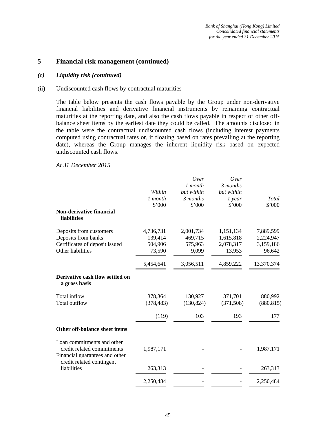#### *(c) Liquidity risk (continued)*

#### (ii) Undiscounted cash flows by contractual maturities

The table below presents the cash flows payable by the Group under non-derivative financial liabilities and derivative financial instruments by remaining contractual maturities at the reporting date, and also the cash flows payable in respect of other offbalance sheet items by the earliest date they could be called. The amounts disclosed in the table were the contractual undiscounted cash flows (including interest payments computed using contractual rates or, if floating based on rates prevailing at the reporting date), whereas the Group manages the inherent liquidity risk based on expected undiscounted cash flows.

|                                                                                            | Within<br>1 month<br>\$'000 | Over<br>1 month<br>but within<br>3 months<br>\$'000 | Over<br>3 months<br>but within<br>$1$ year<br>\$'000 | Total<br>\$'000        |
|--------------------------------------------------------------------------------------------|-----------------------------|-----------------------------------------------------|------------------------------------------------------|------------------------|
| Non-derivative financial<br>liabilities                                                    |                             |                                                     |                                                      |                        |
| Deposits from customers<br>Deposits from banks                                             | 4,736,731<br>139,414        | 2,001,734<br>469,715                                | 1,151,134<br>1,615,818                               | 7,889,599<br>2,224,947 |
| Certificates of deposit issued<br>Other liabilities                                        | 504,906<br>73,590           | 575,963<br>9,099                                    | 2,078,317<br>13,953                                  | 3,159,186<br>96,642    |
|                                                                                            | 5,454,641                   | 3,056,511                                           | 4,859,222                                            | 13,370,374             |
| Derivative cash flow settled on<br>a gross basis                                           |                             |                                                     |                                                      |                        |
| Total inflow<br><b>Total outflow</b>                                                       | 378,364<br>(378, 483)       | 130,927<br>(130, 824)                               | 371,701<br>(371, 508)                                | 880,992<br>(880, 815)  |
|                                                                                            | (119)                       | 103                                                 | 193                                                  | 177                    |
| Other off-balance sheet items                                                              |                             |                                                     |                                                      |                        |
| Loan commitments and other<br>credit related commitments<br>Financial guarantees and other | 1,987,171                   |                                                     |                                                      | 1,987,171              |
| credit related contingent<br>liabilities                                                   | 263,313                     |                                                     |                                                      | 263,313                |
|                                                                                            | 2,250,484                   |                                                     |                                                      | 2,250,484              |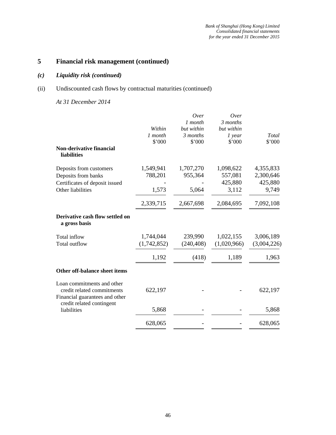## *(c) Liquidity risk (continued)*

## (ii) Undiscounted cash flows by contractual maturities (continued)

|                                                             |             | Over       | Over        |             |
|-------------------------------------------------------------|-------------|------------|-------------|-------------|
|                                                             |             | 1 month    | 3 months    |             |
|                                                             | Within      | but within | but within  |             |
|                                                             | 1 month     | 3 months   | $1$ year    | Total       |
|                                                             | \$'000      | \$'000     | \$'000      | \$'000      |
| <b>Non-derivative financial</b><br><b>liabilities</b>       |             |            |             |             |
| Deposits from customers                                     | 1,549,941   | 1,707,270  | 1,098,622   | 4,355,833   |
| Deposits from banks                                         | 788,201     | 955,364    | 557,081     | 2,300,646   |
| Certificates of deposit issued                              |             |            | 425,880     | 425,880     |
| Other liabilities                                           | 1,573       | 5,064      | 3,112       | 9,749       |
|                                                             | 2,339,715   | 2,667,698  | 2,084,695   | 7,092,108   |
| Derivative cash flow settled on<br>a gross basis            |             |            |             |             |
| Total inflow                                                | 1,744,044   | 239,990    | 1,022,155   | 3,006,189   |
| Total outflow                                               | (1,742,852) | (240, 408) | (1,020,966) | (3,004,226) |
|                                                             | 1,192       | (418)      | 1,189       | 1,963       |
| Other off-balance sheet items                               |             |            |             |             |
| Loan commitments and other<br>credit related commitments    | 622,197     |            |             | 622,197     |
| Financial guarantees and other<br>credit related contingent |             |            |             |             |
| liabilities                                                 | 5,868       |            |             | 5,868       |
|                                                             | 628,065     |            |             | 628,065     |
|                                                             |             |            |             |             |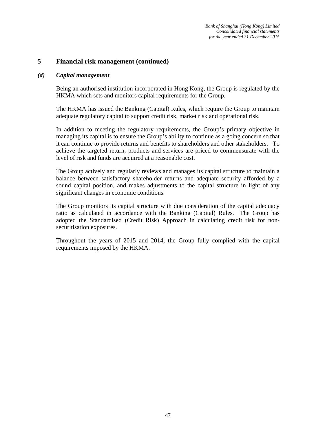#### *(d) Capital management*

Being an authorised institution incorporated in Hong Kong, the Group is regulated by the HKMA which sets and monitors capital requirements for the Group.

The HKMA has issued the Banking (Capital) Rules, which require the Group to maintain adequate regulatory capital to support credit risk, market risk and operational risk.

In addition to meeting the regulatory requirements, the Group's primary objective in managing its capital is to ensure the Group's ability to continue as a going concern so that it can continue to provide returns and benefits to shareholders and other stakeholders. To achieve the targeted return, products and services are priced to commensurate with the level of risk and funds are acquired at a reasonable cost.

The Group actively and regularly reviews and manages its capital structure to maintain a balance between satisfactory shareholder returns and adequate security afforded by a sound capital position, and makes adjustments to the capital structure in light of any significant changes in economic conditions.

The Group monitors its capital structure with due consideration of the capital adequacy ratio as calculated in accordance with the Banking (Capital) Rules. The Group has adopted the Standardised (Credit Risk) Approach in calculating credit risk for nonsecuritisation exposures.

Throughout the years of 2015 and 2014, the Group fully complied with the capital requirements imposed by the HKMA.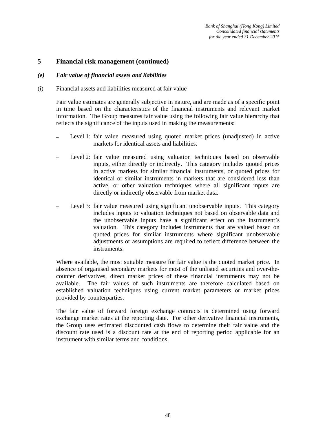#### *(e) Fair value of financial assets and liabilities*

(i) Financial assets and liabilities measured at fair value

Fair value estimates are generally subjective in nature, and are made as of a specific point in time based on the characteristics of the financial instruments and relevant market information. The Group measures fair value using the following fair value hierarchy that reflects the significance of the inputs used in making the measurements:

- Level 1: fair value measured using quoted market prices (unadjusted) in active markets for identical assets and liabilities.
- Level 2: fair value measured using valuation techniques based on observable inputs, either directly or indirectly. This category includes quoted prices in active markets for similar financial instruments, or quoted prices for identical or similar instruments in markets that are considered less than active, or other valuation techniques where all significant inputs are directly or indirectly observable from market data.
- Level 3: fair value measured using significant unobservable inputs. This category includes inputs to valuation techniques not based on observable data and the unobservable inputs have a significant effect on the instrument's valuation. This category includes instruments that are valued based on quoted prices for similar instruments where significant unobservable adjustments or assumptions are required to reflect difference between the instruments.

Where available, the most suitable measure for fair value is the quoted market price. In absence of organised secondary markets for most of the unlisted securities and over-thecounter derivatives, direct market prices of these financial instruments may not be available. The fair values of such instruments are therefore calculated based on established valuation techniques using current market parameters or market prices provided by counterparties.

The fair value of forward foreign exchange contracts is determined using forward exchange market rates at the reporting date. For other derivative financial instruments, the Group uses estimated discounted cash flows to determine their fair value and the discount rate used is a discount rate at the end of reporting period applicable for an instrument with similar terms and conditions.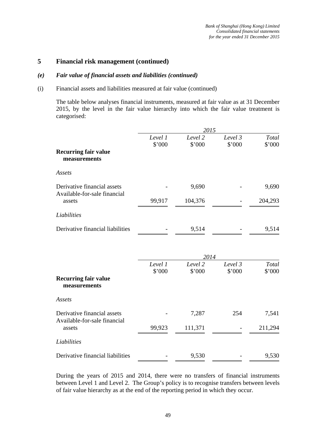#### *(e) Fair value of financial assets and liabilities (continued)*

#### (i) Financial assets and liabilities measured at fair value (continued)

The table below analyses financial instruments, measured at fair value as at 31 December 2015, by the level in the fair value hierarchy into which the fair value treatment is categorised:

|                                                             |                   | 2015              |                   |                 |
|-------------------------------------------------------------|-------------------|-------------------|-------------------|-----------------|
|                                                             | Level 1<br>\$'000 | Level 2<br>\$'000 | Level 3<br>\$'000 | Total<br>\$'000 |
| <b>Recurring fair value</b><br>measurements                 |                   |                   |                   |                 |
| Assets                                                      |                   |                   |                   |                 |
| Derivative financial assets<br>Available-for-sale financial |                   | 9,690             |                   | 9,690           |
| assets                                                      | 99,917            | 104,376           |                   | 204,293         |
| Liabilities                                                 |                   |                   |                   |                 |
| Derivative financial liabilities                            |                   | 9,514             |                   | 9,514           |
|                                                             |                   | 2014              |                   |                 |
|                                                             | Level 1<br>\$'000 | Level 2<br>\$'000 | Level 3<br>\$'000 | Total<br>\$'000 |
| <b>Recurring fair value</b><br>measurements                 |                   |                   |                   |                 |
| Assets                                                      |                   |                   |                   |                 |
| Derivative financial assets<br>Available-for-sale financial |                   | 7,287             | 254               | 7,541           |
| assets                                                      | 99,923            | 111,371           |                   | 211,294         |
| Liabilities                                                 |                   |                   |                   |                 |
| Derivative financial liabilities                            |                   | 9,530             |                   | 9,530           |

During the years of 2015 and 2014, there were no transfers of financial instruments between Level 1 and Level 2. The Group's policy is to recognise transfers between levels of fair value hierarchy as at the end of the reporting period in which they occur.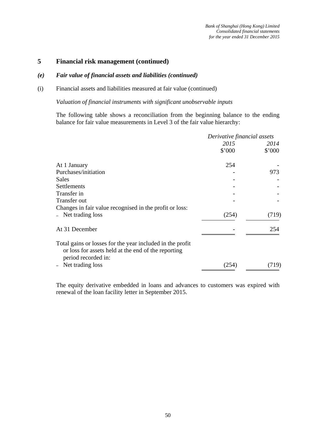#### *(e) Fair value of financial assets and liabilities (continued)*

#### (i) Financial assets and liabilities measured at fair value (continued)

*Valuation of financial instruments with significant unobservable inputs* 

The following table shows a reconciliation from the beginning balance to the ending balance for fair value measurements in Level 3 of the fair value hierarchy:

|                                                                                                                                         | Derivative financial assets |        |
|-----------------------------------------------------------------------------------------------------------------------------------------|-----------------------------|--------|
|                                                                                                                                         | 2015                        | 2014   |
|                                                                                                                                         | \$'000                      | \$'000 |
| At 1 January                                                                                                                            | 254                         |        |
| Purchases/initiation                                                                                                                    |                             | 973    |
| Sales                                                                                                                                   |                             |        |
| Settlements                                                                                                                             |                             |        |
| Transfer in                                                                                                                             |                             |        |
| Transfer out                                                                                                                            |                             |        |
| Changes in fair value recognised in the profit or loss:                                                                                 |                             |        |
| - Net trading loss                                                                                                                      | (254)                       | (719)  |
| At 31 December                                                                                                                          |                             | 254    |
| Total gains or losses for the year included in the profit<br>or loss for assets held at the end of the reporting<br>period recorded in: |                             |        |
| Net trading loss                                                                                                                        | (254)                       | (719)  |

The equity derivative embedded in loans and advances to customers was expired with renewal of the loan facility letter in September 2015.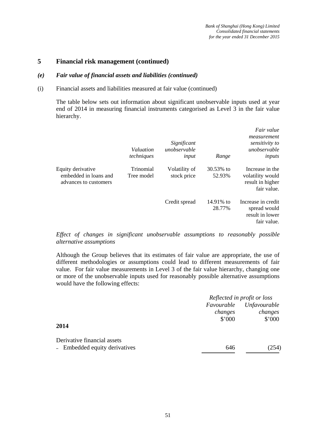#### *(e) Fair value of financial assets and liabilities (continued)*

(i) Financial assets and liabilities measured at fair value (continued)

The table below sets out information about significant unobservable inputs used at year end of 2014 in measuring financial instruments categorised as Level 3 in the fair value hierarchy.

|                                                                     | Valuation<br>techniques | Significant<br>unobservable<br>input | Range               | Fair value<br>measurement<br>sensitivity to<br>unobservable<br>inputs  |
|---------------------------------------------------------------------|-------------------------|--------------------------------------|---------------------|------------------------------------------------------------------------|
| Equity derivative<br>embedded in loans and<br>advances to customers | Trinomial<br>Tree model | Volatility of<br>stock price         | 30.53% to<br>52.93% | Increase in the<br>volatility would<br>result in higher<br>fair value. |
|                                                                     |                         | Credit spread                        | 14.91% to<br>28.77% | Increase in credit<br>spread would<br>result in lower<br>fair value.   |

*Effect of changes in significant unobservable assumptions to reasonably possible alternative assumptions* 

Although the Group believes that its estimates of fair value are appropriate, the use of different methodologies or assumptions could lead to different measurements of fair value. For fair value measurements in Level 3 of the fair value hierarchy, changing one or more of the unobservable inputs used for reasonably possible alternative assumptions would have the following effects:

|                               | Reflected in profit or loss |                     |
|-------------------------------|-----------------------------|---------------------|
|                               | Favourable                  | <b>Unfavourable</b> |
|                               | changes                     | changes             |
|                               | \$'000                      | \$'000              |
| 2014                          |                             |                     |
| Derivative financial assets   |                             |                     |
| - Embedded equity derivatives | 646                         | (254)               |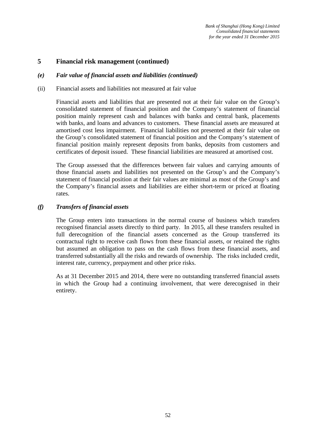#### *(e) Fair value of financial assets and liabilities (continued)*

#### (ii) Financial assets and liabilities not measured at fair value

Financial assets and liabilities that are presented not at their fair value on the Group's consolidated statement of financial position and the Company's statement of financial position mainly represent cash and balances with banks and central bank, placements with banks, and loans and advances to customers. These financial assets are measured at amortised cost less impairment. Financial liabilities not presented at their fair value on the Group's consolidated statement of financial position and the Company's statement of financial position mainly represent deposits from banks, deposits from customers and certificates of deposit issued. These financial liabilities are measured at amortised cost.

The Group assessed that the differences between fair values and carrying amounts of those financial assets and liabilities not presented on the Group's and the Company's statement of financial position at their fair values are minimal as most of the Group's and the Company's financial assets and liabilities are either short-term or priced at floating rates.

#### *(f) Transfers of financial assets*

The Group enters into transactions in the normal course of business which transfers recognised financial assets directly to third party. In 2015, all these transfers resulted in full derecognition of the financial assets concerned as the Group transferred its contractual right to receive cash flows from these financial assets, or retained the rights but assumed an obligation to pass on the cash flows from these financial assets, and transferred substantially all the risks and rewards of ownership. The risks included credit, interest rate, currency, prepayment and other price risks.

As at 31 December 2015 and 2014, there were no outstanding transferred financial assets in which the Group had a continuing involvement, that were derecognised in their entirety.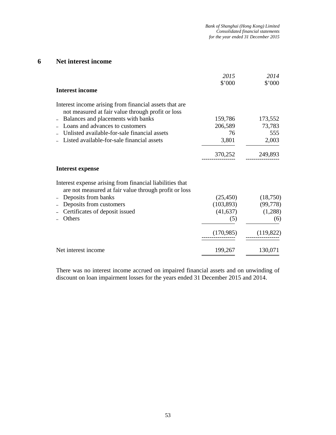## **6 Net interest income**

|                                                                                                                   | 2015<br>\$'000 | 2014<br>\$'000 |
|-------------------------------------------------------------------------------------------------------------------|----------------|----------------|
| <b>Interest income</b>                                                                                            |                |                |
| Interest income arising from financial assets that are<br>not measured at fair value through profit or loss       |                |                |
| Balances and placements with banks                                                                                | 159,786        | 173,552        |
| Loans and advances to customers                                                                                   | 206,589        | 73,783         |
| Unlisted available-for-sale financial assets                                                                      | 76             | 555            |
| Listed available-for-sale financial assets                                                                        | 3,801          | 2,003          |
|                                                                                                                   | 370,252        | 249,893        |
| <b>Interest expense</b>                                                                                           |                |                |
| Interest expense arising from financial liabilities that<br>are not measured at fair value through profit or loss |                |                |
| Deposits from banks                                                                                               | (25, 450)      | (18,750)       |
| Deposits from customers                                                                                           | (103, 893)     | (99, 778)      |
| Certificates of deposit issued                                                                                    | (41, 637)      | (1,288)        |
| Others                                                                                                            | (5)            | (6)            |
|                                                                                                                   | (170,985)      | (119, 822)     |
| Net interest income                                                                                               | 199,267        | 130,071        |

There was no interest income accrued on impaired financial assets and on unwinding of discount on loan impairment losses for the years ended 31 December 2015 and 2014.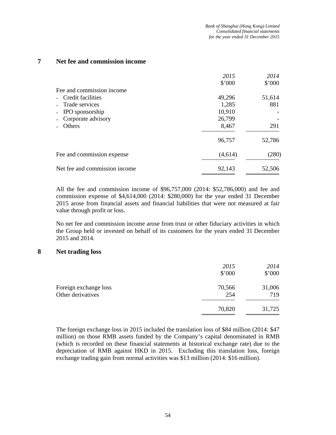## **7 Net fee and commission income**

|                               | 2015    | 2014   |
|-------------------------------|---------|--------|
|                               | \$'000  | \$'000 |
| Fee and commission income     |         |        |
| - Credit facilities           | 49,296  | 51,614 |
| - Trade services              | 1,285   | 881    |
| - IPO sponsorship             | 10,910  |        |
| - Corporate advisory          | 26,799  |        |
| Others                        | 8,467   | 291    |
|                               | 96,757  | 52,786 |
| Fee and commission expense    | (4,614) | (280)  |
| Net fee and commission income | 92,143  | 52,506 |

All the fee and commission income of \$96,757,000 (2014: \$52,786,000) and fee and commission expense of \$4,614,000 (2014: \$280,000) for the year ended 31 December 2015 arose from financial assets and financial liabilities that were not measured at fair value through profit or loss.

No net fee and commission income arose from trust or other fiduciary activities in which the Group held or invested on behalf of its customers for the years ended 31 December 2015 and 2014.

#### **8 Net trading loss**

|                                            | 2015<br>\$'000 | 2014<br>\$'000 |
|--------------------------------------------|----------------|----------------|
| Foreign exchange loss<br>Other derivatives | 70,566<br>254  | 31,006<br>719  |
|                                            | 70,820         | 31,725         |

The foreign exchange loss in 2015 included the translation loss of \$84 million (2014: \$47 million) on those RMB assets funded by the Company's capital denominated in RMB (which is recorded on these financial statements at historical exchange rate) due to the depreciation of RMB against HKD in 2015. Excluding this translation loss, foreign exchange trading gain from normal activities was \$13 million (2014: \$16 million).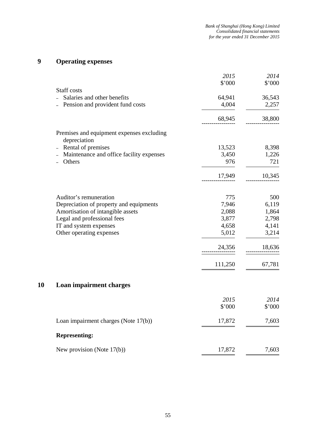# **9 Operating expenses**

|                                                                  | 2015<br>\$'000     | 2014<br>\$'000 |
|------------------------------------------------------------------|--------------------|----------------|
| Staff costs                                                      |                    |                |
| Salaries and other benefits                                      | 64,941             | 36,543         |
| Pension and provident fund costs                                 | 4,004              | 2,257          |
|                                                                  | 68,945             | 38,800         |
| Premises and equipment expenses excluding<br>depreciation        |                    |                |
| Rental of premises                                               | 13,523             | 8,398          |
| Maintenance and office facility expenses                         | 3,450              | 1,226          |
| Others                                                           | 976                | 721            |
|                                                                  | 17,949             | 10,345         |
|                                                                  |                    |                |
| Auditor's remuneration                                           | 775                | 500            |
| Depreciation of property and equipments                          | 7,946              | 6,119          |
| Amortisation of intangible assets<br>Legal and professional fees | 2,088<br>3,877     | 1,864<br>2,798 |
| IT and system expenses                                           | 4,658              | 4,141          |
| Other operating expenses                                         | 5,012              | 3,214          |
|                                                                  | 24,356<br>-------- | 18,636         |
|                                                                  | 111,250            | 67,781         |
| 10<br>Loan impairment charges                                    |                    |                |
|                                                                  |                    |                |
|                                                                  | 2015               | 2014           |
|                                                                  | \$'000             | \$'000         |
| Loan impairment charges (Note 17(b))                             | 17,872             | 7,603          |
| <b>Representing:</b>                                             |                    |                |
| New provision (Note $17(b)$ )                                    | 17,872             | 7,603          |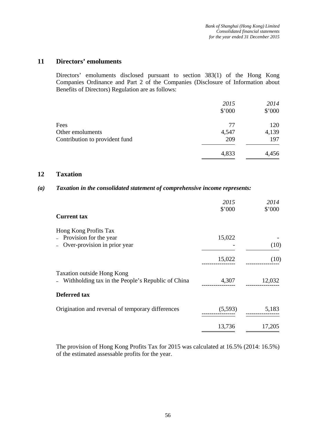## **11 Directors' emoluments**

Directors' emoluments disclosed pursuant to section 383(1) of the Hong Kong Companies Ordinance and Part 2 of the Companies (Disclosure of Information about Benefits of Directors) Regulation are as follows:

|                                | 2015   | 2014   |
|--------------------------------|--------|--------|
|                                | \$'000 | \$'000 |
| Fees                           | 77     | 120    |
| Other emoluments               | 4,547  | 4,139  |
| Contribution to provident fund | 209    | 197    |
|                                | 4,833  | 4,456  |

### **12 Taxation**

### *(a) Taxation in the consolidated statement of comprehensive income represents:*

|                                                                                   | 2015<br>\$'000 | 2014<br>\$'000 |
|-----------------------------------------------------------------------------------|----------------|----------------|
| <b>Current tax</b>                                                                |                |                |
| Hong Kong Profits Tax<br>- Provision for the year<br>Over-provision in prior year | 15,022         | (10)           |
|                                                                                   | 15,022         | (10)           |
| Taxation outside Hong Kong<br>- Withholding tax in the People's Republic of China | 4,307          | 12,032         |
| <b>Deferred tax</b>                                                               |                |                |
| Origination and reversal of temporary differences                                 | (5,593)        | 5,183          |
|                                                                                   | 13,736         | 17,205         |

The provision of Hong Kong Profits Tax for 2015 was calculated at 16.5% (2014: 16.5%) of the estimated assessable profits for the year.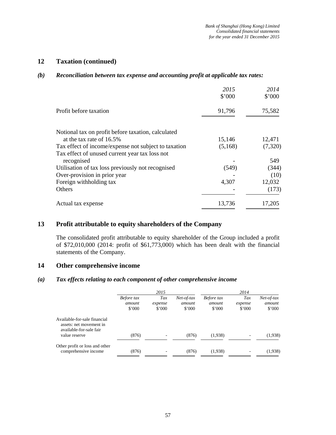## **12 Taxation (continued)**

#### *(b) Reconciliation between tax expense and accounting profit at applicable tax rates:*

|                                                      | 2015<br>\$'000 | 2014<br>\$'000 |
|------------------------------------------------------|----------------|----------------|
| Profit before taxation                               | 91,796         | 75,582         |
| Notional tax on profit before taxation, calculated   |                |                |
| at the tax rate of 16.5%                             | 15,146         | 12,471         |
| Tax effect of income/expense not subject to taxation | (5,168)        | (7,320)        |
| Tax effect of unused current year tax loss not       |                |                |
| recognised                                           |                | 549            |
| Utilisation of tax loss previously not recognised    | (549)          | (344)          |
| Over-provision in prior year                         |                | (10)           |
| Foreign withholding tax                              | 4,307          | 12,032         |
| Others                                               |                | (173)          |
| Actual tax expense                                   | 13,736         | 17,205         |

## **13 Profit attributable to equity shareholders of the Company**

The consolidated profit attributable to equity shareholder of the Group included a profit of \$72,010,000 (2014: profit of \$61,773,000) which has been dealt with the financial statements of the Company.

## **14 Other comprehensive income**

## *(a) Tax effects relating to each component of other comprehensive income*

|                                                                                                     | 2015                                   |                          | 2014                                     |                                |                                  |                                          |
|-----------------------------------------------------------------------------------------------------|----------------------------------------|--------------------------|------------------------------------------|--------------------------------|----------------------------------|------------------------------------------|
|                                                                                                     | Before tax<br>amount<br>$$^{\circ}000$ | Tax<br>expense<br>\$'000 | $Net-of-tax$<br>amount<br>$$^{\circ}000$ | Before tax<br>amount<br>\$'000 | Tax<br>expense<br>$$^{\circ}000$ | $Net-of-tax$<br>amount<br>$$^{\circ}000$ |
| Available-for-sale financial<br>assets: net movement in<br>available-for-sale fair<br>value reserve | (876)                                  |                          | (876)                                    | (1,938)                        |                                  | (1,938)                                  |
|                                                                                                     |                                        |                          |                                          |                                |                                  |                                          |
| Other profit or loss and other<br>comprehensive income                                              | (876)                                  |                          | (876)                                    | (1,938)                        |                                  | (1,938)                                  |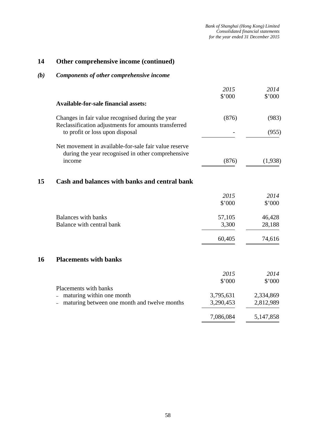## **14 Other comprehensive income (continued)**

## *(b) Components of other comprehensive income*

| 2014      |
|-----------|
| \$'000    |
| (983)     |
| (955)     |
|           |
| (1,938)   |
|           |
| 2014      |
| \$'000    |
| 46,428    |
| 28,188    |
| 74,616    |
|           |
| 2014      |
| \$'000    |
| 2,334,869 |
| 2,812,989 |
| 5,147,858 |
|           |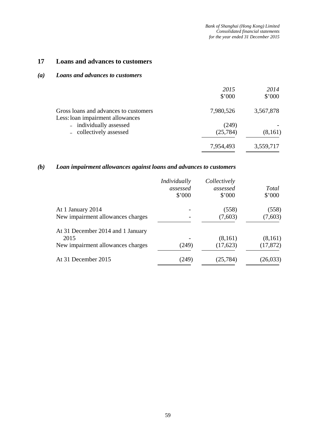## **17 Loans and advances to customers**

### *(a) Loans and advances to customers*

|                                                                           | 2015<br>\$'000 | 2014<br>\$'000 |
|---------------------------------------------------------------------------|----------------|----------------|
| Gross loans and advances to customers<br>Less: loan impairment allowances | 7,980,526      | 3,567,878      |
| - individually assessed                                                   | (249)          |                |
| - collectively assessed                                                   | (25, 784)      | (8,161)        |
|                                                                           | 7,954,493      | 3,559,717      |

## *(b) Loan impairment allowances against loans and advances to customers*

|                                   | Individually<br>assessed<br>\$'000 | Collectively<br>assessed<br>\$'000 | <b>Total</b><br>\$'000 |
|-----------------------------------|------------------------------------|------------------------------------|------------------------|
| At 1 January 2014                 |                                    | (558)                              | (558)                  |
| New impairment allowances charges |                                    | (7,603)                            | (7,603)                |
| At 31 December 2014 and 1 January |                                    |                                    |                        |
| 2015                              |                                    | (8,161)                            | (8,161)                |
| New impairment allowances charges | (249)                              | (17,623)                           | (17, 872)              |
| At 31 December 2015               | (249)                              | (25, 784)                          | (26, 033)              |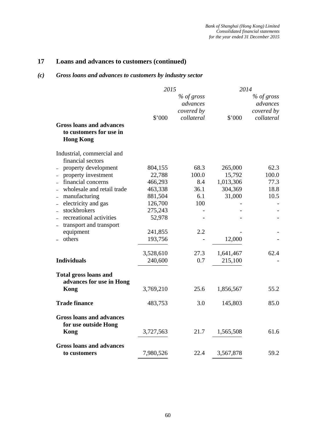## **17 Loans and advances to customers (continued)**

## *(c) Gross loans and advances to customers by industry sector*

|                                                          | 2015      |                                      | 2014      |                                      |
|----------------------------------------------------------|-----------|--------------------------------------|-----------|--------------------------------------|
|                                                          |           | % of gross<br>advances<br>covered by |           | % of gross<br>advances<br>covered by |
|                                                          | \$'000    | collateral                           | \$'000    | collateral                           |
| <b>Gross loans and advances</b>                          |           |                                      |           |                                      |
| to customers for use in<br><b>Hong Kong</b>              |           |                                      |           |                                      |
| Industrial, commercial and<br>financial sectors          |           |                                      |           |                                      |
| property development                                     | 804,155   | 68.3                                 | 265,000   | 62.3                                 |
| property investment                                      | 22,788    | 100.0                                | 15,792    | 100.0                                |
| financial concerns                                       | 466,293   | 8.4                                  | 1,013,306 | 77.3                                 |
| wholesale and retail trade                               | 463,338   | 36.1                                 | 304,369   | 18.8                                 |
| - manufacturing                                          | 881,504   | 6.1                                  | 31,000    | 10.5                                 |
| electricity and gas                                      | 126,700   | 100                                  |           |                                      |
| stockbrokers<br>$\qquad \qquad -$                        | 275,243   |                                      |           |                                      |
| recreational activities                                  | 52,978    |                                      |           |                                      |
| transport and transport<br>$\qquad \qquad -$             |           |                                      |           |                                      |
| equipment                                                | 241,855   | 2.2                                  |           |                                      |
| others                                                   | 193,756   |                                      | 12,000    |                                      |
|                                                          | 3,528,610 | 27.3                                 | 1,641,467 | 62.4                                 |
| <b>Individuals</b>                                       | 240,600   | 0.7                                  | 215,100   |                                      |
| <b>Total gross loans and</b><br>advances for use in Hong |           |                                      |           |                                      |
| Kong                                                     | 3,769,210 | 25.6                                 | 1,856,567 | 55.2                                 |
| <b>Trade finance</b>                                     | 483,753   | 3.0                                  | 145,803   | 85.0                                 |
| <b>Gross loans and advances</b><br>for use outside Hong  |           |                                      |           |                                      |
| Kong                                                     | 3,727,563 | 21.7                                 | 1,565,508 | 61.6                                 |
| <b>Gross loans and advances</b>                          |           |                                      |           |                                      |
| to customers                                             | 7,980,526 | 22.4                                 | 3,567,878 | 59.2                                 |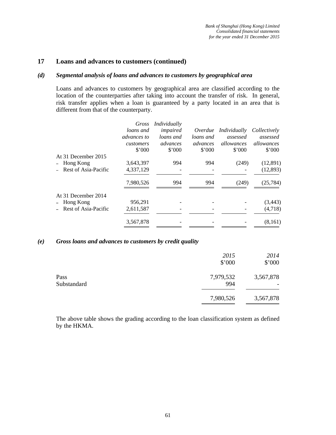### **17 Loans and advances to customers (continued)**

#### *(d) Segmental analysis of loans and advances to customers by geographical area*

Loans and advances to customers by geographical area are classified according to the location of the counterparties after taking into account the transfer of risk. In general, risk transfer applies when a loan is guaranteed by a party located in an area that is different from that of the counterparty.

|                        | Gross                              | Individually                    |                                 |                                          |                                  |
|------------------------|------------------------------------|---------------------------------|---------------------------------|------------------------------------------|----------------------------------|
|                        | loans and                          | impaired                        | Overdue                         | Individually                             | Collectively                     |
|                        | advances to<br>customers<br>\$'000 | loans and<br>advances<br>\$'000 | loans and<br>advances<br>\$'000 | assessed<br>allowances<br>$$^{\circ}000$ | assessed<br>allowances<br>\$'000 |
| At 31 December 2015    |                                    |                                 |                                 |                                          |                                  |
| - Hong Kong            | 3,643,397                          | 994                             | 994                             | (249)                                    | (12,891)                         |
| - Rest of Asia-Pacific | 4,337,129                          |                                 |                                 |                                          | (12, 893)                        |
|                        | 7,980,526                          | 994                             | 994                             | (249)                                    | (25, 784)                        |
| At 31 December 2014    |                                    |                                 |                                 |                                          |                                  |
| - Hong Kong            | 956,291                            |                                 |                                 |                                          | (3, 443)                         |
| Rest of Asia-Pacific   | 2,611,587                          |                                 |                                 |                                          | (4,718)                          |
|                        | 3,567,878                          |                                 |                                 |                                          | (8,161)                          |
|                        |                                    |                                 |                                 |                                          |                                  |

#### *(e) Gross loans and advances to customers by credit quality*

|                     | 2015<br>\$'000   | 2014<br>\$'000 |
|---------------------|------------------|----------------|
| Pass<br>Substandard | 7,979,532<br>994 | 3,567,878      |
|                     | 7,980,526        | 3,567,878      |

The above table shows the grading according to the loan classification system as defined by the HKMA.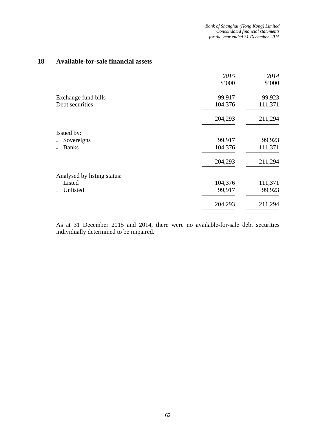## **18 Available-for-sale financial assets**

|                             | 2015    | 2014    |
|-----------------------------|---------|---------|
|                             | \$'000  | \$'000  |
| Exchange fund bills         | 99,917  | 99,923  |
| Debt securities             | 104,376 | 111,371 |
|                             | 204,293 | 211,294 |
| Issued by:                  |         |         |
| Sovereigns                  | 99,917  | 99,923  |
| <b>Banks</b>                | 104,376 | 111,371 |
|                             | 204,293 | 211,294 |
| Analysed by listing status: |         |         |
| Listed                      | 104,376 | 111,371 |
| Unlisted                    | 99,917  | 99,923  |
|                             | 204,293 | 211,294 |

As at 31 December 2015 and 2014, there were no available-for-sale debt securities individually determined to be impaired.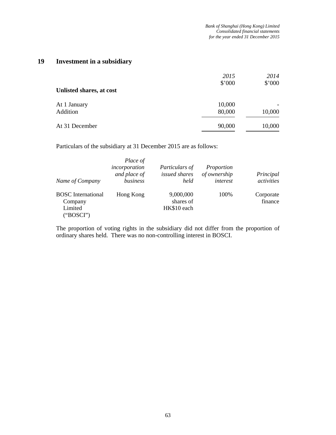## **19 Investment in a subsidiary**

| Unlisted shares, at cost | 2015<br>\$'000   | 2014<br>\$'000 |
|--------------------------|------------------|----------------|
| At 1 January<br>Addition | 10,000<br>80,000 | 10,000         |
| At 31 December           | 90,000           | 10,000         |

Particulars of the subsidiary at 31 December 2015 are as follows:

| Name of Company                                              | Place of<br>incorporation<br>and place of<br>business | Particulars of<br>issued shares<br>held | Proportion<br>of ownership<br>interest | Principal<br>activities |
|--------------------------------------------------------------|-------------------------------------------------------|-----------------------------------------|----------------------------------------|-------------------------|
| <b>BOSC</b> International<br>Company<br>Limited<br>("BOSCI") | Hong Kong                                             | 9,000,000<br>shares of<br>HK\$10 each   | 100%                                   | Corporate<br>finance    |

The proportion of voting rights in the subsidiary did not differ from the proportion of ordinary shares held. There was no non-controlling interest in BOSCI.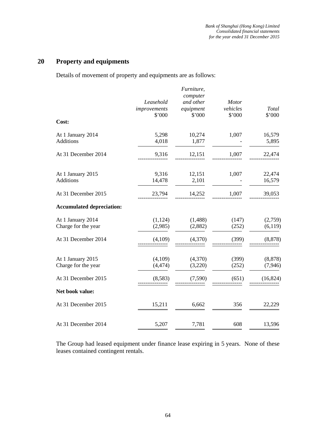## **20 Property and equipments**

Details of movement of property and equipments are as follows:

|                                          | Leasehold<br>improvements<br>\$'000 | Furniture,<br>computer<br>and other<br>equipment<br>\$'000 | <b>Motor</b><br>vehicles<br>\$'000 | Total<br>\$'000      |
|------------------------------------------|-------------------------------------|------------------------------------------------------------|------------------------------------|----------------------|
| Cost:                                    |                                     |                                                            |                                    |                      |
| At 1 January 2014<br><b>Additions</b>    | 5,298<br>4,018                      | 10,274<br>1,877                                            | 1,007                              | 16,579<br>5,895      |
| At 31 December 2014                      | 9,316                               | 12,151                                                     | 1,007                              | 22,474               |
| At 1 January 2015<br>Additions           | 9,316<br>14,478                     | 12,151<br>2,101                                            | 1,007                              | 22,474<br>16,579     |
| At 31 December 2015                      | 23,794                              | 14,252                                                     | 1,007                              | 39,053               |
| <b>Accumulated depreciation:</b>         |                                     |                                                            |                                    |                      |
| At 1 January 2014<br>Charge for the year | (1, 124)<br>(2,985)                 | (1, 488)<br>(2,882)                                        | (147)<br>(252)                     | (2,759)<br>(6,119)   |
| At 31 December 2014                      | (4,109)                             | (4,370)                                                    | (399)                              | (8, 878)             |
| At 1 January 2015<br>Charge for the year | (4,109)<br>(4, 474)                 | (4,370)<br>(3,220)                                         | (399)<br>(252)                     | (8, 878)<br>(7, 946) |
| At 31 December 2015                      | (8,583)                             | (7,590)                                                    | (651)                              | (16, 824)            |
| Net book value:                          |                                     |                                                            |                                    |                      |
| At 31 December 2015                      | 15,211                              | 6,662                                                      | 356                                | 22,229               |
| At 31 December 2014                      | 5,207                               | 7,781                                                      | 608                                | 13,596               |

The Group had leased equipment under finance lease expiring in 5 years. None of these leases contained contingent rentals.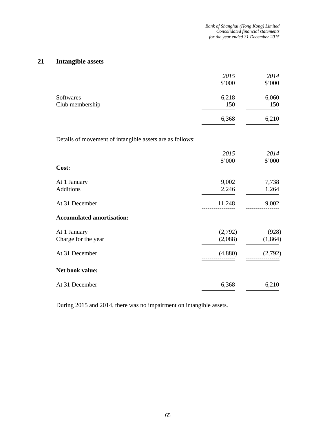## **21 Intangible assets**

|                 | 2015<br>\$'000 | 2014<br>\$'000 |
|-----------------|----------------|----------------|
| Softwares       | 6,218          | 6,060          |
| Club membership | 150            | 150            |
|                 | 6,368          | 6,210          |

Details of movement of intangible assets are as follows:

|                                                       | 2015                          | 2014                         |
|-------------------------------------------------------|-------------------------------|------------------------------|
| Cost:                                                 | \$'000                        | \$'000                       |
| At 1 January<br>Additions                             | 9,002<br>2,246                | 7,738<br>1,264               |
| At 31 December                                        | 11,248                        | 9,002                        |
| <b>Accumulated amortisation:</b>                      |                               |                              |
| At 1 January<br>Charge for the year<br>At 31 December | (2,792)<br>(2,088)<br>(4,880) | (928)<br>(1, 864)<br>(2,792) |
| Net book value:                                       |                               |                              |
| At 31 December                                        | 6,368                         | 6,210                        |

During 2015 and 2014, there was no impairment on intangible assets.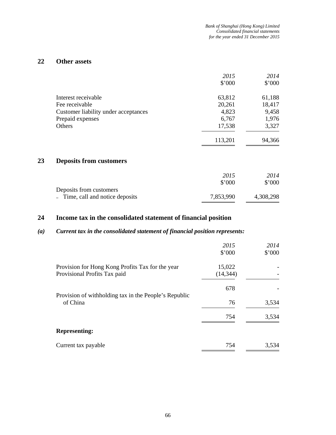## **22 Other assets**

|    |                                      | 2015<br>\$'000 | 2014<br>\$'000 |
|----|--------------------------------------|----------------|----------------|
|    | Interest receivable                  | 63,812         | 61,188         |
|    | Fee receivable                       | 20,261         | 18,417         |
|    | Customer liability under acceptances | 4,823          | 9,458          |
|    | Prepaid expenses                     | 6,767          | 1,976          |
|    | <b>Others</b>                        | 17,538         | 3,327          |
|    |                                      | 113,201        | 94,366         |
| 23 | <b>Deposits from customers</b>       |                |                |
|    |                                      | 2015           | 2014           |

|                                  | \$2000    | \$'000    |
|----------------------------------|-----------|-----------|
| Deposits from customers          |           |           |
| - Time, call and notice deposits | 7,853,990 | 4,308,298 |

## **24 Income tax in the consolidated statement of financial position**

## *(a) Current tax in the consolidated statement of financial position represents:*

|                                                                                  | 2015<br>\$'000      | 2014<br>\$'000 |
|----------------------------------------------------------------------------------|---------------------|----------------|
| Provision for Hong Kong Profits Tax for the year<br>Provisional Profits Tax paid | 15,022<br>(14, 344) |                |
|                                                                                  | 678                 |                |
| Provision of withholding tax in the People's Republic<br>of China                | 76                  | 3,534          |
|                                                                                  | 754                 | 3,534          |
| <b>Representing:</b>                                                             |                     |                |
| Current tax payable                                                              | 754                 | 3,534          |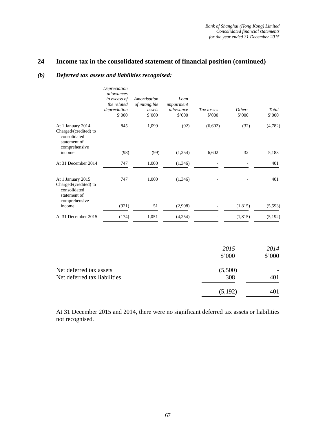## **24 Income tax in the consolidated statement of financial position (continued)**

#### *(b) Deferred tax assets and liabilities recognised:*

|                                                                                             | Depreciation<br>allowances<br>in excess of<br>the related<br>depreciation<br>\$'000 | Amortisation<br>of intangible<br>assets<br>\$'000 | Loan<br>impairment<br>allowance<br>\$'000 | Tax losses<br>\$'000 | <b>Others</b><br>\$'000 | Total<br>\$'000 |
|---------------------------------------------------------------------------------------------|-------------------------------------------------------------------------------------|---------------------------------------------------|-------------------------------------------|----------------------|-------------------------|-----------------|
| At 1 January 2014<br>Charged/(credited) to<br>consolidated<br>statement of<br>comprehensive | 845                                                                                 | 1,099                                             | (92)                                      | (6,602)              | (32)                    | (4,782)         |
| income                                                                                      | (98)                                                                                | (99)                                              | (1,254)                                   | 6,602                | 32                      | 5,183           |
| At 31 December 2014                                                                         | 747                                                                                 | 1,000                                             | (1,346)                                   |                      |                         | 401             |
| At 1 January 2015<br>Charged/(credited) to<br>consolidated<br>statement of                  | 747                                                                                 | 1,000                                             | (1,346)                                   |                      |                         | 401             |
| comprehensive<br>income                                                                     | (921)                                                                               | 51                                                | (2,908)                                   |                      | (1, 815)                | (5,593)         |
| At 31 December 2015                                                                         | (174)                                                                               | 1,051                                             | (4,254)                                   |                      | (1, 815)                | (5,192)         |
|                                                                                             |                                                                                     |                                                   |                                           |                      |                         |                 |
|                                                                                             |                                                                                     |                                                   |                                           |                      | 2015<br>\$'000          | 2014<br>\$'000  |

Net deferred tax assets (5,500)  $-$ Net deferred tax liabilities 308 401  $(5,192)$  401

At 31 December 2015 and 2014, there were no significant deferred tax assets or liabilities not recognised.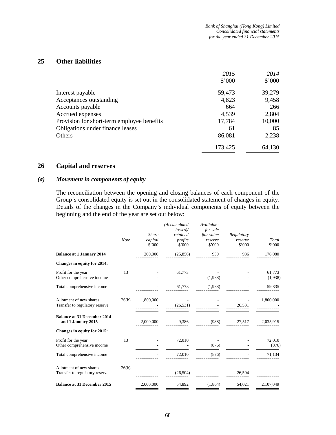## **25 Other liabilities**

|                                            | 2015    | 2014   |
|--------------------------------------------|---------|--------|
|                                            | \$'000  | \$'000 |
| Interest payable                           | 59,473  | 39,279 |
| Acceptances outstanding                    | 4,823   | 9,458  |
| Accounts payable                           | 664     | 266    |
| Accrued expenses                           | 4,539   | 2,804  |
| Provision for short-term employee benefits | 17,784  | 10,000 |
| Obligations under finance leases           | 61      | 85     |
| Others                                     | 86,081  | 2,238  |
|                                            | 173,425 | 64,130 |

### **26 Capital and reserves**

#### *(a) Movement in components of equity*

The reconciliation between the opening and closing balances of each component of the Group's consolidated equity is set out in the consolidated statement of changes in equity. Details of the changes in the Company's individual components of equity between the beginning and the end of the year are set out below:

|                                                           | <b>Note</b> | <b>Share</b><br>capital<br>\$'000 | (Accumulated<br>losses<br>retained<br>profits<br>$$^{\circ}000$ | Available-<br>for-sale<br>fair value<br>reserve<br>\$'000 | Regulatory<br>reserve<br>\$'000 | Total<br>\$'000   |
|-----------------------------------------------------------|-------------|-----------------------------------|-----------------------------------------------------------------|-----------------------------------------------------------|---------------------------------|-------------------|
| <b>Balance at 1 January 2014</b>                          |             | 200,000                           | (25, 856)                                                       | 950                                                       | 986                             | 176,080           |
| Changes in equity for 2014:                               |             |                                   |                                                                 |                                                           |                                 |                   |
| Profit for the year<br>Other comprehensive income         | 13          |                                   | 61,773                                                          | (1,938)                                                   |                                 | 61,773<br>(1,938) |
| Total comprehensive income                                |             |                                   | 61,773                                                          | (1,938)                                                   |                                 | 59,835            |
| Allotment of new shares<br>Transfer to regulatory reserve | 26(b)       | 1,800,000                         | (26, 531)                                                       |                                                           | 26,531                          | 1,800,000         |
| <b>Balance at 31 December 2014</b><br>and 1 January 2015  |             | 2,000,000                         | 9,386                                                           | (988)                                                     | 27,517                          | 2,035,915         |
| Changes in equity for 2015:                               |             |                                   |                                                                 |                                                           |                                 |                   |
| Profit for the year<br>Other comprehensive income         | 13          |                                   | 72,010                                                          | (876)                                                     |                                 | 72,010<br>(876)   |
| Total comprehensive income                                |             |                                   | 72,010                                                          | (876)                                                     |                                 | 71,134            |
| Allotment of new shares<br>Transfer to regulatory reserve | 26(b)       |                                   | (26, 504)                                                       |                                                           | 26,504                          |                   |
| <b>Balance at 31 December 2015</b>                        |             | 2,000,000                         | 54,892                                                          | (1,864)                                                   | 54,021                          | 2,107,049         |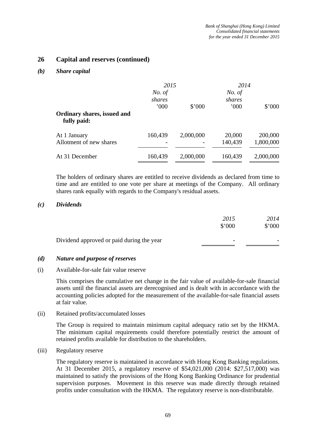## **26 Capital and reserves (continued)**

#### *(b) Share capital*

|                                            | 2015                     |           | 2014                    |           |
|--------------------------------------------|--------------------------|-----------|-------------------------|-----------|
|                                            | No. of<br>shares<br>000' | \$'000    | No. of<br>shares<br>000 | \$'000    |
| Ordinary shares, issued and<br>fully paid: |                          |           |                         |           |
| At 1 January                               | 160,439                  | 2,000,000 | 20,000                  | 200,000   |
| Allotment of new shares                    |                          |           | 140,439                 | 1,800,000 |
| At 31 December                             | 160,439                  | 2,000,000 | 160,439                 | 2,000,000 |

The holders of ordinary shares are entitled to receive dividends as declared from time to time and are entitled to one vote per share at meetings of the Company. All ordinary shares rank equally with regards to the Company's residual assets.

#### *(c) Dividends*

|                                           | 2015   | 2014   |
|-------------------------------------------|--------|--------|
|                                           | \$'000 | \$'000 |
| Dividend approved or paid during the year | -      |        |
|                                           |        |        |

#### *(d) Nature and purpose of reserves*

#### (i) Available-for-sale fair value reserve

This comprises the cumulative net change in the fair value of available-for-sale financial assets until the financial assets are derecognised and is dealt with in accordance with the accounting policies adopted for the measurement of the available-for-sale financial assets at fair value.

#### (ii) Retained profits/accumulated losses

The Group is required to maintain minimum capital adequacy ratio set by the HKMA. The minimum capital requirements could therefore potentially restrict the amount of retained profits available for distribution to the shareholders.

#### (iii) Regulatory reserve

The regulatory reserve is maintained in accordance with Hong Kong Banking regulations. At 31 December 2015, a regulatory reserve of \$54,021,000 (2014: \$27,517,000) was maintained to satisfy the provisions of the Hong Kong Banking Ordinance for prudential supervision purposes. Movement in this reserve was made directly through retained profits under consultation with the HKMA. The regulatory reserve is non-distributable.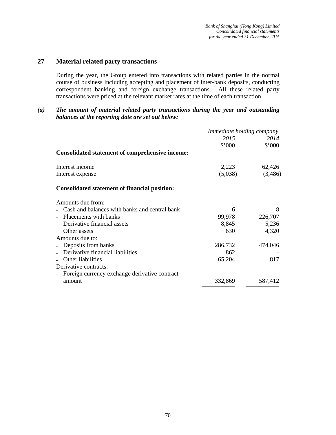## **27 Material related party transactions**

During the year, the Group entered into transactions with related parties in the normal course of business including accepting and placement of inter-bank deposits, conducting correspondent banking and foreign exchange transactions. All these related party transactions were priced at the relevant market rates at the time of each transaction.

#### *(a) The amount of material related party transactions during the year and outstanding balances at the reporting date are set out below:*

|                                                        | Immediate holding company |         |  |
|--------------------------------------------------------|---------------------------|---------|--|
|                                                        | 2015                      | 2014    |  |
|                                                        | \$'000                    | \$'000  |  |
| <b>Consolidated statement of comprehensive income:</b> |                           |         |  |
| Interest income                                        | 2,223                     | 62,426  |  |
| Interest expense                                       | (5,038)                   | (3,486) |  |
| <b>Consolidated statement of financial position:</b>   |                           |         |  |
| Amounts due from:                                      |                           |         |  |
| Cash and balances with banks and central bank          | 6                         | 8       |  |
| - Placements with banks                                | 99,978                    | 226,707 |  |
| Derivative financial assets                            | 8,845                     | 5,236   |  |
| Other assets                                           | 630                       | 4,320   |  |
| Amounts due to:                                        |                           |         |  |
| Deposits from banks                                    | 286,732                   | 474,046 |  |
| Derivative financial liabilities                       | 862                       |         |  |
| Other liabilities                                      | 65,204                    | 817     |  |
| Derivative contracts:                                  |                           |         |  |
| Foreign currency exchange derivative contract          |                           |         |  |
| amount                                                 | 332,869                   | 587,412 |  |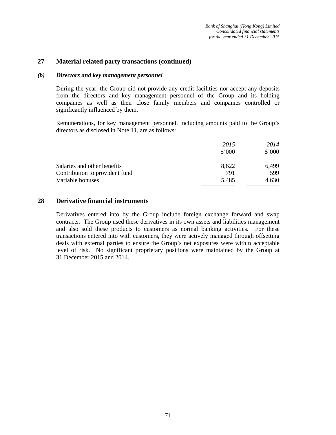## **27 Material related party transactions (continued)**

#### *(b) Directors and key management personnel*

During the year, the Group did not provide any credit facilities nor accept any deposits from the directors and key management personnel of the Group and its holding companies as well as their close family members and companies controlled or significantly influenced by them.

Remunerations, for key management personnel, including amounts paid to the Group's directors as disclosed in Note 11, are as follows:

|                                | 2015   | 2014   |
|--------------------------------|--------|--------|
|                                | \$'000 | \$'000 |
| Salaries and other benefits    | 8,622  | 6,499  |
| Contribution to provident fund | 791    | 599    |
| Variable bonuses               | 5,485  | 4,630  |

#### **28 Derivative financial instruments**

Derivatives entered into by the Group include foreign exchange forward and swap contracts. The Group used these derivatives in its own assets and liabilities management and also sold these products to customers as normal banking activities. For these transactions entered into with customers, they were actively managed through offsetting deals with external parties to ensure the Group's net exposures were within acceptable level of risk. No significant proprietary positions were maintained by the Group at 31 December 2015 and 2014.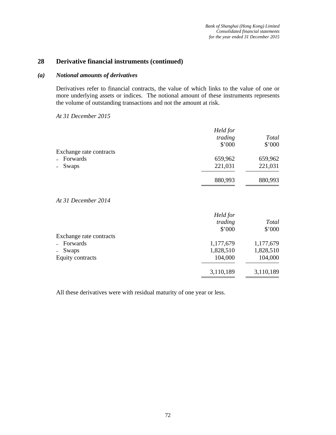## **28 Derivative financial instruments (continued)**

#### *(a) Notional amounts of derivatives*

Derivatives refer to financial contracts, the value of which links to the value of one or more underlying assets or indices. The notional amount of these instruments represents the volume of outstanding transactions and not the amount at risk.

*At 31 December 2015* 

|                         | Held for<br>trading<br>\$'000 | <b>Total</b><br>\$'000 |
|-------------------------|-------------------------------|------------------------|
| Exchange rate contracts |                               |                        |
| - Forwards              | 659,962                       | 659,962                |
| - Swaps                 | 221,031                       | 221,031                |
|                         | 880,993                       | 880,993                |

#### *At 31 December 2014*

|                         | Held for<br>trading<br>\$'000 | Total<br>\$'000 |
|-------------------------|-------------------------------|-----------------|
| Exchange rate contracts |                               |                 |
| - Forwards              | 1,177,679                     | 1,177,679       |
| - Swaps                 | 1,828,510                     | 1,828,510       |
| Equity contracts        | 104,000                       | 104,000         |
|                         | 3,110,189                     | 3,110,189       |

All these derivatives were with residual maturity of one year or less.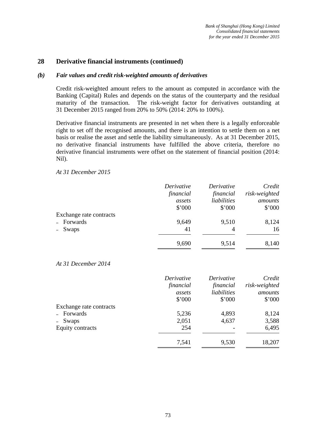## **28 Derivative financial instruments (continued)**

#### *(b) Fair values and credit risk-weighted amounts of derivatives*

Credit risk-weighted amount refers to the amount as computed in accordance with the Banking (Capital) Rules and depends on the status of the counterparty and the residual maturity of the transaction. The risk-weight factor for derivatives outstanding at 31 December 2015 ranged from 20% to 50% (2014: 20% to 100%).

Derivative financial instruments are presented in net when there is a legally enforceable right to set off the recognised amounts, and there is an intention to settle them on a net basis or realise the asset and settle the liability simultaneously. As at 31 December 2015, no derivative financial instruments have fulfilled the above criteria, therefore no derivative financial instruments were offset on the statement of financial position (2014: Nil).

*At 31 December 2015* 

|                         | Derivative | Derivative  | Credit         |
|-------------------------|------------|-------------|----------------|
|                         | financial  | financial   | risk-weighted  |
|                         | assets     | liabilities | amounts        |
|                         | \$'000     | \$'000      | $$^{\circ}000$ |
| Exchange rate contracts |            |             |                |
| - Forwards              | 9,649      | 9,510       | 8,124          |
| - Swaps                 | 41         | 4           | 16             |
|                         | 9,690      | 9,514       | 8,140          |

*At 31 December 2014* 

|                         | Derivative | Derivative  | Credit        |
|-------------------------|------------|-------------|---------------|
|                         | financial  | financial   | risk-weighted |
|                         | assets     | liabilities | amounts       |
|                         | \$'000     | \$'000      | \$'000        |
| Exchange rate contracts |            |             |               |
| - Forwards              | 5,236      | 4,893       | 8,124         |
| - Swaps                 | 2,051      | 4,637       | 3,588         |
| Equity contracts        | 254        |             | 6,495         |
|                         | 7,541      | 9,530       | 18,207        |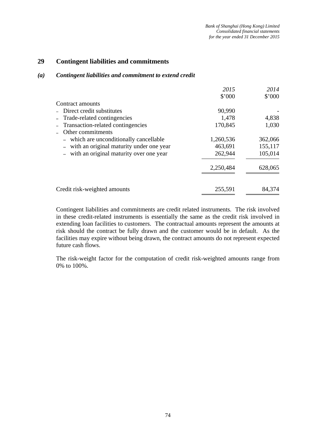## **29 Contingent liabilities and commitments**

#### *(a) Contingent liabilities and commitment to extend credit*

|                                          | 2015      | 2014    |
|------------------------------------------|-----------|---------|
|                                          | \$'000    | \$'000  |
| Contract amounts                         |           |         |
| - Direct credit substitutes              | 90,990    |         |
| - Trade-related contingencies            | 1,478     | 4,838   |
| - Transaction-related contingencies      | 170,845   | 1,030   |
| Other commitments                        |           |         |
| - which are unconditionally cancellable  | 1,260,536 | 362,066 |
| with an original maturity under one year | 463,691   | 155,117 |
| with an original maturity over one year  | 262,944   | 105,014 |
|                                          | 2,250,484 | 628,065 |
| Credit risk-weighted amounts             | 255,591   | 84,374  |

Contingent liabilities and commitments are credit related instruments. The risk involved in these credit-related instruments is essentially the same as the credit risk involved in extending loan facilities to customers. The contractual amounts represent the amounts at risk should the contract be fully drawn and the customer would be in default. As the facilities may expire without being drawn, the contract amounts do not represent expected future cash flows.

The risk-weight factor for the computation of credit risk-weighted amounts range from 0% to 100%.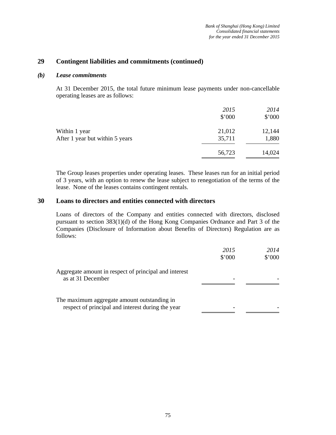## **29 Contingent liabilities and commitments (continued)**

#### *(b) Lease commitments*

At 31 December 2015, the total future minimum lease payments under non-cancellable operating leases are as follows:

|                                 | 2015   | 2014   |
|---------------------------------|--------|--------|
|                                 | \$'000 | \$'000 |
| Within 1 year                   | 21,012 | 12,144 |
| After 1 year but within 5 years | 35,711 | 1,880  |
|                                 | 56,723 | 14,024 |

The Group leases properties under operating leases. These leases run for an initial period of 3 years, with an option to renew the lease subject to renegotiation of the terms of the lease. None of the leases contains contingent rentals.

## **30 Loans to directors and entities connected with directors**

Loans of directors of the Company and entities connected with directors, disclosed pursuant to section 383(1)(d) of the Hong Kong Companies Ordnance and Part 3 of the Companies (Disclosure of Information about Benefits of Directors) Regulation are as follows:

|                                                                                                  | 2015<br>\$'000 | 2014<br>\$'000 |
|--------------------------------------------------------------------------------------------------|----------------|----------------|
| Aggregate amount in respect of principal and interest<br>as at 31 December                       |                |                |
| The maximum aggregate amount outstanding in<br>respect of principal and interest during the year |                |                |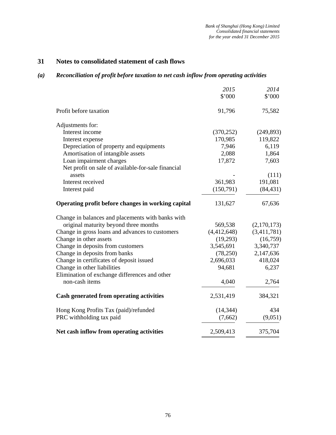## **31 Notes to consolidated statement of cash flows**

## *(a) Reconciliation of profit before taxation to net cash inflow from operating activities*

|                                                    | 2015        | 2014        |
|----------------------------------------------------|-------------|-------------|
|                                                    | \$'000      | \$'000      |
| Profit before taxation                             | 91,796      | 75,582      |
| Adjustments for:                                   |             |             |
| Interest income                                    | (370, 252)  | (249, 893)  |
| Interest expense                                   | 170,985     | 119,822     |
| Depreciation of property and equipments            | 7,946       | 6,119       |
| Amortisation of intangible assets                  | 2,088       | 1,864       |
| Loan impairment charges                            | 17,872      | 7,603       |
| Net profit on sale of available-for-sale financial |             |             |
| assets                                             |             | (111)       |
| Interest received                                  | 361,983     | 191,081     |
| Interest paid                                      | (150,791)   | (84, 431)   |
| Operating profit before changes in working capital | 131,627     | 67,636      |
| Change in balances and placements with banks with  |             |             |
| original maturity beyond three months              | 569,538     | (2,170,173) |
| Change in gross loans and advances to customers    | (4,412,648) | (3,411,781) |
| Change in other assets                             | (19,293)    | (16,759)    |
| Change in deposits from customers                  | 3,545,691   | 3,340,737   |
| Change in deposits from banks                      | (78,250)    | 2,147,636   |
| Change in certificates of deposit issued           | 2,696,033   | 418,024     |
| Change in other liabilities                        | 94,681      | 6,237       |
| Elimination of exchange differences and other      |             |             |
| non-cash items                                     | 4,040       | 2,764       |
| Cash generated from operating activities           | 2,531,419   | 384,321     |
| Hong Kong Profits Tax (paid)/refunded              | (14, 344)   | 434         |
| PRC withholding tax paid                           | (7,662)     | (9,051)     |
| Net cash inflow from operating activities          | 2,509,413   | 375,704     |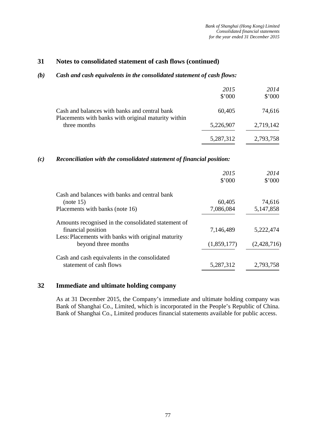## **31 Notes to consolidated statement of cash flows (continued)**

#### *(b) Cash and cash equivalents in the consolidated statement of cash flows:*

|                                                                                                      | 2015<br>\$'000 | 2014<br>\$'000 |
|------------------------------------------------------------------------------------------------------|----------------|----------------|
| Cash and balances with banks and central bank<br>Placements with banks with original maturity within | 60,405         | 74,616         |
| three months                                                                                         | 5,226,907      | 2,719,142      |
|                                                                                                      | 5,287,312      | 2,793,758      |

## *(c) Reconciliation with the consolidated statement of financial position:*

|                                                     | 2015        | 2014        |
|-----------------------------------------------------|-------------|-------------|
|                                                     | \$'000      | \$'000      |
| Cash and balances with banks and central bank       |             |             |
| (note 15)                                           | 60,405      | 74,616      |
| Placements with banks (note 16)                     | 7,086,084   | 5,147,858   |
| Amounts recognised in the consolidated statement of |             |             |
| financial position                                  | 7,146,489   | 5,222,474   |
| Less: Placements with banks with original maturity  |             |             |
| beyond three months                                 | (1,859,177) | (2,428,716) |
| Cash and cash equivalents in the consolidated       |             |             |
| statement of cash flows                             | 5,287,312   | 2,793,758   |

## **32 Immediate and ultimate holding company**

As at 31 December 2015, the Company's immediate and ultimate holding company was Bank of Shanghai Co., Limited, which is incorporated in the People's Republic of China. Bank of Shanghai Co., Limited produces financial statements available for public access.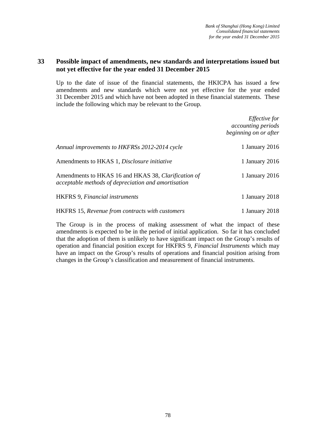## **33 Possible impact of amendments, new standards and interpretations issued but not yet effective for the year ended 31 December 2015**

Up to the date of issue of the financial statements, the HKICPA has issued a few amendments and new standards which were not yet effective for the year ended 31 December 2015 and which have not been adopted in these financial statements. These include the following which may be relevant to the Group.

|                                                                                                            | <i>Effective for</i><br><i>accounting periods</i><br>beginning on or after |
|------------------------------------------------------------------------------------------------------------|----------------------------------------------------------------------------|
| Annual improvements to HKFRSs 2012-2014 cycle                                                              | 1 January 2016                                                             |
| Amendments to HKAS 1, Disclosure initiative                                                                | 1 January 2016                                                             |
| Amendments to HKAS 16 and HKAS 38, Clarification of<br>acceptable methods of depreciation and amortisation | 1 January 2016                                                             |
| <b>HKFRS</b> 9, <i>Financial instruments</i>                                                               | 1 January 2018                                                             |
| <b>HKFRS</b> 15, Revenue from contracts with customers                                                     | 1 January 2018                                                             |

The Group is in the process of making assessment of what the impact of these amendments is expected to be in the period of initial application. So far it has concluded that the adoption of them is unlikely to have significant impact on the Group's results of operation and financial position except for HKFRS 9, *Financial Instruments* which may have an impact on the Group's results of operations and financial position arising from changes in the Group's classification and measurement of financial instruments.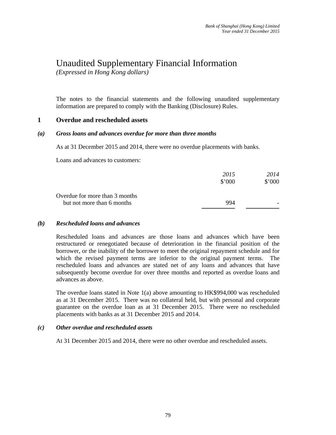# Unaudited Supplementary Financial Information

*(Expressed in Hong Kong dollars)* 

The notes to the financial statements and the following unaudited supplementary information are prepared to comply with the Banking (Disclosure) Rules.

## **1 Overdue and rescheduled assets**

#### *(a) Gross loans and advances overdue for more than three months*

As at 31 December 2015 and 2014, there were no overdue placements with banks.

Loans and advances to customers:

|                                | 2015           | 2014   |
|--------------------------------|----------------|--------|
|                                | $$^{\circ}000$ | \$'000 |
| Overdue for more than 3 months |                |        |
| but not more than 6 months     | 994            |        |
|                                |                |        |

#### *(b) Rescheduled loans and advances*

Rescheduled loans and advances are those loans and advances which have been restructured or renegotiated because of deterioration in the financial position of the borrower, or the inability of the borrower to meet the original repayment schedule and for which the revised payment terms are inferior to the original payment terms. The rescheduled loans and advances are stated net of any loans and advances that have subsequently become overdue for over three months and reported as overdue loans and advances as above.

The overdue loans stated in Note 1(a) above amounting to HK\$994,000 was rescheduled as at 31 December 2015. There was no collateral held, but with personal and corporate guarantee on the overdue loan as at 31 December 2015. There were no rescheduled placements with banks as at 31 December 2015 and 2014.

#### *(c) Other overdue and rescheduled assets*

At 31 December 2015 and 2014, there were no other overdue and rescheduled assets.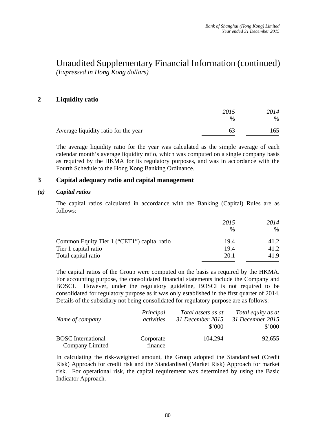## **2 Liquidity ratio**

|                                      | 2015          | 2014 |
|--------------------------------------|---------------|------|
|                                      | $\frac{0}{0}$ | $\%$ |
| Average liquidity ratio for the year | 63            | 165  |

The average liquidity ratio for the year was calculated as the simple average of each calendar month's average liquidity ratio, which was computed on a single company basis as required by the HKMA for its regulatory purposes, and was in accordance with the Fourth Schedule to the Hong Kong Banking Ordinance.

## **3 Capital adequacy ratio and capital management**

#### *(a) Capital ratios*

The capital ratios calculated in accordance with the Banking (Capital) Rules are as follows:

|                                             | 2015          | 2014 |
|---------------------------------------------|---------------|------|
|                                             | $\frac{0}{0}$ | $\%$ |
| Common Equity Tier 1 ("CET1") capital ratio | 19.4          | 41.2 |
| Tier 1 capital ratio                        | 19.4          | 41.2 |
| Total capital ratio                         | 20.1          | 41.9 |

The capital ratios of the Group were computed on the basis as required by the HKMA. For accounting purpose, the consolidated financial statements include the Company and BOSCI. However, under the regulatory guideline, BOSCI is not required to be consolidated for regulatory purpose as it was only established in the first quarter of 2014. Details of the subsidiary not being consolidated for regulatory purpose are as follows:

|                           | Principal  | Total assets as at | Total equity as at |
|---------------------------|------------|--------------------|--------------------|
| Name of company           | activities | 31 December 2015   | 31 December 2015   |
|                           |            | \$'000             | $$^{\circ}000$     |
| <b>BOSC</b> International | Corporate  | 104,294            | 92,655             |
| Company Limited           | finance    |                    |                    |

In calculating the risk-weighted amount, the Group adopted the Standardised (Credit Risk) Approach for credit risk and the Standardised (Market Risk) Approach for market risk. For operational risk, the capital requirement was determined by using the Basic Indicator Approach.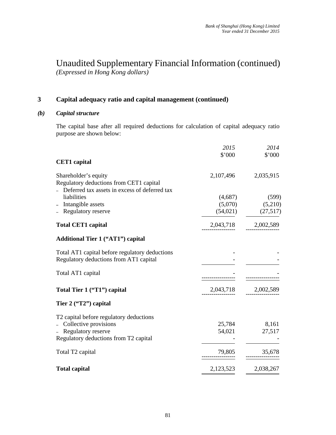# Unaudited Supplementary Financial Information (continued)

*(Expressed in Hong Kong dollars)* 

## **3 Capital adequacy ratio and capital management (continued)**

## *(b) Capital structure*

The capital base after all required deductions for calculation of capital adequacy ratio purpose are shown below:

|                                                                 | 2015      | 2014      |
|-----------------------------------------------------------------|-----------|-----------|
|                                                                 | \$'000    | \$'000    |
| <b>CET1</b> capital                                             |           |           |
| Shareholder's equity<br>Regulatory deductions from CET1 capital | 2,107,496 | 2,035,915 |
| Deferred tax assets in excess of deferred tax                   |           |           |
| liabilities                                                     | (4,687)   | (599)     |
| Intangible assets                                               | (5,070)   | (5,210)   |
| Regulatory reserve                                              | (54, 021) | (27,517)  |
| <b>Total CET1 capital</b>                                       | 2,043,718 | 2,002,589 |
| <b>Additional Tier 1 ("AT1") capital</b>                        |           |           |
| Total AT1 capital before regulatory deductions                  |           |           |
| Regulatory deductions from AT1 capital                          |           |           |
| Total AT1 capital                                               |           |           |
|                                                                 |           |           |
| Total Tier 1 ("T1") capital                                     | 2,043,718 | 2,002,589 |
| Tier 2 ("T2") capital                                           |           |           |
| T2 capital before regulatory deductions                         |           |           |
| - Collective provisions                                         | 25,784    | 8,161     |
| Regulatory reserve                                              | 54,021    | 27,517    |
| Regulatory deductions from T2 capital                           |           |           |
| Total T2 capital                                                | 79,805    | 35,678    |
|                                                                 |           |           |
| <b>Total capital</b>                                            | 2,123,523 | 2,038,267 |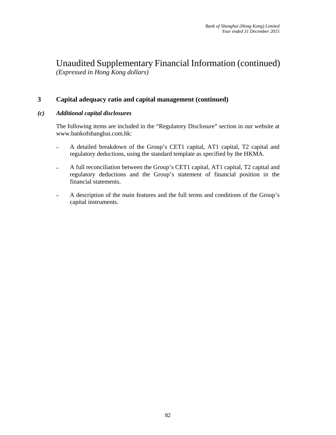## **3 Capital adequacy ratio and capital management (continued)**

## *(c) Additional capital disclosures*

The following items are included in the "Regulatory Disclosure" section in our website at www.bankofshanghai.com.hk:

- A detailed breakdown of the Group's CET1 capital, AT1 capital, T2 capital and regulatory deductions, using the standard template as specified by the HKMA.
- A full reconciliation between the Group's CET1 capital, AT1 capital, T2 capital and regulatory deductions and the Group's statement of financial position in the financial statements.
- A description of the main features and the full terms and conditions of the Group's capital instruments.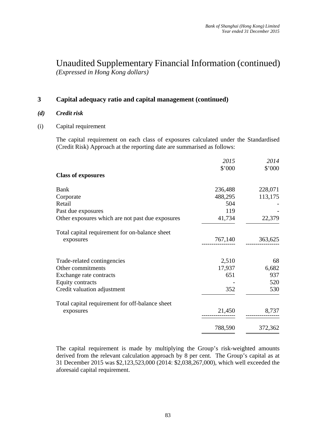## **3 Capital adequacy ratio and capital management (continued)**

- *(d) Credit risk*
- (i) Capital requirement

The capital requirement on each class of exposures calculated under the Standardised (Credit Risk) Approach at the reporting date are summarised as follows:

|                                                  | 2015    | 2014    |
|--------------------------------------------------|---------|---------|
|                                                  | \$'000  | \$'000  |
| <b>Class of exposures</b>                        |         |         |
| Bank                                             | 236,488 | 228,071 |
| Corporate                                        | 488,295 | 113,175 |
| Retail                                           | 504     |         |
| Past due exposures                               | 119     |         |
| Other exposures which are not past due exposures | 41,734  | 22,379  |
| Total capital requirement for on-balance sheet   |         |         |
| exposures                                        | 767,140 | 363,625 |
|                                                  |         |         |
| Trade-related contingencies                      | 2,510   | 68      |
| Other commitments                                | 17,937  | 6,682   |
| Exchange rate contracts                          | 651     | 937     |
| <b>Equity contracts</b>                          |         | 520     |
| Credit valuation adjustment                      | 352     | 530     |
| Total capital requirement for off-balance sheet  |         |         |
|                                                  | 21,450  | 8,737   |
| exposures                                        |         |         |
|                                                  | 788,590 | 372,362 |

The capital requirement is made by multiplying the Group's risk-weighted amounts derived from the relevant calculation approach by 8 per cent. The Group's capital as at 31 December 2015 was \$2,123,523,000 (2014: \$2,038,267,000), which well exceeded the aforesaid capital requirement.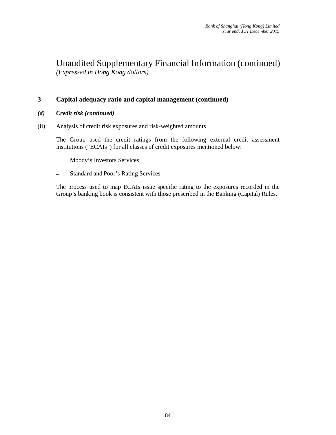## **3 Capital adequacy ratio and capital management (continued)**

- *(d) Credit risk (continued)*
- (ii) Analysis of credit risk exposures and risk-weighted amounts

The Group used the credit ratings from the following external credit assessment institutions ("ECAIs") for all classes of credit exposures mentioned below:

- Moody's Investors Services
- Standard and Poor's Rating Services

The process used to map ECAIs issue specific rating to the exposures recorded in the Group's banking book is consistent with those prescribed in the Banking (Capital) Rules.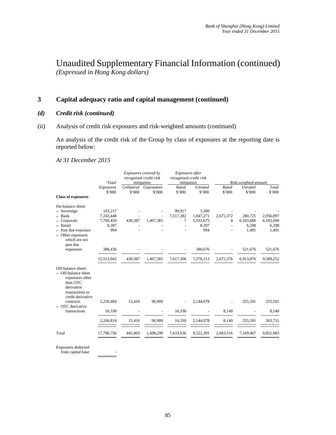## **3 Capital adequacy ratio and capital management (continued)**

- *(d) Credit risk (continued)*
- (ii) Analysis of credit risk exposures and risk-weighted amounts (continued)

An analysis of the credit risk of the Group by class of exposures at the reporting date is reported below:

#### *At 31 December 2015*

|                                                                                                                                                               | $1Total$   |         | Exposures covered by<br>recognised credit risk<br>mitigation | Exposures after<br>recognised credit risk<br>mitigation |                |                          | Risk-weighted amount |           |
|---------------------------------------------------------------------------------------------------------------------------------------------------------------|------------|---------|--------------------------------------------------------------|---------------------------------------------------------|----------------|--------------------------|----------------------|-----------|
|                                                                                                                                                               | Exposures  |         | Collateral Guarantees                                        | Rated                                                   | <b>Unrated</b> | Rated                    | <b>Unrated</b>       | Total     |
|                                                                                                                                                               | \$'000     | \$'000  | \$'000                                                       | \$'000                                                  | \$'000         | \$'000                   | \$'000               | \$'000    |
| <b>Class of exposures</b>                                                                                                                                     |            |         |                                                              |                                                         |                |                          |                      |           |
| On-balance sheet:                                                                                                                                             |            |         |                                                              |                                                         |                |                          |                      |           |
| - Sovereign                                                                                                                                                   | 103,217    |         |                                                              | 99,917                                                  | 3,300          |                          |                      |           |
| - Bank                                                                                                                                                        | 7,243,448  |         |                                                              | 7,517,382                                               | 1,047,271      | 2,675,372                | 280,725              | 2,956,097 |
| Corporate                                                                                                                                                     | 7,769,450  | 430,387 | 1,407,381                                                    | 7                                                       | 5,931,675      | $\overline{4}$           | 6,103,686            | 6,103,690 |
| - Retail                                                                                                                                                      | 8,397      |         |                                                              |                                                         | 8,397          |                          | 6,298                | 6,298     |
| - Past due exposure                                                                                                                                           | 994        |         |                                                              |                                                         | 994            |                          | 1,491                | 1,491     |
| Other exposures<br>which are not<br>past due                                                                                                                  |            |         |                                                              |                                                         |                |                          |                      |           |
| exposures                                                                                                                                                     | 388,436    |         |                                                              |                                                         | 386,676        | $\overline{\phantom{a}}$ | 521,676              | 521,676   |
|                                                                                                                                                               |            |         |                                                              |                                                         |                |                          |                      |           |
|                                                                                                                                                               | 15,513,942 | 430,387 | 1,407,381                                                    | 7,617,306                                               | 7,378,313      | 2,675,376                | 6,913,876            | 9,589,252 |
| Off-balance sheet:<br>- Off-balance sheet<br>exposures other<br>than OTC<br>derivative<br>transactions or<br>credit derivative<br>contracts<br>OTC derivative | 2,250,484  | 15,416  | 90,909                                                       |                                                         | 2,144,078      |                          | 255,591              | 255,591   |
| transactions                                                                                                                                                  | 16,330     |         | $\frac{1}{2}$                                                | 16,330                                                  |                | 8,140                    |                      | 8,140     |
|                                                                                                                                                               | 2,266,814  | 15,416  | 90,909                                                       | 16,330                                                  | 2,144,078      | 8,140                    | 255,591              | 263,731   |
| Total                                                                                                                                                         | 17,780,756 | 445,803 | 1,498,290                                                    | 7,633,636                                               | 9,522,391      | 2,683,516                | 7,169,467            | 9,852,983 |
|                                                                                                                                                               |            |         |                                                              |                                                         |                |                          |                      |           |

Exposures deducted from capital base -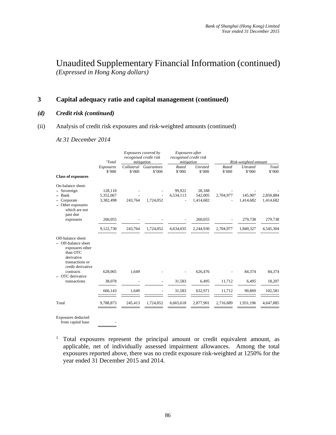## **3 Capital adequacy ratio and capital management (continued)**

#### *(d) Credit risk (continued)*

#### (ii) Analysis of credit risk exposures and risk-weighted amounts (continued)

*At 31 December 2014* 

|                                                                                                                                | $1Total$            | Exposures covered by<br>recognised credit risk<br>mitigation |                                 | Exposures after<br>recognised credit risk<br>mitigation |                          | Risk-weighted amount |                          |                 |
|--------------------------------------------------------------------------------------------------------------------------------|---------------------|--------------------------------------------------------------|---------------------------------|---------------------------------------------------------|--------------------------|----------------------|--------------------------|-----------------|
|                                                                                                                                | Exposures<br>\$'000 | \$'000                                                       | Collateral Guarantees<br>\$'000 | Rated<br>\$'000                                         | <b>Unrated</b><br>\$'000 | Rated<br>\$'000      | <b>Unrated</b><br>\$'000 | Total<br>\$'000 |
| <b>Class of exposures</b>                                                                                                      |                     |                                                              |                                 |                                                         |                          |                      |                          |                 |
| On-balance sheet:<br>- Sovereign                                                                                               | 128,110             |                                                              |                                 | 99,922                                                  | 28,188                   |                      |                          |                 |
| $-$ Bank                                                                                                                       | 5,352,067           |                                                              |                                 | 6,534,113                                               | 542,005                  | 2,704,977            | 145,907                  | 2,850,884       |
| Corporate<br>Other exposures<br>which are not<br>past due                                                                      | 3,382,498           | 243,764                                                      | 1,724,052                       |                                                         | 1,414,682                |                      | 1,414,682                | 1,414,682       |
| exposures                                                                                                                      | 260,055             |                                                              |                                 |                                                         | 260,055                  |                      | 279,738                  | 279,738         |
|                                                                                                                                | 9,122,730           | 243,764                                                      | 1,724,052                       | 6,634,035                                               | 2,244,930                | 2,704,977            | 1,840,327                | 4,545,304       |
| Off-balance sheet:<br>- Off-balance sheet<br>exposures other<br>than OTC<br>derivative<br>transactions or<br>credit derivative |                     |                                                              |                                 |                                                         |                          |                      |                          |                 |
| contracts<br>OTC derivative                                                                                                    | 628,065             | 1,649                                                        |                                 |                                                         | 626,476                  |                      | 84,374                   | 84,374          |
| transactions                                                                                                                   | 38,078              |                                                              |                                 | 31,583                                                  | 6,495                    | 11,712               | 6,495                    | 18,207          |
|                                                                                                                                | 666,143             | 1,649                                                        |                                 | 31,583                                                  | 632,971                  | 11,712               | 90,869                   | 102,581         |
| Total                                                                                                                          | 9,788,873           | 245,413                                                      | 1.724.052                       | 6,665,618                                               | 2.877.901                | 2,716,689            | 1.931.196                | 4,647,885       |

Exposures deducted

from capital base -

<sup>1</sup> Total exposures represent the principal amount or credit equivalent amount, as applicable, net of individually assessed impairment allowances. Among the total exposures reported above, there was no credit exposure risk-weighted at 1250% for the year ended 31 December 2015 and 2014.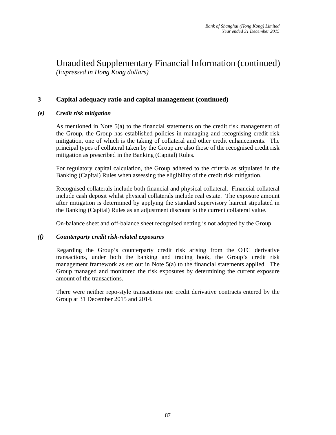## **3 Capital adequacy ratio and capital management (continued)**

## *(e) Credit risk mitigation*

As mentioned in Note 5(a) to the financial statements on the credit risk management of the Group, the Group has established policies in managing and recognising credit risk mitigation, one of which is the taking of collateral and other credit enhancements. The principal types of collateral taken by the Group are also those of the recognised credit risk mitigation as prescribed in the Banking (Capital) Rules.

For regulatory capital calculation, the Group adhered to the criteria as stipulated in the Banking (Capital) Rules when assessing the eligibility of the credit risk mitigation.

Recognised collaterals include both financial and physical collateral. Financial collateral include cash deposit whilst physical collaterals include real estate. The exposure amount after mitigation is determined by applying the standard supervisory haircut stipulated in the Banking (Capital) Rules as an adjustment discount to the current collateral value.

On-balance sheet and off-balance sheet recognised netting is not adopted by the Group.

#### *(f) Counterparty credit risk-related exposures*

Regarding the Group's counterparty credit risk arising from the OTC derivative transactions, under both the banking and trading book, the Group's credit risk management framework as set out in Note 5(a) to the financial statements applied. The Group managed and monitored the risk exposures by determining the current exposure amount of the transactions.

There were neither repo-style transactions nor credit derivative contracts entered by the Group at 31 December 2015 and 2014.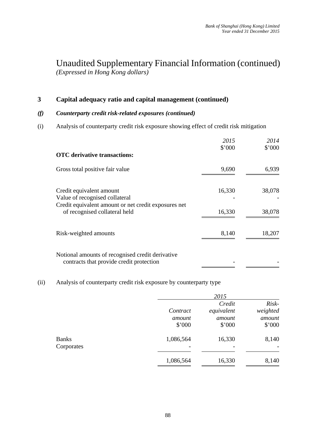## **3 Capital adequacy ratio and capital management (continued)**

## *(f) Counterparty credit risk-related exposures (continued)*

(i) Analysis of counterparty credit risk exposure showing effect of credit risk mitigation

|                                                                                                                    | 2015<br>\$'000 | 2014<br>\$'000 |
|--------------------------------------------------------------------------------------------------------------------|----------------|----------------|
| <b>OTC</b> derivative transactions:                                                                                |                |                |
| Gross total positive fair value                                                                                    | 9,690          | 6,939          |
| Credit equivalent amount<br>Value of recognised collateral<br>Credit equivalent amount or net credit exposures net | 16,330         | 38,078         |
| of recognised collateral held                                                                                      | 16,330         | 38,078         |
| Risk-weighted amounts                                                                                              | 8,140          | 18,207         |
| Notional amounts of recognised credit derivative<br>contracts that provide credit protection                       |                |                |

## (ii) Analysis of counterparty credit risk exposure by counterparty type

|                            |                  | 2015             |                  |
|----------------------------|------------------|------------------|------------------|
|                            |                  | Credit           | Risk-            |
|                            | Contract         | equivalent       | weighted         |
|                            | amount<br>\$'000 | amount<br>\$'000 | amount<br>\$'000 |
| <b>Banks</b><br>Corporates | 1,086,564        | 16,330           | 8,140            |
|                            | 1,086,564        | 16,330           | 8,140            |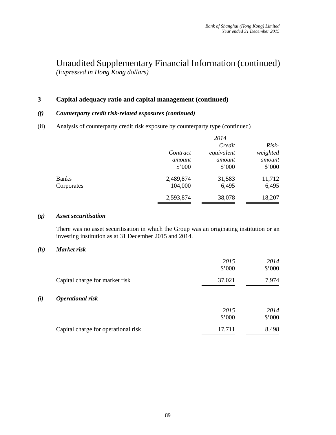## **3 Capital adequacy ratio and capital management (continued)**

## *(f) Counterparty credit risk-related exposures (continued)*

(ii) Analysis of counterparty credit risk exposure by counterparty type (continued)

|              |           | 2014       |          |
|--------------|-----------|------------|----------|
|              |           | Credit     | Risk-    |
|              | Contract  | equivalent | weighted |
|              | amount    | amount     | amount   |
|              | \$'000    | \$'000     | \$'000   |
| <b>Banks</b> | 2,489,874 | 31,583     | 11,712   |
| Corporates   | 104,000   | 6,495      | 6,495    |
|              | 2,593,874 | 38,078     | 18,207   |
|              |           |            |          |

#### *(g) Asset securitisation*

There was no asset securitisation in which the Group was an originating institution or an investing institution as at 31 December 2015 and 2014.

#### *(h) Market risk*

*(i)* 

|                                     | 2015<br>\$'000 | 2014<br>\$'000 |
|-------------------------------------|----------------|----------------|
| Capital charge for market risk      | 37,021         | 7,974          |
| <b>Operational risk</b>             |                |                |
|                                     | 2015<br>\$'000 | 2014<br>\$'000 |
| Capital charge for operational risk | 17,711         | 8,498          |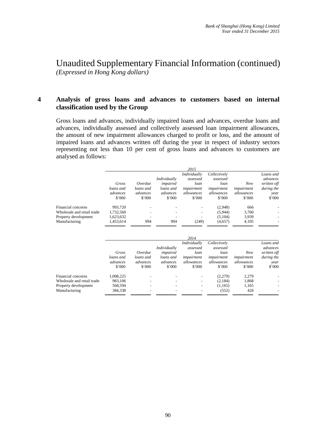## **4 Analysis of gross loans and advances to customers based on internal classification used by the Group**

Gross loans and advances, individually impaired loans and advances, overdue loans and advances, individually assessed and collectively assessed loan impairment allowances, the amount of new impairment allowances charged to profit or loss, and the amount of impaired loans and advances written off during the year in respect of industry sectors representing not less than 10 per cent of gross loans and advances to customers are analysed as follows:

|                                                                                           | Gross<br>loans and<br>advances<br>\$'000       | Overdue<br>loans and<br>advances<br>\$'000 | Individually<br>impaired<br>loans and<br>advances<br>\$'000 | 2015<br>Individually<br>assessed<br>loan<br>impairment<br>allowances<br>\$'000 | Collectively<br>assessed<br>loan<br>impairment<br>allowances<br>\$'000 | New<br>impairment<br>allowances<br>\$'000 | Loans and<br>advances<br>written off<br>during the<br>year<br>$$^{\circ}000$              |
|-------------------------------------------------------------------------------------------|------------------------------------------------|--------------------------------------------|-------------------------------------------------------------|--------------------------------------------------------------------------------|------------------------------------------------------------------------|-------------------------------------------|-------------------------------------------------------------------------------------------|
| Financial concerns<br>Wholesale and retail trade<br>Property development<br>Manufacturing | 993,720<br>1,732,560<br>1,623,632<br>1,453,614 | 994                                        | 994                                                         | (249)                                                                          | (2,948)<br>(5,944)<br>(5,104)<br>(4,657)                               | 666<br>3,760<br>3,939<br>4,105            |                                                                                           |
|                                                                                           | Gross<br>loans and<br>advances                 | Overdue<br>loans and<br>advances           | Individually<br>impaired<br>loans and<br>advances           | 2014<br>Individually<br>assessed<br>loan<br>impairment<br>allowances           | Collectively<br>assessed<br>loan<br>impairment<br>allowances           | New<br>impairment<br>allowances           | Loans and<br>advances<br>written off<br>during the<br>year<br>$\sim$ $\sim$ $\sim$ $\sim$ |

|                            | aavances<br>\$'000 | aavances<br>\$'000       | aavances<br>\$'000       | anowances<br>\$'000 | anowances<br>\$'000 | anowances<br>\$'000 | vear<br>\$'000           |
|----------------------------|--------------------|--------------------------|--------------------------|---------------------|---------------------|---------------------|--------------------------|
| Financial concerns         | .008.225           | $\overline{\phantom{0}}$ | $\overline{\phantom{0}}$ | -                   | (2.279)             | 2.279               | $\overline{\phantom{0}}$ |
| Wholesale and retail trade | 983.106            |                          |                          |                     | (2.184)             | 1.868               | ۰                        |
| Property development       | 568.594            |                          |                          | -                   | (1.165)             | 1.165               | $\overline{\phantom{a}}$ |
| Manufacturing              | 384.338            |                          |                          |                     | (552)               | 426                 |                          |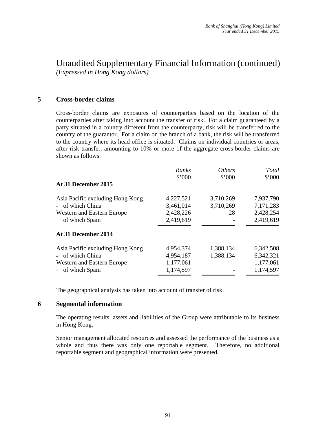## **5 Cross-border claims**

Cross-border claims are exposures of counterparties based on the location of the counterparties after taking into account the transfer of risk. For a claim guaranteed by a party situated in a country different from the counterparty, risk will be transferred to the country of the guarantor. For a claim on the branch of a bank, the risk will be transferred to the country where its head office is situated. Claims on individual countries or areas, after risk transfer, amounting to 10% or more of the aggregate cross-border claims are shown as follows:

|                                  | <b>Banks</b><br>\$'000 | <i>Others</i><br>\$'000 | Total<br>\$'000 |
|----------------------------------|------------------------|-------------------------|-----------------|
| At 31 December 2015              |                        |                         |                 |
| Asia Pacific excluding Hong Kong | 4,227,521              | 3,710,269               | 7,937,790       |
| - of which China                 | 3,461,014              | 3,710,269               | 7,171,283       |
| Western and Eastern Europe       | 2,428,226              | 28                      | 2,428,254       |
| - of which Spain                 | 2,419,619              |                         | 2,419,619       |
| At 31 December 2014              |                        |                         |                 |
| Asia Pacific excluding Hong Kong | 4,954,374              | 1,388,134               | 6,342,508       |
| - of which China                 | 4,954,187              | 1,388,134               | 6,342,321       |
| Western and Eastern Europe       | 1,177,061              |                         | 1,177,061       |
| - of which Spain                 | 1,174,597              |                         | 1,174,597       |

The geographical analysis has taken into account of transfer of risk.

#### **6 Segmental information**

The operating results, assets and liabilities of the Group were attributable to its business in Hong Kong.

Senior management allocated resources and assessed the performance of the business as a whole and thus there was only one reportable segment. Therefore, no additional reportable segment and geographical information were presented.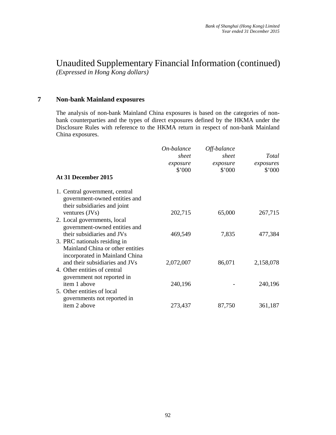**7 Non-bank Mainland exposures** 

The analysis of non-bank Mainland China exposures is based on the categories of nonbank counterparties and the types of direct exposures defined by the HKMA under the Disclosure Rules with reference to the HKMA return in respect of non-bank Mainland China exposures.

| At 31 December 2015                                                                                | On-balance<br>sheet<br>exposure<br>\$'000 | Off-balance<br>sheet<br>exposure<br>\$'000 | Total<br>exposures<br>\$'000 |
|----------------------------------------------------------------------------------------------------|-------------------------------------------|--------------------------------------------|------------------------------|
| 1. Central government, central<br>government-owned entities and<br>their subsidiaries and joint    |                                           |                                            |                              |
| ventures $(JVs)$                                                                                   | 202,715                                   | 65,000                                     | 267,715                      |
| 2. Local governments, local<br>government-owned entities and                                       |                                           |                                            |                              |
| their subsidiaries and JVs                                                                         | 469,549                                   | 7,835                                      | 477,384                      |
| 3. PRC nationals residing in<br>Mainland China or other entities<br>incorporated in Mainland China |                                           |                                            |                              |
| and their subsidiaries and JVs                                                                     | 2,072,007                                 | 86,071                                     | 2,158,078                    |
| 4. Other entities of central<br>government not reported in                                         |                                           |                                            |                              |
| item 1 above                                                                                       | 240,196                                   |                                            | 240,196                      |
| 5. Other entities of local<br>governments not reported in                                          |                                           |                                            |                              |
| item 2 above                                                                                       | 273,437                                   | 87,750                                     | 361,187                      |
|                                                                                                    |                                           |                                            |                              |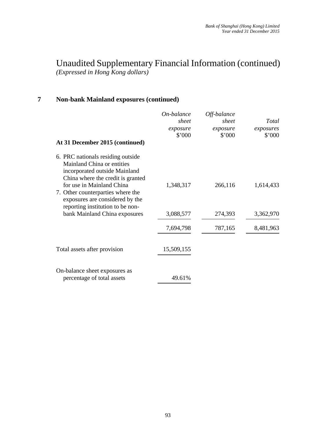## **7 Non-bank Mainland exposures (continued)**

| At 31 December 2015 (continued)                                                                                                                                    | On-balance<br>sheet<br>exposure<br>\$'000 | Off-balance<br>sheet<br>exposure<br>\$'000 | Total<br>exposures<br>\$'000 |
|--------------------------------------------------------------------------------------------------------------------------------------------------------------------|-------------------------------------------|--------------------------------------------|------------------------------|
| 6. PRC nationals residing outside<br>Mainland China or entities<br>incorporated outside Mainland<br>China where the credit is granted<br>for use in Mainland China | 1,348,317                                 | 266,116                                    | 1,614,433                    |
| 7. Other counterparties where the<br>exposures are considered by the<br>reporting institution to be non-<br>bank Mainland China exposures                          | 3,088,577                                 | 274,393                                    | 3,362,970                    |
|                                                                                                                                                                    | 7,694,798                                 | 787,165                                    | 8,481,963                    |
| Total assets after provision                                                                                                                                       | 15,509,155                                |                                            |                              |
| On-balance sheet exposures as<br>percentage of total assets                                                                                                        | 49.61%                                    |                                            |                              |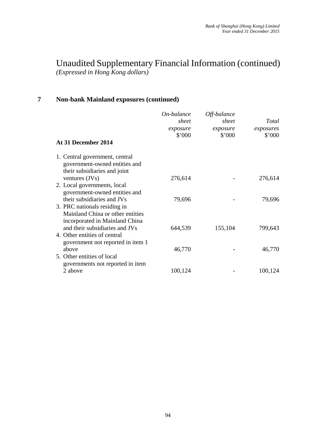## **7 Non-bank Mainland exposures (continued)**

|                                                                                                    | On-balance<br>sheet | Off-balance<br>sheet | Total                       |
|----------------------------------------------------------------------------------------------------|---------------------|----------------------|-----------------------------|
|                                                                                                    | exposure<br>\$'000  | exposure<br>\$'000   | exposures<br>$$^{\circ}000$ |
| At 31 December 2014                                                                                |                     |                      |                             |
| 1. Central government, central<br>government-owned entities and<br>their subsidiaries and joint    |                     |                      |                             |
| ventures $(JVs)$                                                                                   | 276,614             |                      | 276,614                     |
| 2. Local governments, local<br>government-owned entities and                                       |                     |                      |                             |
| their subsidiaries and JVs                                                                         | 79,696              |                      | 79,696                      |
| 3. PRC nationals residing in<br>Mainland China or other entities<br>incorporated in Mainland China |                     |                      |                             |
| and their subsidiaries and JVs                                                                     | 644,539             | 155,104              | 799,643                     |
| 4. Other entities of central<br>government not reported in item 1                                  |                     |                      |                             |
| above                                                                                              | 46,770              |                      | 46,770                      |
| 5. Other entities of local<br>governments not reported in item                                     |                     |                      |                             |
| 2 above                                                                                            | 100,124             |                      | 100,124                     |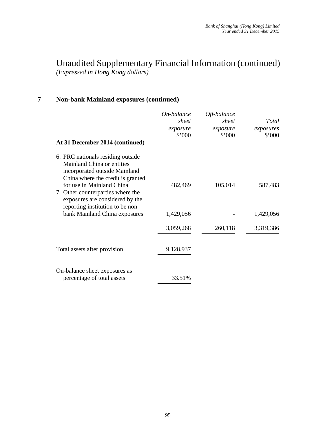## **7 Non-bank Mainland exposures (continued)**

| At 31 December 2014 (continued)                                                                                                                                                                                                            | On-balance<br>sheet<br>exposure<br>\$'000 | Off-balance<br>sheet<br>exposure<br>\$'000 | Total<br>exposures<br>\$'000 |
|--------------------------------------------------------------------------------------------------------------------------------------------------------------------------------------------------------------------------------------------|-------------------------------------------|--------------------------------------------|------------------------------|
| 6. PRC nationals residing outside<br>Mainland China or entities<br>incorporated outside Mainland<br>China where the credit is granted<br>for use in Mainland China<br>7. Other counterparties where the<br>exposures are considered by the | 482,469                                   | 105,014                                    | 587,483                      |
| reporting institution to be non-<br>bank Mainland China exposures                                                                                                                                                                          | 1,429,056                                 |                                            | 1,429,056                    |
|                                                                                                                                                                                                                                            | 3,059,268                                 | 260,118                                    | 3,319,386                    |
| Total assets after provision                                                                                                                                                                                                               | 9,128,937                                 |                                            |                              |
| On-balance sheet exposures as<br>percentage of total assets                                                                                                                                                                                | 33.51%                                    |                                            |                              |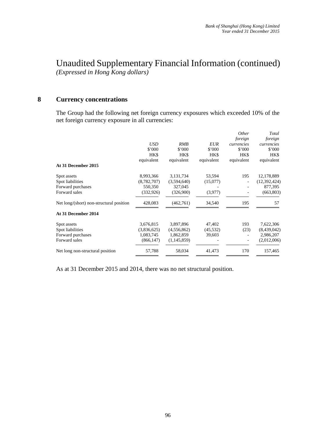## **8 Currency concentrations**

The Group had the following net foreign currency exposures which exceeded 10% of the net foreign currency exposure in all currencies:

|                                          |               |                |            | Other      | Total        |
|------------------------------------------|---------------|----------------|------------|------------|--------------|
|                                          |               |                |            | foreign    | foreign      |
|                                          | <b>USD</b>    | RMB            | <b>EUR</b> | currencies | currencies   |
|                                          | \$'000        | $$^{\circ}000$ | \$'000     | \$'000     | \$'000       |
|                                          | HK\$          | HK\$           | HK\$       | HK\$       | HK\$         |
|                                          | equivalent    | equivalent     | equivalent | equivalent | equivalent   |
| At 31 December 2015                      |               |                |            |            |              |
| Spot assets                              | 8,993,366     | 3,131,734      | 53,594     | 195        | 12,178,889   |
| Spot liabilities                         | (8, 782, 707) | (3,594,640)    | (15,077)   |            | (12,392,424) |
| Forward purchases                        | 550,350       | 327,045        |            |            | 877,395      |
| Forward sales                            | (332, 926)    | (326,900)      | (3,977)    |            | (663, 803)   |
| Net long/(short) non-structural position | 428,083       | (462,761)      | 34,540     | 195        | 57           |
| At 31 December 2014                      |               |                |            |            |              |
| Spot assets                              | 3,676,815     | 3,897,896      | 47,402     | 193        | 7,622,306    |
| Spot liabilities                         | (3,836,625)   | (4, 556, 862)  | (45, 532)  | (23)       | (8,439,042)  |
| Forward purchases                        | 1,083,745     | 1,862,859      | 39,603     |            | 2,986,207    |
| Forward sales                            | (866, 147)    | (1,145,859)    |            |            | (2,012,006)  |
| Net long non-structural position         | 57,788        | 58,034         | 41,473     | 170        | 157,465      |

As at 31 December 2015 and 2014, there was no net structural position.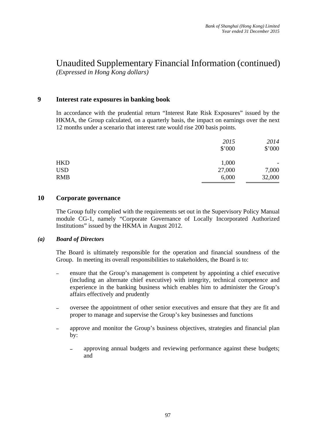## **9 Interest rate exposures in banking book**

In accordance with the prudential return "Interest Rate Risk Exposures" issued by the HKMA, the Group calculated, on a quarterly basis, the impact on earnings over the next 12 months under a scenario that interest rate would rise 200 basis points.

|            | 2015   | 2014   |
|------------|--------|--------|
|            | \$'000 | \$'000 |
| HKD        | 1,000  | -      |
| <b>USD</b> | 27,000 | 7,000  |
| <b>RMB</b> | 6,000  | 32,000 |

#### **10 Corporate governance**

The Group fully complied with the requirements set out in the Supervisory Policy Manual module CG-1, namely "Corporate Governance of Locally Incorporated Authorized Institutions" issued by the HKMA in August 2012.

#### *(a) Board of Directors*

The Board is ultimately responsible for the operation and financial soundness of the Group. In meeting its overall responsibilities to stakeholders, the Board is to:

- ensure that the Group's management is competent by appointing a chief executive (including an alternate chief executive) with integrity, technical competence and experience in the banking business which enables him to administer the Group's affairs effectively and prudently
- oversee the appointment of other senior executives and ensure that they are fit and proper to manage and supervise the Group's key businesses and functions
- approve and monitor the Group's business objectives, strategies and financial plan by:
	- approving annual budgets and reviewing performance against these budgets; and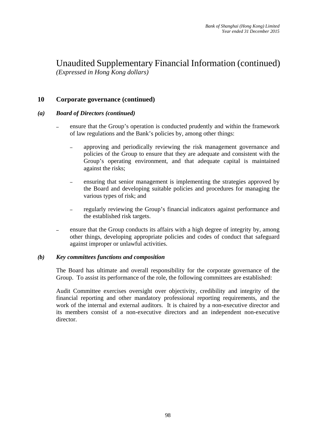## **10 Corporate governance (continued)**

## *(a) Board of Directors (continued)*

- ensure that the Group's operation is conducted prudently and within the framework of law regulations and the Bank's policies by, among other things:
	- approving and periodically reviewing the risk management governance and policies of the Group to ensure that they are adequate and consistent with the Group's operating environment, and that adequate capital is maintained against the risks;
	- ensuring that senior management is implementing the strategies approved by the Board and developing suitable policies and procedures for managing the various types of risk; and
	- regularly reviewing the Group's financial indicators against performance and the established risk targets.
- ensure that the Group conducts its affairs with a high degree of integrity by, among other things, developing appropriate policies and codes of conduct that safeguard against improper or unlawful activities.

#### *(b) Key committees functions and composition*

The Board has ultimate and overall responsibility for the corporate governance of the Group. To assist its performance of the role, the following committees are established:

Audit Committee exercises oversight over objectivity, credibility and integrity of the financial reporting and other mandatory professional reporting requirements, and the work of the internal and external auditors. It is chaired by a non-executive director and its members consist of a non-executive directors and an independent non-executive director.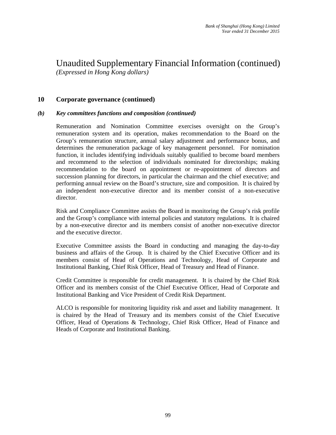## **10 Corporate governance (continued)**

#### *(b) Key committees functions and composition (continued)*

Remuneration and Nomination Committee exercises oversight on the Group's remuneration system and its operation, makes recommendation to the Board on the Group's remuneration structure, annual salary adjustment and performance bonus, and determines the remuneration package of key management personnel. For nomination function, it includes identifying individuals suitably qualified to become board members and recommend to the selection of individuals nominated for directorships; making recommendation to the board on appointment or re-appointment of directors and succession planning for directors, in particular the chairman and the chief executive; and performing annual review on the Board's structure, size and composition. It is chaired by an independent non-executive director and its member consist of a non-executive director.

Risk and Compliance Committee assists the Board in monitoring the Group's risk profile and the Group's compliance with internal policies and statutory regulations. It is chaired by a non-executive director and its members consist of another non-executive director and the executive director.

Executive Committee assists the Board in conducting and managing the day-to-day business and affairs of the Group. It is chaired by the Chief Executive Officer and its members consist of Head of Operations and Technology, Head of Corporate and Institutional Banking, Chief Risk Officer, Head of Treasury and Head of Finance.

Credit Committee is responsible for credit management. It is chaired by the Chief Risk Officer and its members consist of the Chief Executive Officer, Head of Corporate and Institutional Banking and Vice President of Credit Risk Department.

ALCO is responsible for monitoring liquidity risk and asset and liability management. It is chaired by the Head of Treasury and its members consist of the Chief Executive Officer, Head of Operations & Technology, Chief Risk Officer, Head of Finance and Heads of Corporate and Institutional Banking.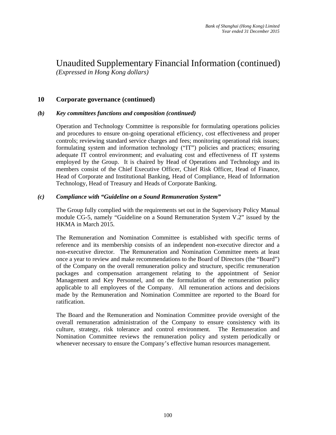## **10 Corporate governance (continued)**

#### *(b) Key committees functions and composition (continued)*

Operation and Technology Committee is responsible for formulating operations policies and procedures to ensure on-going operational efficiency, cost effectiveness and proper controls; reviewing standard service charges and fees; monitoring operational risk issues; formulating system and information technology ("IT") policies and practices; ensuring adequate IT control environment; and evaluating cost and effectiveness of IT systems employed by the Group. It is chaired by Head of Operations and Technology and its members consist of the Chief Executive Officer, Chief Risk Officer, Head of Finance, Head of Corporate and Institutional Banking, Head of Compliance, Head of Information Technology, Head of Treasury and Heads of Corporate Banking.

## *(c) Compliance with "Guideline on a Sound Remuneration System"*

The Group fully complied with the requirements set out in the Supervisory Policy Manual module CG-5, namely "Guideline on a Sound Remuneration System V.2" issued by the HKMA in March 2015.

The Remuneration and Nomination Committee is established with specific terms of reference and its membership consists of an independent non-executive director and a non-executive director. The Remuneration and Nomination Committee meets at least once a year to review and make recommendations to the Board of Directors (the "Board") of the Company on the overall remuneration policy and structure, specific remuneration packages and compensation arrangement relating to the appointment of Senior Management and Key Personnel, and on the formulation of the remuneration policy applicable to all employees of the Company. All remuneration actions and decisions made by the Remuneration and Nomination Committee are reported to the Board for ratification.

The Board and the Remuneration and Nomination Committee provide oversight of the overall remuneration administration of the Company to ensure consistency with its culture, strategy, risk tolerance and control environment. The Remuneration and Nomination Committee reviews the remuneration policy and system periodically or whenever necessary to ensure the Company's effective human resources management.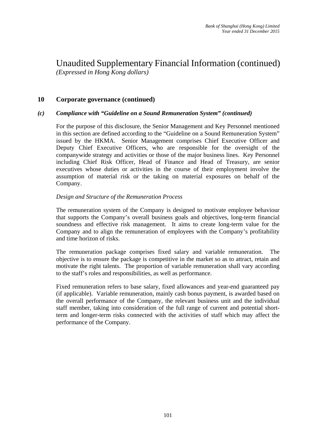## **10 Corporate governance (continued)**

#### *(c) Compliance with "Guideline on a Sound Remuneration System" (continued)*

For the purpose of this disclosure, the Senior Management and Key Personnel mentioned in this section are defined according to the "Guideline on a Sound Remuneration System" issued by the HKMA. Senior Management comprises Chief Executive Officer and Deputy Chief Executive Officers, who are responsible for the oversight of the companywide strategy and activities or those of the major business lines. Key Personnel including Chief Risk Officer, Head of Finance and Head of Treasury, are senior executives whose duties or activities in the course of their employment involve the assumption of material risk or the taking on material exposures on behalf of the Company.

#### *Design and Structure of the Remuneration Process*

The remuneration system of the Company is designed to motivate employee behaviour that supports the Company's overall business goals and objectives, long-term financial soundness and effective risk management. It aims to create long-term value for the Company and to align the remuneration of employees with the Company's profitability and time horizon of risks.

The remuneration package comprises fixed salary and variable remuneration. The objective is to ensure the package is competitive in the market so as to attract, retain and motivate the right talents. The proportion of variable remuneration shall vary according to the staff's roles and responsibilities, as well as performance.

Fixed remuneration refers to base salary, fixed allowances and year-end guaranteed pay (if applicable). Variable remuneration, mainly cash bonus payment, is awarded based on the overall performance of the Company, the relevant business unit and the individual staff member, taking into consideration of the full range of current and potential shortterm and longer-term risks connected with the activities of staff which may affect the performance of the Company.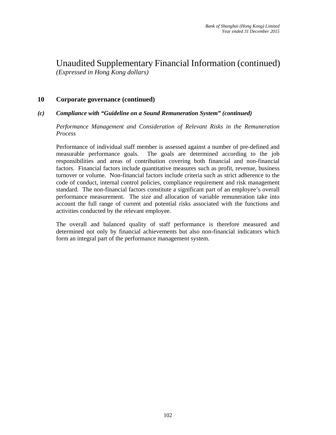## **10 Corporate governance (continued)**

## *(c) Compliance with "Guideline on a Sound Remuneration System" (continued)*

*Performance Management and Consideration of Relevant Risks in the Remuneration Process* 

Performance of individual staff member is assessed against a number of pre-defined and measurable performance goals. The goals are determined according to the job responsibilities and areas of contribution covering both financial and non-financial factors. Financial factors include quantitative measures such as profit, revenue, business turnover or volume. Non-financial factors include criteria such as strict adherence to the code of conduct, internal control policies, compliance requirement and risk management standard. The non-financial factors constitute a significant part of an employee's overall performance measurement. The size and allocation of variable remuneration take into account the full range of current and potential risks associated with the functions and activities conducted by the relevant employee.

The overall and balanced quality of staff performance is therefore measured and determined not only by financial achievements but also non-financial indicators which form an integral part of the performance management system.